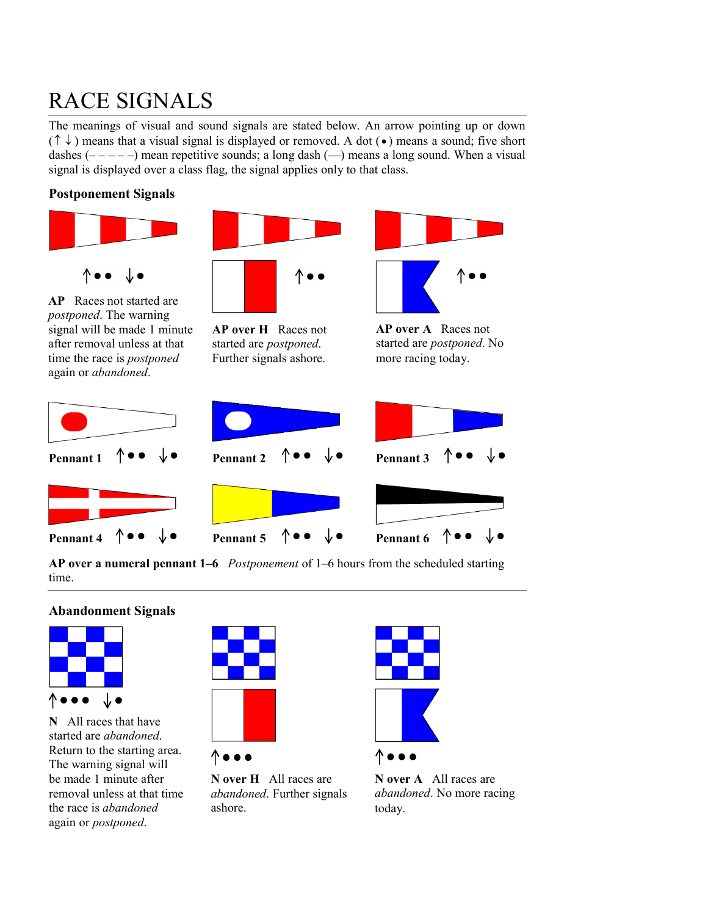# RACE SIGNALS

The meanings of visual and sound signals are stated below. An arrow pointing up or down  $(\uparrow \downarrow)$  means that a visual signal is displayed or removed. A dot (•) means a sound; five short dashes  $(----)$  mean repetitive sounds; a long dash  $(-)$  means a long sound. When a visual signal is displayed over a class flag, the signal applies only to that class.

#### **Postponement Signals**



**AP** Races not started are *postponed*. The warning signal will be made 1 minute after removal unless at that time the race is *postponed*  again or *abandoned*.



**AP over H** Races not started are *postponed*. Further signals ashore.



started are *postponed*. No more racing today.





**AP over a numeral pennant 1–6** *Postponement* of 1–6 hours from the scheduled starting time.

#### **Abandonment Signals**



**N** All races that have started are *abandoned*. Return to the starting area. The warning signal will be made 1 minute after removal unless at that time the race is *abandoned* again or *postponed*.



**N** over **H** All races are *abandoned*. Further signals ashore.



**N** over A All races are *abandoned*. No more racing today.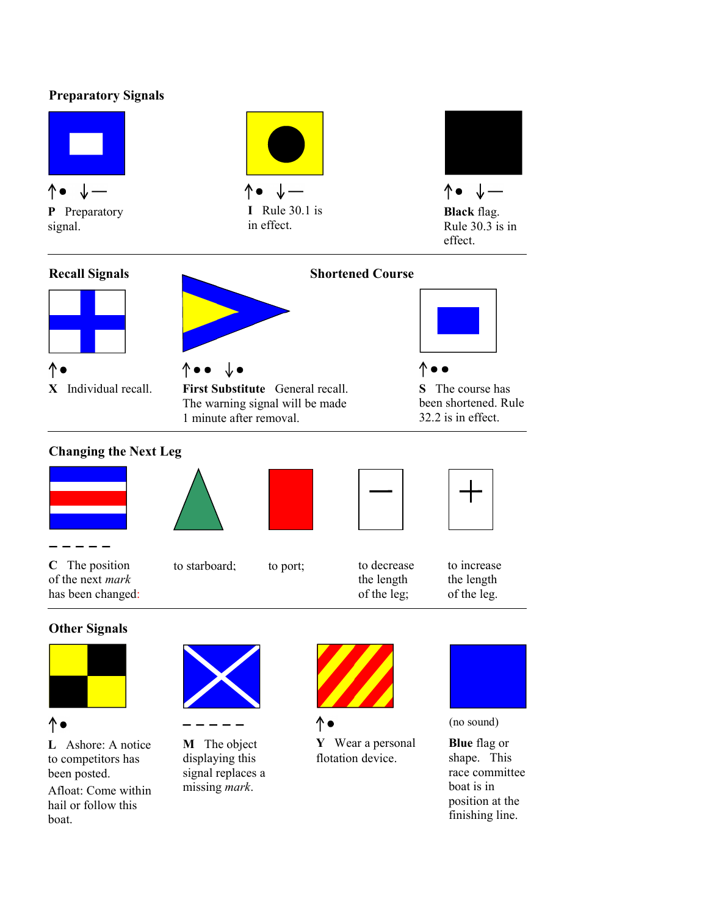### **Preparatory Signals**

hail or follow this

boat.



boat is in position at the finishing line.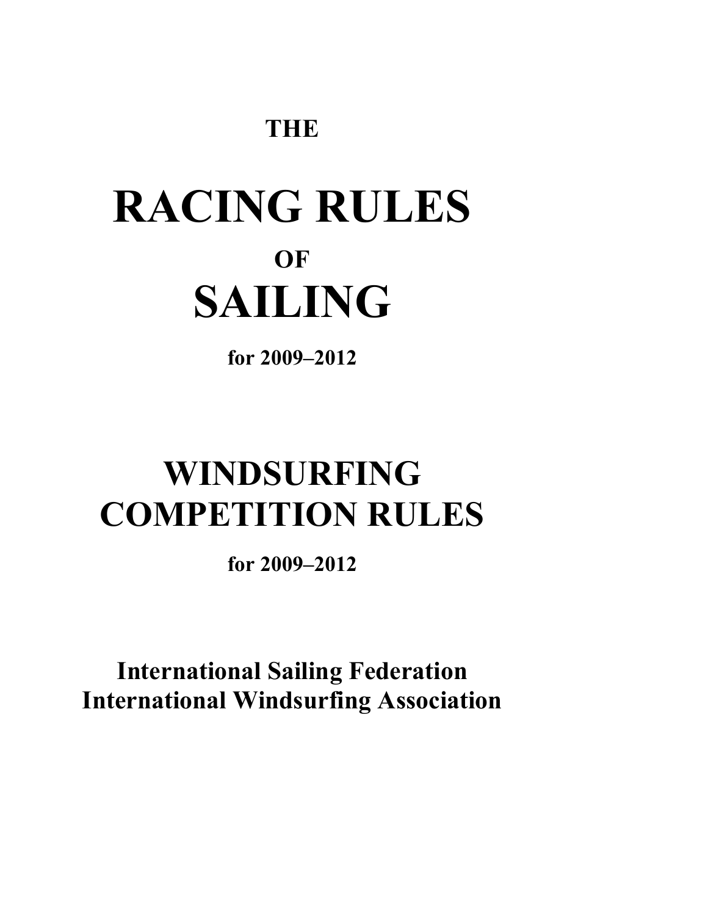# **THE**

# **RACING RULES OF SAILING**

**for 2009–2012** 

# **WINDSURFING COMPETITION RULES**

**for 2009–2012** 

**International Sailing Federation International Windsurfing Association**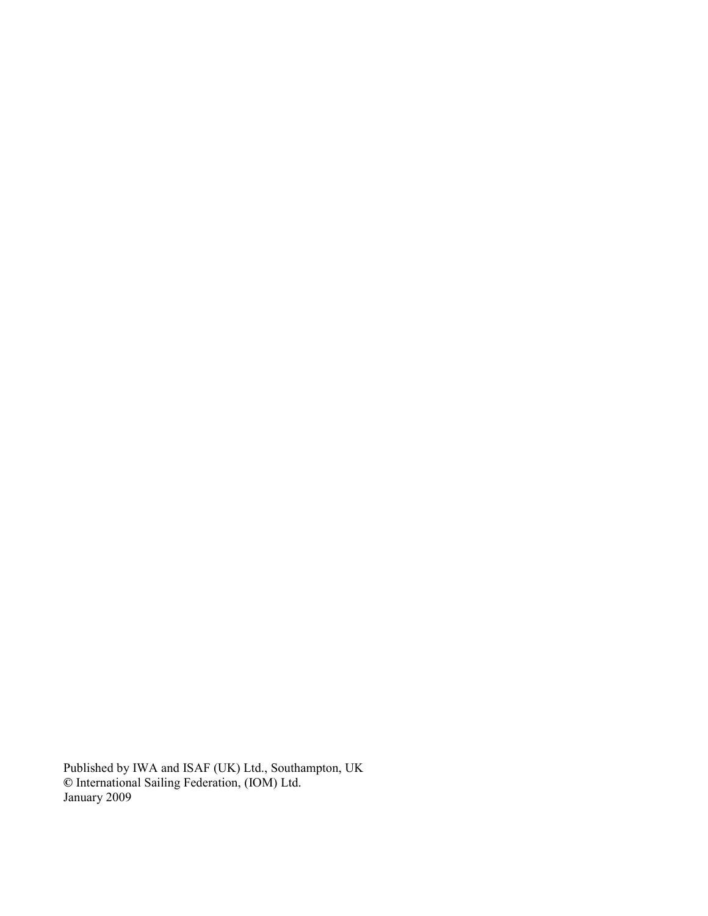Published by IWA and ISAF (UK) Ltd., Southampton, UK **©** International Sailing Federation, (IOM) Ltd. January 2009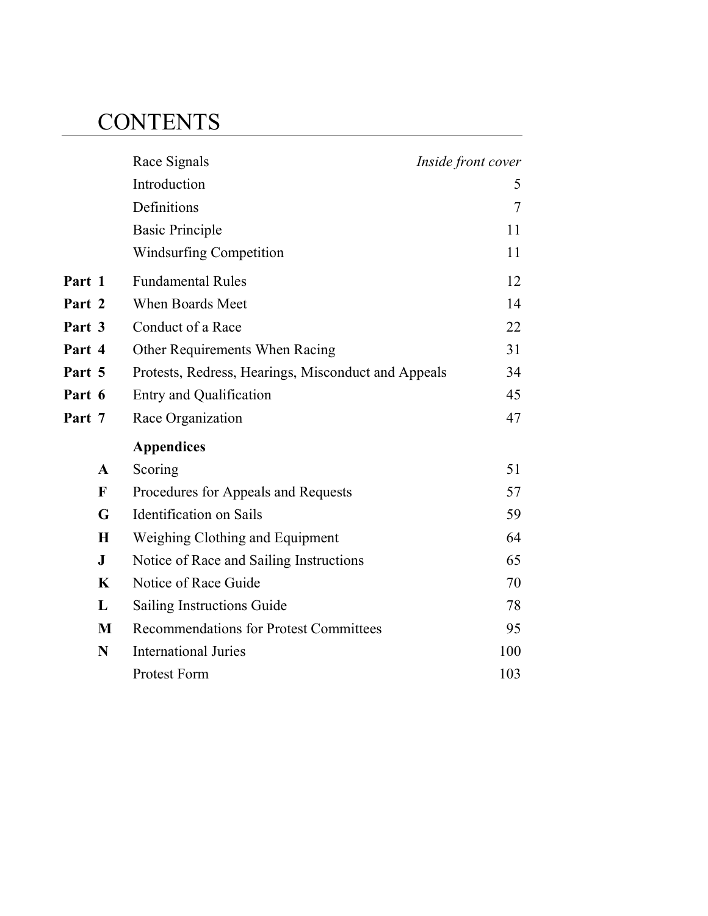# **CONTENTS**

|              | Race Signals                                        | Inside front cover |
|--------------|-----------------------------------------------------|--------------------|
|              | Introduction                                        | 5                  |
|              | Definitions                                         | 7                  |
|              | <b>Basic Principle</b>                              | 11                 |
|              | <b>Windsurfing Competition</b>                      | 11                 |
| Part 1       | <b>Fundamental Rules</b>                            | 12                 |
| Part 2       | <b>When Boards Meet</b>                             | 14                 |
| Part 3       | Conduct of a Race                                   | 22                 |
| Part 4       | Other Requirements When Racing                      | 31                 |
| Part 5       | Protests, Redress, Hearings, Misconduct and Appeals | 34                 |
| Part 6       | <b>Entry and Qualification</b>                      | 45                 |
| Part 7       | Race Organization                                   | 47                 |
|              | <b>Appendices</b>                                   |                    |
| $\mathbf{A}$ | Scoring                                             | 51                 |
| F            | Procedures for Appeals and Requests                 | 57                 |
| G            | Identification on Sails                             | 59                 |
| $\bf H$      | Weighing Clothing and Equipment                     | 64                 |
| ${\bf J}$    | Notice of Race and Sailing Instructions             | 65                 |
| K            | Notice of Race Guide                                | 70                 |
| L            | Sailing Instructions Guide                          | 78                 |
| M            | <b>Recommendations for Protest Committees</b>       | 95                 |
| N            | <b>International Juries</b>                         | 100                |
|              | <b>Protest Form</b>                                 | 103                |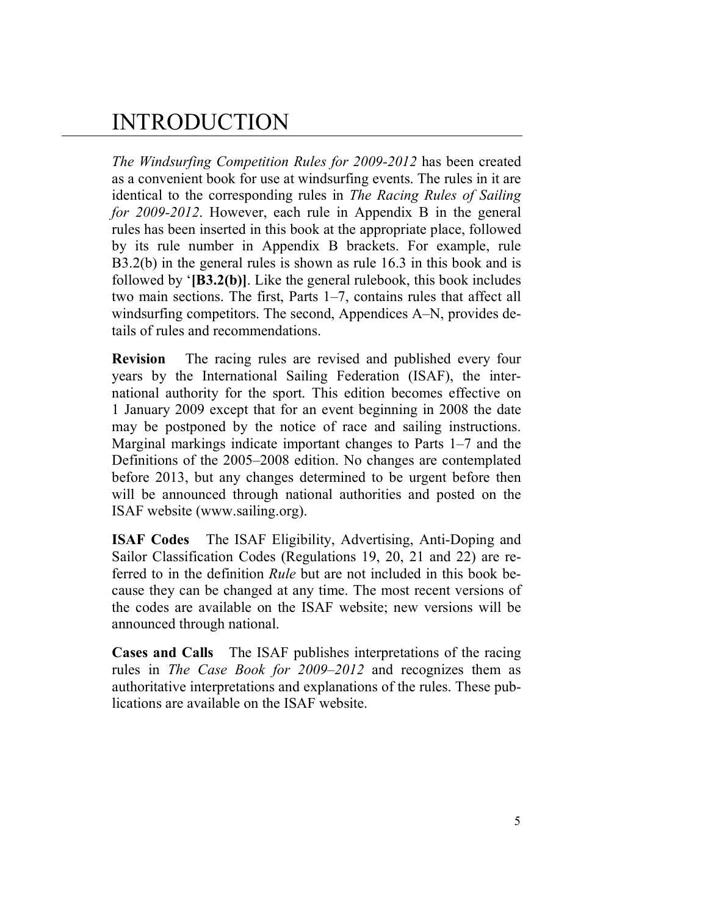# INTRODUCTION

*The Windsurfing Competition Rules for 2009-2012* has been created as a convenient book for use at windsurfing events. The rules in it are identical to the corresponding rules in *The Racing Rules of Sailing for 2009-2012*. However, each rule in Appendix B in the general rules has been inserted in this book at the appropriate place, followed by its rule number in Appendix B brackets. For example, rule B3.2(b) in the general rules is shown as rule 16.3 in this book and is followed by '**[B3.2(b)]**. Like the general rulebook, this book includes two main sections. The first, Parts 1–7, contains rules that affect all windsurfing competitors. The second, Appendices A–N, provides details of rules and recommendations.

**Revision** The racing rules are revised and published every four years by the International Sailing Federation (ISAF), the international authority for the sport. This edition becomes effective on 1 January 2009 except that for an event beginning in 2008 the date may be postponed by the notice of race and sailing instructions. Marginal markings indicate important changes to Parts 1–7 and the Definitions of the 2005–2008 edition. No changes are contemplated before 2013, but any changes determined to be urgent before then will be announced through national authorities and posted on the ISAF website (www.sailing.org).

**ISAF Codes** The ISAF Eligibility, Advertising, Anti-Doping and Sailor Classification Codes (Regulations 19, 20, 21 and 22) are referred to in the definition *Rule* but are not included in this book because they can be changed at any time. The most recent versions of the codes are available on the ISAF website; new versions will be announced through national.

**Cases and Calls** The ISAF publishes interpretations of the racing rules in *The Case Book for 2009–2012* and recognizes them as authoritative interpretations and explanations of the rules. These publications are available on the ISAF website.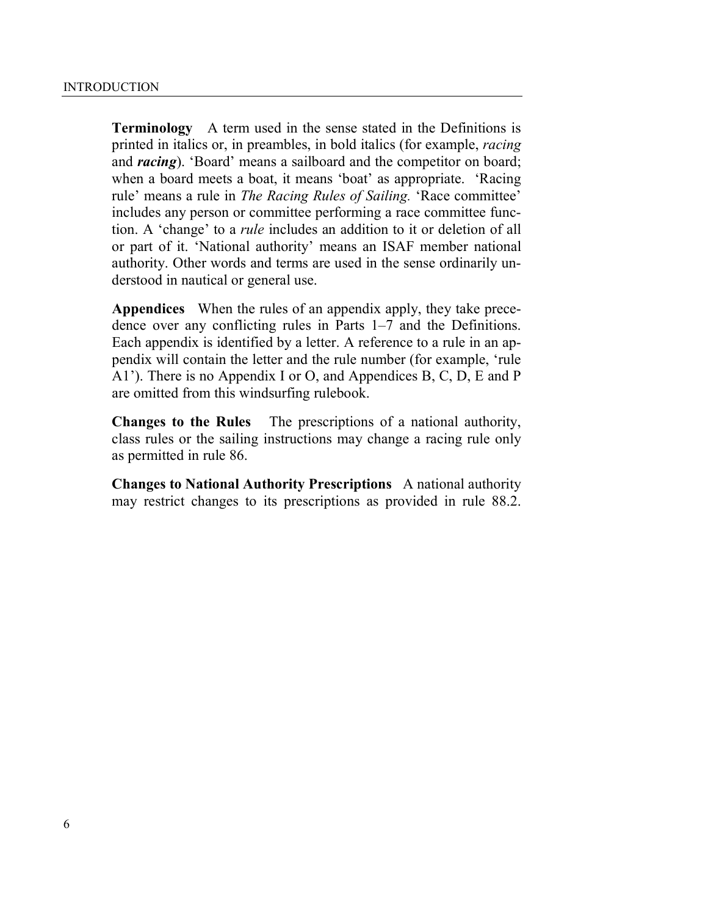**Terminology** A term used in the sense stated in the Definitions is printed in italics or, in preambles, in bold italics (for example, *racing* and *racing*). 'Board' means a sailboard and the competitor on board; when a board meets a boat, it means 'boat' as appropriate. 'Racing rule' means a rule in *The Racing Rules of Sailing.* 'Race committee' includes any person or committee performing a race committee function. A 'change' to a *rule* includes an addition to it or deletion of all or part of it. 'National authority' means an ISAF member national authority. Other words and terms are used in the sense ordinarily understood in nautical or general use.

**Appendices** When the rules of an appendix apply, they take precedence over any conflicting rules in Parts 1–7 and the Definitions. Each appendix is identified by a letter. A reference to a rule in an appendix will contain the letter and the rule number (for example, 'rule A1'). There is no Appendix I or O, and Appendices B, C, D, E and P are omitted from this windsurfing rulebook.

**Changes to the Rules** The prescriptions of a national authority, class rules or the sailing instructions may change a racing rule only as permitted in rule 86.

**Changes to National Authority Prescriptions** A national authority may restrict changes to its prescriptions as provided in rule 88.2.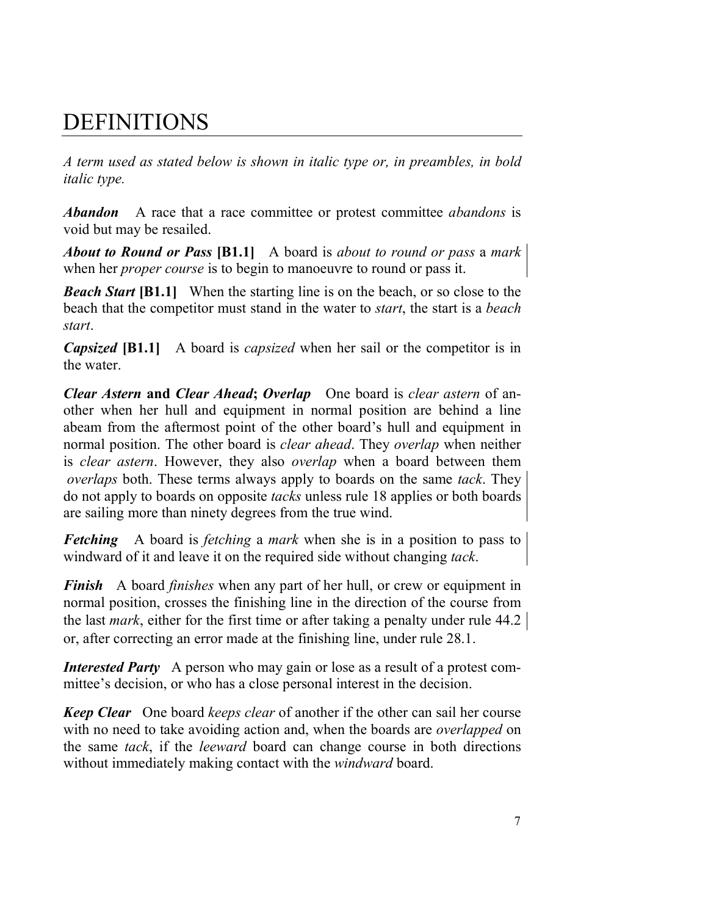*A term used as stated below is shown in italic type or, in preambles, in bold italic type.* 

*Abandon* A race that a race committee or protest committee *abandons* is void but may be resailed.

*About to Round or Pass* **[B1.1]** A board is *about to round or pass* a *mark* when her *proper course* is to begin to manoeuvre to round or pass it.

*Beach Start* [B1.1] When the starting line is on the beach, or so close to the beach that the competitor must stand in the water to *start*, the start is a *beach start*.

*Capsized* **[B1.1]** A board is *capsized* when her sail or the competitor is in the water.

*Clear Astern* **and** *Clear Ahead***;** *Overlap* One board is *clear astern* of another when her hull and equipment in normal position are behind a line abeam from the aftermost point of the other board's hull and equipment in normal position. The other board is *clear ahead*. They *overlap* when neither is *clear astern*. However, they also *overlap* when a board between them *overlaps* both. These terms always apply to boards on the same *tack*. They do not apply to boards on opposite *tacks* unless rule 18 applies or both boards are sailing more than ninety degrees from the true wind.

*Fetching* A board is *fetching* a *mark* when she is in a position to pass to windward of it and leave it on the required side without changing *tack*.

*Finish* A board *finishes* when any part of her hull, or crew or equipment in normal position, crosses the finishing line in the direction of the course from the last *mark*, either for the first time or after taking a penalty under rule 44.2 or, after correcting an error made at the finishing line, under rule 28.1.

*Interested Party* A person who may gain or lose as a result of a protest committee's decision, or who has a close personal interest in the decision.

*Keep Clear* One board *keeps clear* of another if the other can sail her course with no need to take avoiding action and, when the boards are *overlapped* on the same *tack*, if the *leeward* board can change course in both directions without immediately making contact with the *windward* board.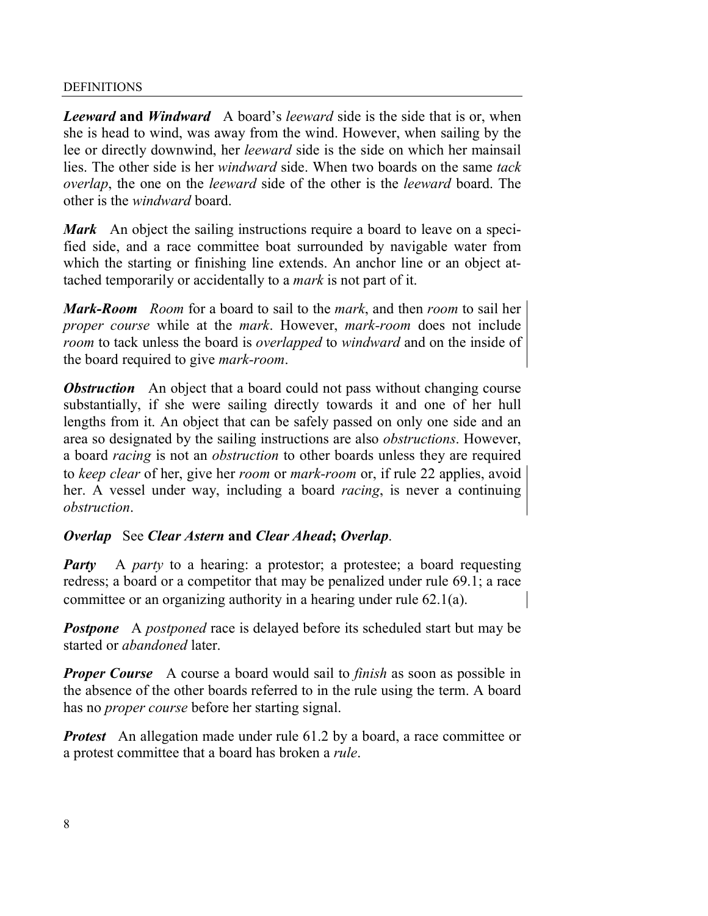*Leeward* **and** *Windward* A board's *leeward* side is the side that is or, when she is head to wind, was away from the wind. However, when sailing by the lee or directly downwind, her *leeward* side is the side on which her mainsail lies. The other side is her *windward* side. When two boards on the same *tack overlap*, the one on the *leeward* side of the other is the *leeward* board. The other is the *windward* board.

*Mark* An object the sailing instructions require a board to leave on a specified side, and a race committee boat surrounded by navigable water from which the starting or finishing line extends. An anchor line or an object attached temporarily or accidentally to a *mark* is not part of it.

*Mark-Room Room* for a board to sail to the *mark*, and then *room* to sail her *proper course* while at the *mark*. However, *mark-room* does not include *room* to tack unless the board is *overlapped* to *windward* and on the inside of the board required to give *mark-room*.

*Obstruction* An object that a board could not pass without changing course substantially, if she were sailing directly towards it and one of her hull lengths from it. An object that can be safely passed on only one side and an area so designated by the sailing instructions are also *obstructions*. However, a board *racing* is not an *obstruction* to other boards unless they are required to *keep clear* of her, give her *room* or *mark-room* or, if rule 22 applies, avoid her. A vessel under way, including a board *racing*, is never a continuing *obstruction*.

# *Overlap* See *Clear Astern* **and** *Clear Ahead***;** *Overlap*.

*Party* A *party* to a hearing: a protestor; a protestee; a board requesting redress; a board or a competitor that may be penalized under rule 69.1; a race committee or an organizing authority in a hearing under rule 62.1(a).

*Postpone* A *postponed* race is delayed before its scheduled start but may be started or *abandoned* later.

*Proper Course* A course a board would sail to *finish* as soon as possible in the absence of the other boards referred to in the rule using the term. A board has no *proper course* before her starting signal.

*Protest* An allegation made under rule 61.2 by a board, a race committee or a protest committee that a board has broken a *rule*.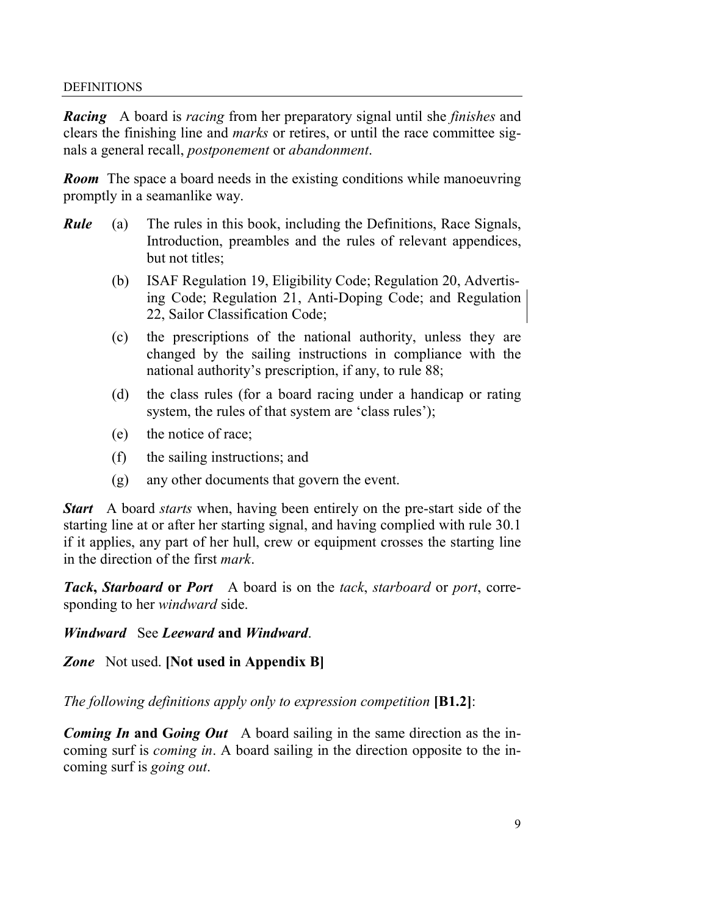*Racing* A board is *racing* from her preparatory signal until she *finishes* and clears the finishing line and *marks* or retires, or until the race committee signals a general recall, *postponement* or *abandonment*.

*Room* The space a board needs in the existing conditions while manoeuvring promptly in a seamanlike way.

- *Rule* (a) The rules in this book, including the Definitions, Race Signals, Introduction, preambles and the rules of relevant appendices, but not titles;
	- (b) ISAF Regulation 19, Eligibility Code; Regulation 20, Advertis ing Code; Regulation 21, Anti-Doping Code; and Regulation 22, Sailor Classification Code;
	- (c) the prescriptions of the national authority, unless they are changed by the sailing instructions in compliance with the national authority's prescription, if any, to rule 88;
	- (d) the class rules (for a board racing under a handicap or rating system, the rules of that system are 'class rules');
	- (e) the notice of race;
	- (f) the sailing instructions; and
	- (g) any other documents that govern the event.

*Start* A board *starts* when, having been entirely on the pre-start side of the starting line at or after her starting signal, and having complied with rule 30.1 if it applies, any part of her hull, crew or equipment crosses the starting line in the direction of the first *mark*.

*Tack***,** *Starboard* **or** *Port* A board is on the *tack*, *starboard* or *port*, corresponding to her *windward* side.

*Windward* See *Leeward* **and** *Windward*.

*Zone* Not used. **[Not used in Appendix B]** 

*The following definitions apply only to expression competition* **[B1.2]**:

*Coming In* **and G***oing Out* A board sailing in the same direction as the incoming surf is *coming in*. A board sailing in the direction opposite to the incoming surf is *going out*.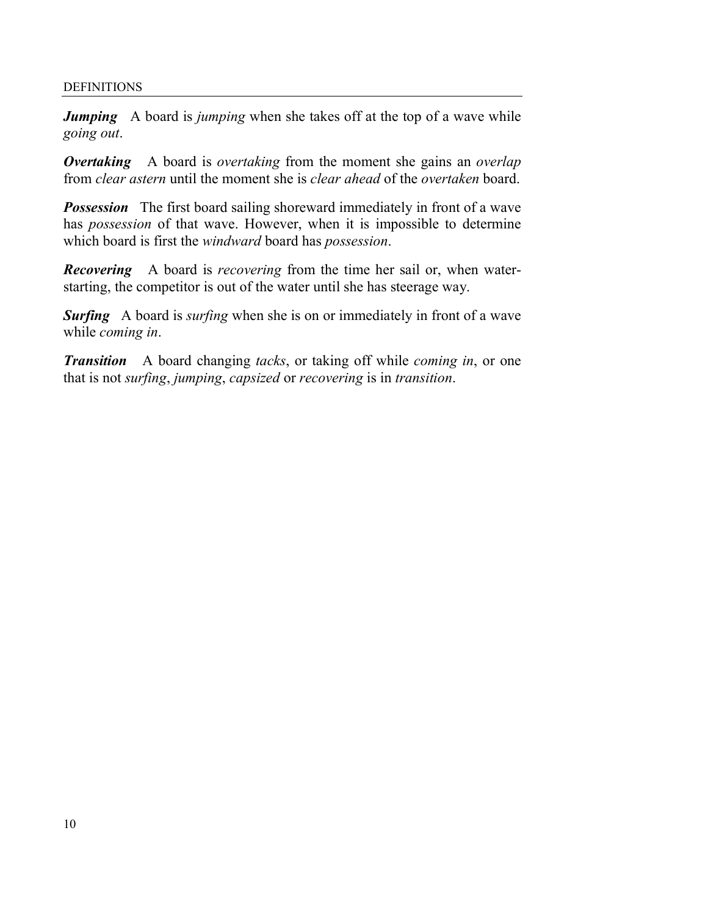*Jumping* A board is *jumping* when she takes off at the top of a wave while *going out*.

*Overtaking* A board is *overtaking* from the moment she gains an *overlap* from *clear astern* until the moment she is *clear ahead* of the *overtaken* board.

*Possession* The first board sailing shoreward immediately in front of a wave has *possession* of that wave. However, when it is impossible to determine which board is first the *windward* board has *possession*.

*Recovering* A board is *recovering* from the time her sail or, when waterstarting, the competitor is out of the water until she has steerage way.

*Surfing* A board is *surfing* when she is on or immediately in front of a wave while *coming in*.

*Transition* A board changing *tacks*, or taking off while *coming in*, or one that is not *surfing*, *jumping*, *capsized* or *recovering* is in *transition*.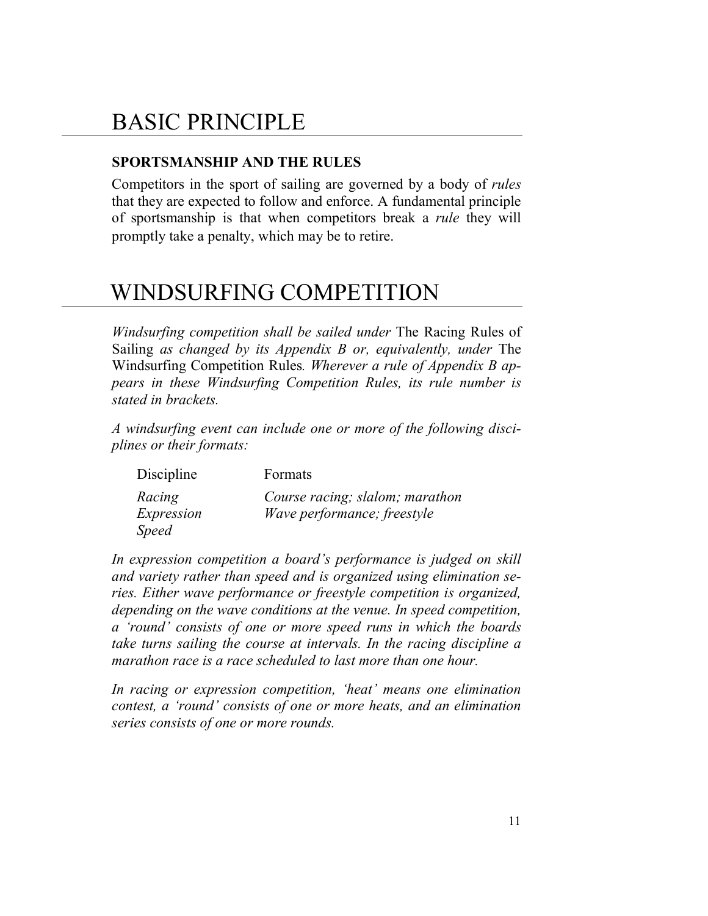# BASIC PRINCIPLE

### **SPORTSMANSHIP AND THE RULES**

Competitors in the sport of sailing are governed by a body of *rules* that they are expected to follow and enforce. A fundamental principle of sportsmanship is that when competitors break a *rule* they will promptly take a penalty, which may be to retire.

# WINDSURFING COMPETITION

*Windsurfing competition shall be sailed under* The Racing Rules of Sailing *as changed by its Appendix B or, equivalently, under* The Windsurfing Competition Rules*. Wherever a rule of Appendix B appears in these Windsurfing Competition Rules, its rule number is stated in brackets.* 

*A windsurfing event can include one or more of the following disciplines or their formats:* 

| Discipline   | Formats                         |
|--------------|---------------------------------|
| Racing       | Course racing; slalom; marathon |
| Expression   | Wave performance; freestyle     |
| <i>Speed</i> |                                 |

*In expression competition a board's performance is judged on skill and variety rather than speed and is organized using elimination series. Either wave performance or freestyle competition is organized, depending on the wave conditions at the venue. In speed competition, a 'round' consists of one or more speed runs in which the boards take turns sailing the course at intervals. In the racing discipline a marathon race is a race scheduled to last more than one hour.* 

*In racing or expression competition, 'heat' means one elimination contest, a 'round' consists of one or more heats, and an elimination series consists of one or more rounds.*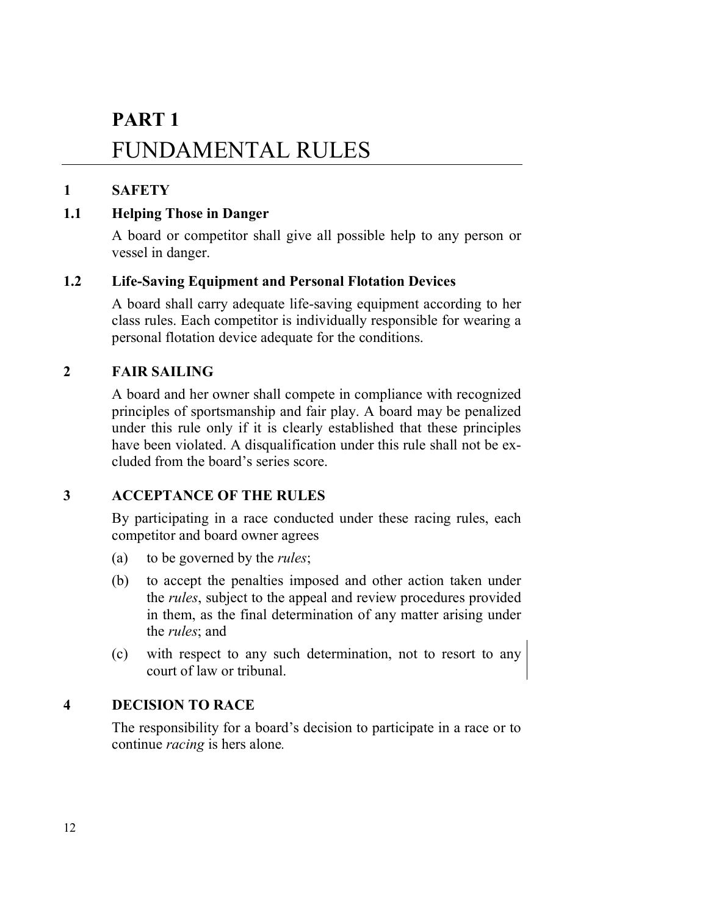# **PART 1**  FUNDAMENTAL RULES

# **1 SAFETY**

# **1.1 Helping Those in Danger**

A board or competitor shall give all possible help to any person or vessel in danger.

# **1.2 Life-Saving Equipment and Personal Flotation Devices**

A board shall carry adequate life-saving equipment according to her class rules. Each competitor is individually responsible for wearing a personal flotation device adequate for the conditions.

# **2 FAIR SAILIG**

A board and her owner shall compete in compliance with recognized principles of sportsmanship and fair play. A board may be penalized under this rule only if it is clearly established that these principles have been violated. A disqualification under this rule shall not be excluded from the board's series score.

# **3 ACCEPTACE OF THE RULES**

By participating in a race conducted under these racing rules, each competitor and board owner agrees

- (a) to be governed by the *rules*;
- (b) to accept the penalties imposed and other action taken under the *rules*, subject to the appeal and review procedures provided in them, as the final determination of any matter arising under the *rules*; and
- (c) with respect to any such determination, not to resort to any court of law or tribunal.

# **4** DECISION TO RACE

The responsibility for a board's decision to participate in a race or to continue *racing* is hers alone*.*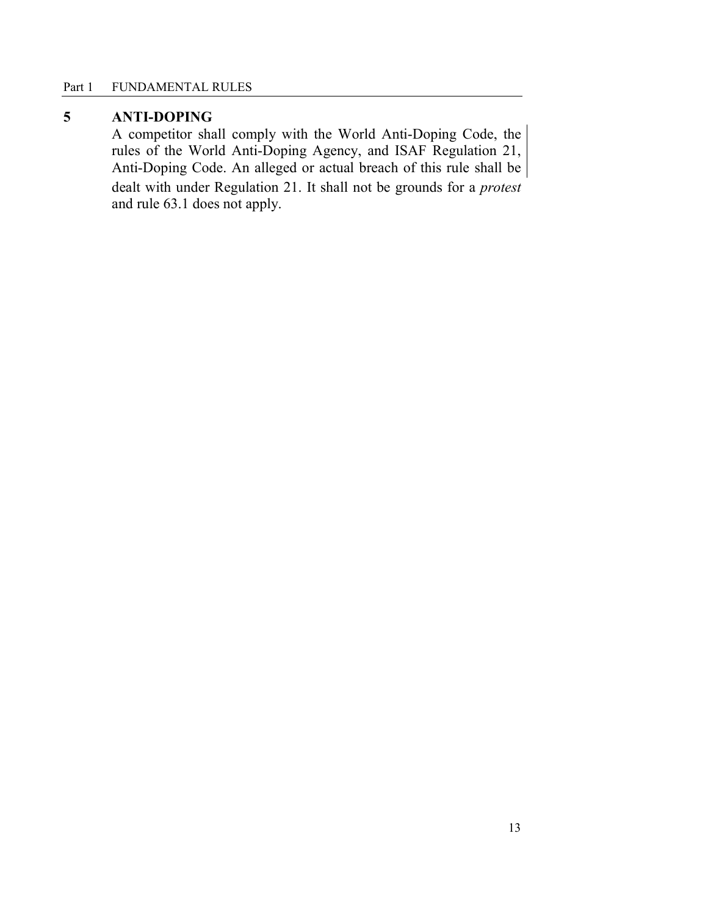# **5 ATI-DOPIG**

A competitor shall comply with the World Anti-Doping Code, the rules of the World Anti-Doping Agency, and ISAF Regulation 21, Anti-Doping Code. An alleged or actual breach of this rule shall be dealt with under Regulation 21. It shall not be grounds for a *protest* and rule 63.1 does not apply.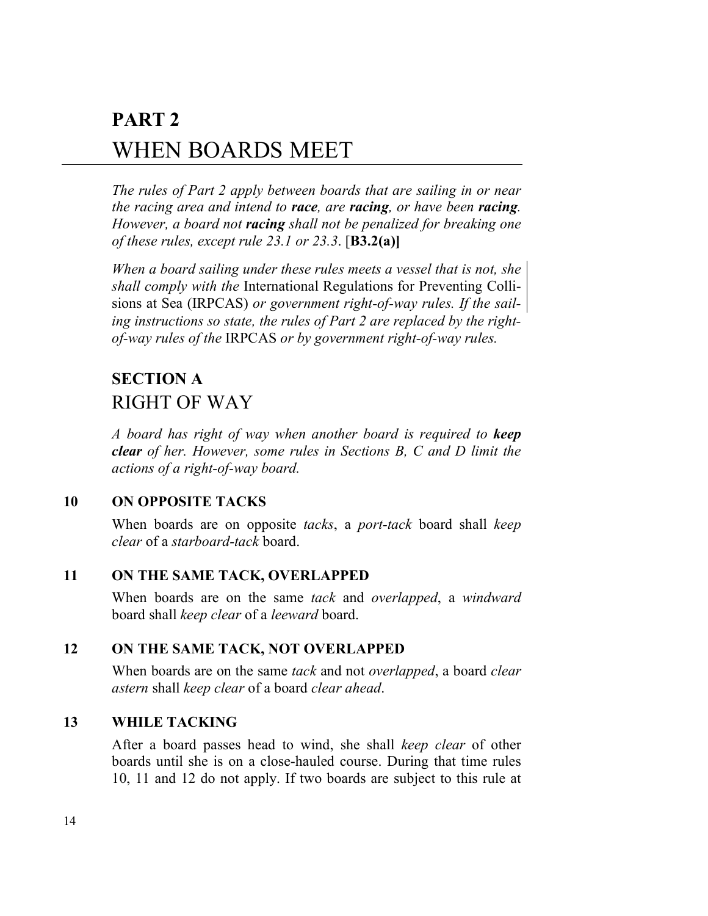# **PART 2**  WHEN BOARDS MEET

*The rules of Part 2 apply between boards that are sailing in or near the racing area and intend to race, are racing, or have been racing. However, a board not racing shall not be penalized for breaking one of these rules, except rule 23.1 or 23.3*. [**B3.2(a)]**

*When a board sailing under these rules meets a vessel that is not, she shall comply with the* International Regulations for Preventing Collisions at Sea (IRPCAS) *or government right-of-way rules. If the sailing instructions so state, the rules of Part 2 are replaced by the rightof-way rules of the* IRPCAS *or by government right-of-way rules.*

# **SECTION A** RIGHT OF WAY

*A board has right of way when another board is required to keep clear of her. However, some rules in Sections B, C and D limit the actions of a right-of-way board.*

# 10 ON OPPOSITE TACKS

When boards are on opposite *tacks*, a *port-tack* board shall *keep clear* of a *starboard-tack* board.

# 11 ON THE SAME TACK, OVERLAPPED

When boards are on the same *tack* and *overlapped*, a *windward* board shall *keep clear* of a *leeward* board.

# 12 ON THE SAME TACK, NOT OVERLAPPED

When boards are on the same *tack* and not *overlapped*, a board *clear astern* shall *keep clear* of a board *clear ahead*.

# 13 WHILE TACKING

After a board passes head to wind, she shall *keep clear* of other boards until she is on a close-hauled course. During that time rules 10, 11 and 12 do not apply. If two boards are subject to this rule at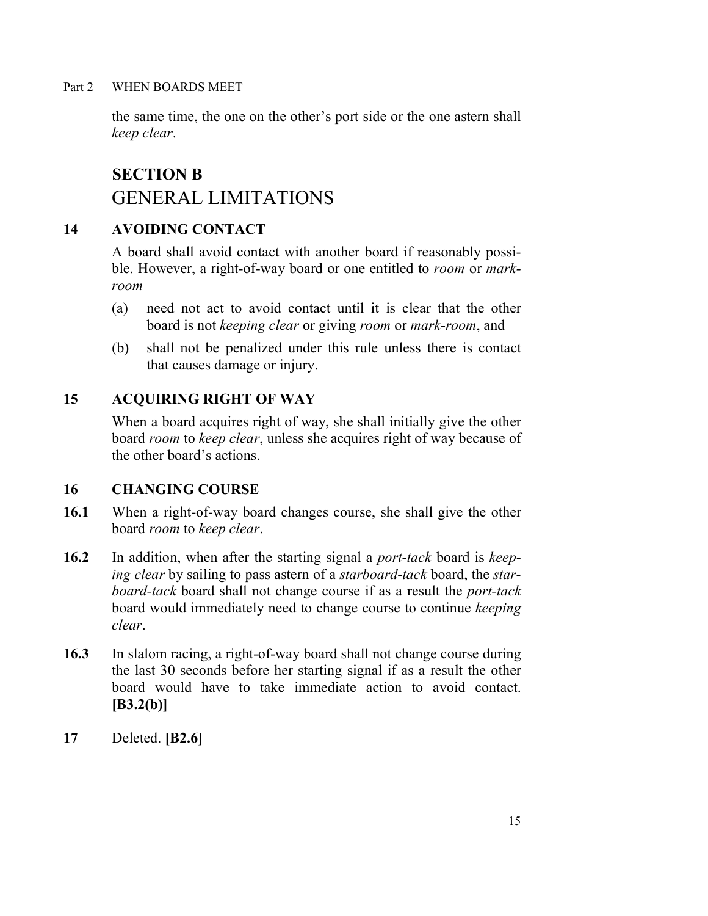the same time, the one on the other's port side or the one astern shall *keep clear*.

# **SECTION B** GENERAL LIMITATIONS

# 14 AVOIDING CONTACT

A board shall avoid contact with another board if reasonably possible. However, a right-of-way board or one entitled to *room* or *markroom*

- (a) need not act to avoid contact until it is clear that the other board is not *keeping clear* or giving *room* or *mark-room*, and
- (b) shall not be penalized under this rule unless there is contact that causes damage or injury.

# **15 ACQUIRING RIGHT OF WAY**

When a board acquires right of way, she shall initially give the other board *room* to *keep clear*, unless she acquires right of way because of the other board's actions.

#### 16 **CHANGING COURSE**

- **16.1** When a right-of-way board changes course, she shall give the other board *room* to *keep clear*.
- **16.2** In addition, when after the starting signal a *port-tack* board is *keeping clear* by sailing to pass astern of a *starboard-tack* board, the *starboard-tack* board shall not change course if as a result the *port-tack* board would immediately need to change course to continue *keeping clear*.
- **16.3** In slalom racing, a right-of-way board shall not change course during the last 30 seconds before her starting signal if as a result the other board would have to take immediate action to avoid contact. **[B3.2(b)]**
- **17** Deleted. **[B2.6]**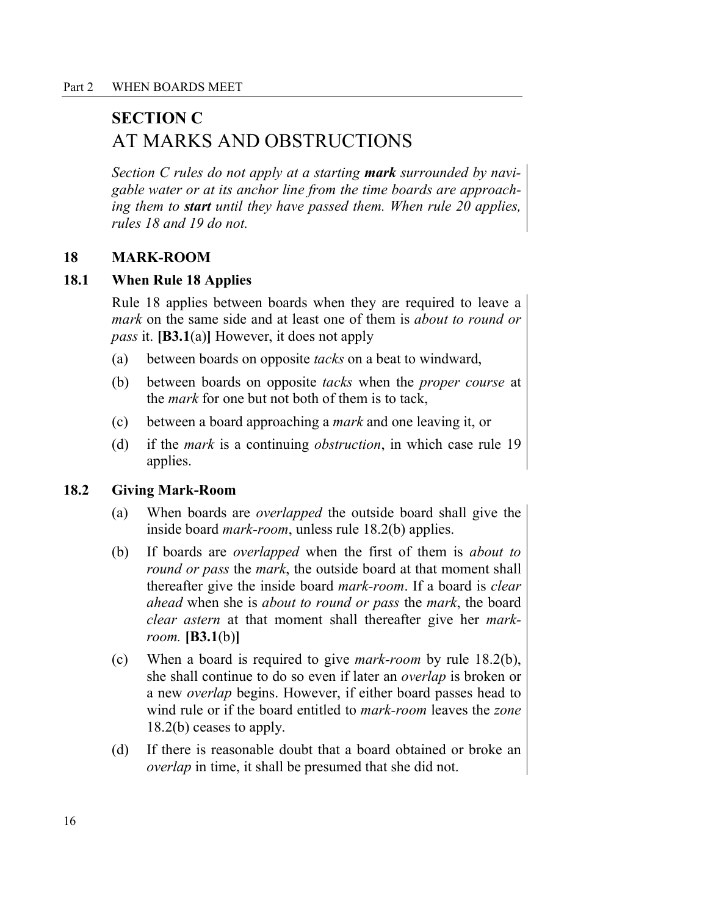# **SECTION C** AT MARKS AND OBSTRUCTIONS

*Section C rules do not apply at a starting mark surrounded by navigable water or at its anchor line from the time boards are approaching them to start until they have passed them. When rule 20 applies, rules 18 and 19 do not.* 

#### **18 MARK-ROOM**

#### **18.1 When Rule 18 Applies**

Rule 18 applies between boards when they are required to leave a *mark* on the same side and at least one of them is *about to round or pass* it. **[B3.1**(a)**]** However, it does not apply

- (a) between boards on opposite *tacks* on a beat to windward,
- (b) between boards on opposite *tacks* when the *proper course* at the *mark* for one but not both of them is to tack,
- (c) between a board approaching a *mark* and one leaving it, or
- (d) if the *mark* is a continuing *obstruction*, in which case rule 19 applies.

#### **18.2 Giving Mark-Room**

- (a) When boards are *overlapped* the outside board shall give the inside board *mark-room*, unless rule 18.2(b) applies.
- (b) If boards are *overlapped* when the first of them is *about to round or pass* the *mark*, the outside board at that moment shall thereafter give the inside board *mark-room*. If a board is *clear ahead* when she is *about to round or pass* the *mark*, the board *clear astern* at that moment shall thereafter give her *markroom.* **[B3.1**(b)**]**
- (c) When a board is required to give *mark-room* by rule 18.2(b), she shall continue to do so even if later an *overlap* is broken or a new *overlap* begins. However, if either board passes head to wind rule or if the board entitled to *mark-room* leaves the *zone* 18.2(b) ceases to apply.
- (d) If there is reasonable doubt that a board obtained or broke an *overlap* in time, it shall be presumed that she did not.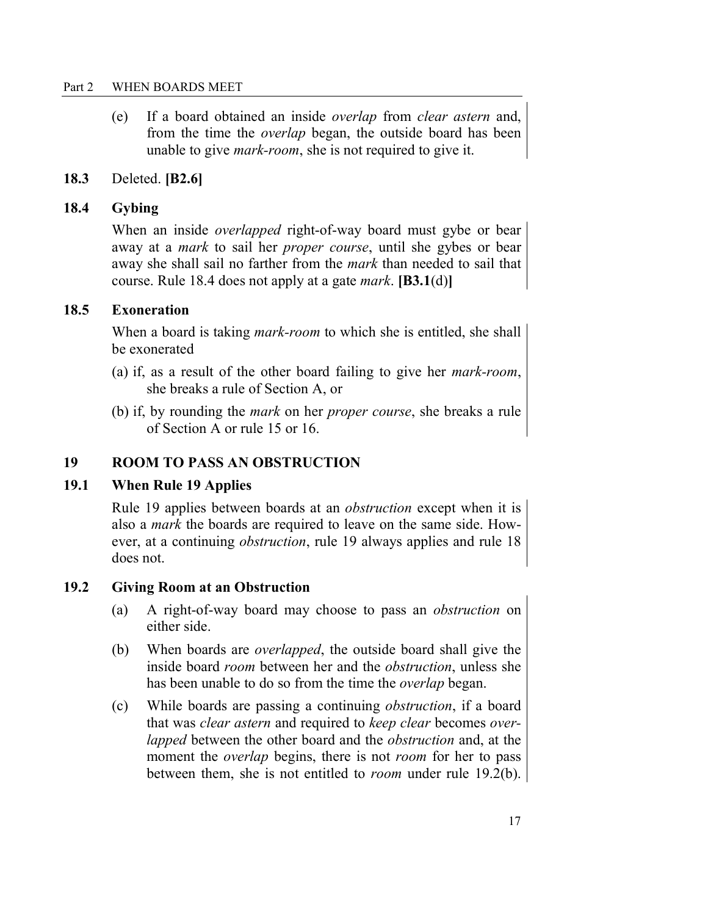(e) If a board obtained an inside *overlap* from *clear astern* and, from the time the *overlap* began, the outside board has been unable to give *mark-room*, she is not required to give it.

#### **18.3** Deleted. **[B2.6]**

#### **18.4 Gybing**

When an inside *overlapped* right-of-way board must gybe or bear away at a *mark* to sail her *proper course*, until she gybes or bear away she shall sail no farther from the *mark* than needed to sail that course. Rule 18.4 does not apply at a gate *mark*. **[B3.1**(d)**]**

#### **18.5 Exoneration**

When a board is taking *mark-room* to which she is entitled, she shall be exonerated

- (a) if, as a result of the other board failing to give her *mark-room*, she breaks a rule of Section A, or
- (b) if, by rounding the *mark* on her *proper course*, she breaks a rule of Section A or rule 15 or 16.

#### 19 ROOM TO PASS AN OBSTRUCTION

#### **19.1 When Rule 19 Applies**

Rule 19 applies between boards at an *obstruction* except when it is also a *mark* the boards are required to leave on the same side. However, at a continuing *obstruction*, rule 19 always applies and rule 18 does not.

#### **19.2 Giving Room at an Obstruction**

- (a) A right-of-way board may choose to pass an *obstruction* on either side.
- (b) When boards are *overlapped*, the outside board shall give the inside board *room* between her and the *obstruction*, unless she has been unable to do so from the time the *overlap* began.
- (c) While boards are passing a continuing *obstruction*, if a board that was *clear astern* and required to *keep clear* becomes *overlapped* between the other board and the *obstruction* and, at the moment the *overlap* begins, there is not *room* for her to pass between them, she is not entitled to *room* under rule 19.2(b).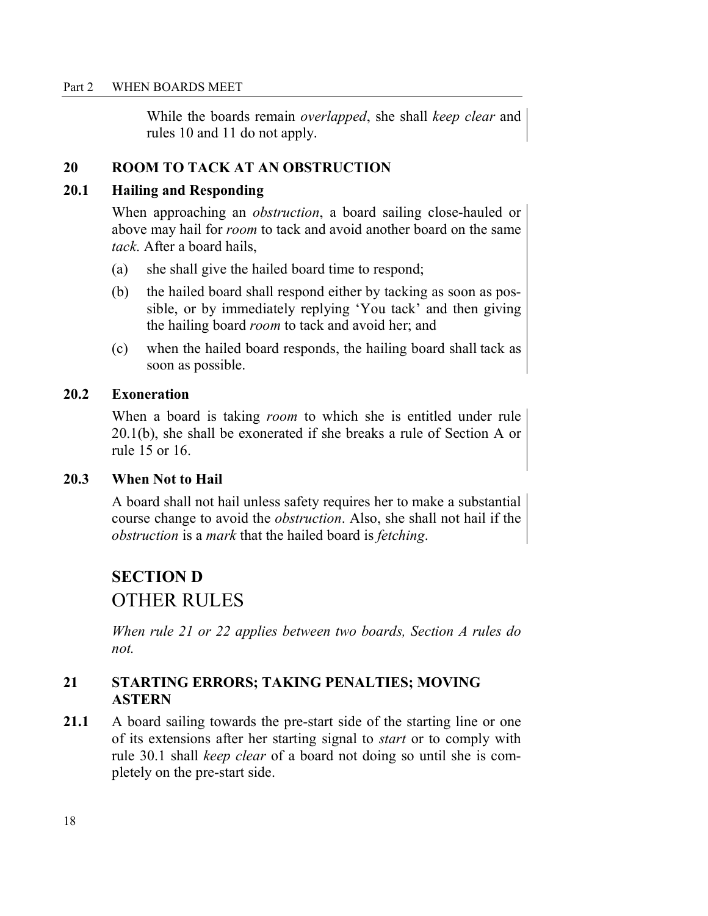While the boards remain *overlapped*, she shall *keep clear* and rules 10 and 11 do not apply.

### **20 ROOM TO TACK AT AN OBSTRUCTION**

### **20.1 Hailing and Responding**

 When approaching an *obstruction*, a board sailing close-hauled or above may hail for *room* to tack and avoid another board on the same *tack*. After a board hails,

- (a) she shall give the hailed board time to respond;
- (b) the hailed board shall respond either by tacking as soon as possible, or by immediately replying 'You tack' and then giving the hailing board *room* to tack and avoid her; and
- (c) when the hailed board responds, the hailing board shall tack as soon as possible.

#### **20.2 Exoneration**

When a board is taking *room* to which she is entitled under rule 20.1(b), she shall be exonerated if she breaks a rule of Section A or rule 15 or 16.

#### **20.3** When Not to Hail

A board shall not hail unless safety requires her to make a substantial course change to avoid the *obstruction*. Also, she shall not hail if the *obstruction* is a *mark* that the hailed board is *fetching*.

# **SECTION D** OTHER RULES

*When rule 21 or 22 applies between two boards, Section A rules do not.*

# 21 STARTING ERRORS; TAKING PENALTIES; MOVING **ASTER**

**21.1** A board sailing towards the pre-start side of the starting line or one of its extensions after her starting signal to *start* or to comply with rule 30.1 shall *keep clear* of a board not doing so until she is completely on the pre-start side.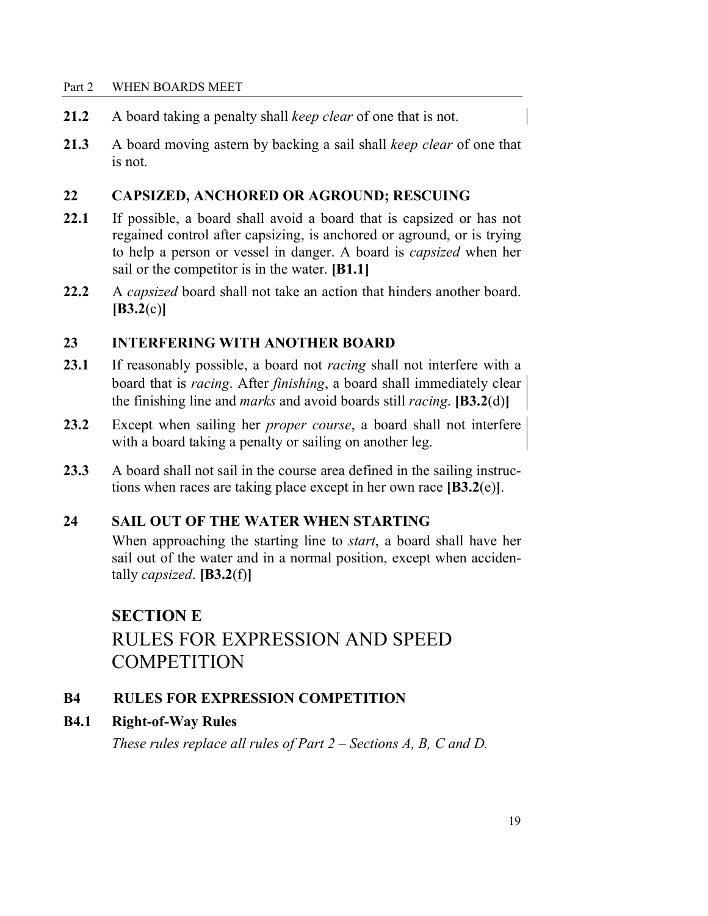- **21.2** A board taking a penalty shall *keep clear* of one that is not.
- **21.3** A board moving astern by backing a sail shall *keep clear* of one that is not.

### **22 CAPSIZED, ACHORED OR AGROUD; RESCUIG**

- **22.1** If possible, a board shall avoid a board that is capsized or has not regained control after capsizing, is anchored or aground, or is trying to help a person or vessel in danger. A board is *capsized* when her sail or the competitor is in the water. **[B1.1]**
- **22.2** A *capsized* board shall not take an action that hinders another board. **[B3.2**(c)**]**

# 23 **INTERFERING WITH ANOTHER BOARD**

- **23.1** If reasonably possible, a board not *racing* shall not interfere with a board that is *racing*. After *finishing*, a board shall immediately clear the finishing line and *marks* and avoid boards still *racing*. **[B3.2**(d)**]**
- **23.2** Except when sailing her *proper course*, a board shall not interfere with a board taking a penalty or sailing on another leg.
- **23.3** A board shall not sail in the course area defined in the sailing instructions when races are taking place except in her own race **[B3.2**(e)**]**.

# **24 SAIL OUT OF THE WATER WHEN STARTING**

When approaching the starting line to *start*, a board shall have her sail out of the water and in a normal position, except when accidentally *capsized*. **[B3.2**(f)**]**

# **SECTION E**

# RULES FOR EXPRESSION AND SPEED **COMPETITION**

# **B4 RULES FOR EXPRESSION COMPETITION**

# **B4.1 Right-of-Way Rules**

*These rules replace all rules of Part 2 – Sections A, B, C and D.*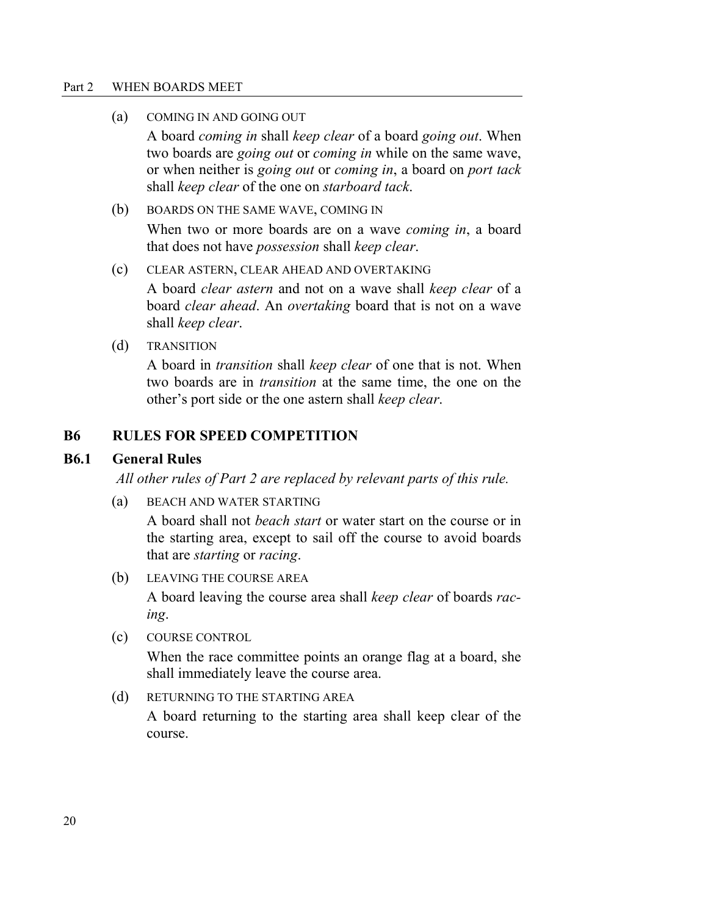(a) COMING IN AND GOING OUT

A board *coming in* shall *keep clear* of a board *going out*. When two boards are *going out* or *coming in* while on the same wave, or when neither is *going out* or *coming in*, a board on *port tack* shall *keep clear* of the one on *starboard tack*.

- (b) BOARDS ON THE SAME WAVE, COMING IN When two or more boards are on a wave *coming in*, a board that does not have *possession* shall *keep clear*.
- (c) CLEAR ASTERN, CLEAR AHEAD AND OVERTAKING

A board *clear astern* and not on a wave shall *keep clear* of a board *clear ahead*. An *overtaking* board that is not on a wave shall *keep clear*.

(d) TRANSITION

A board in *transition* shall *keep clear* of one that is not. When two boards are in *transition* at the same time, the one on the other's port side or the one astern shall *keep clear*.

#### **B6 RULES FOR SPEED COMPETITION**

### **B6.1 General Rules**

*All other rules of Part 2 are replaced by relevant parts of this rule.* 

(a) BEACH AND WATER STARTING

 A board shall not *beach start* or water start on the course or in the starting area, except to sail off the course to avoid boards that are *starting* or *racing*.

(b) LEAVING THE COURSE AREA

 A board leaving the course area shall *keep clear* of boards *racing*.

(c) COURSE CONTROL

 When the race committee points an orange flag at a board, she shall immediately leave the course area.

(d) RETURNING TO THE STARTING AREA

 A board returning to the starting area shall keep clear of the course.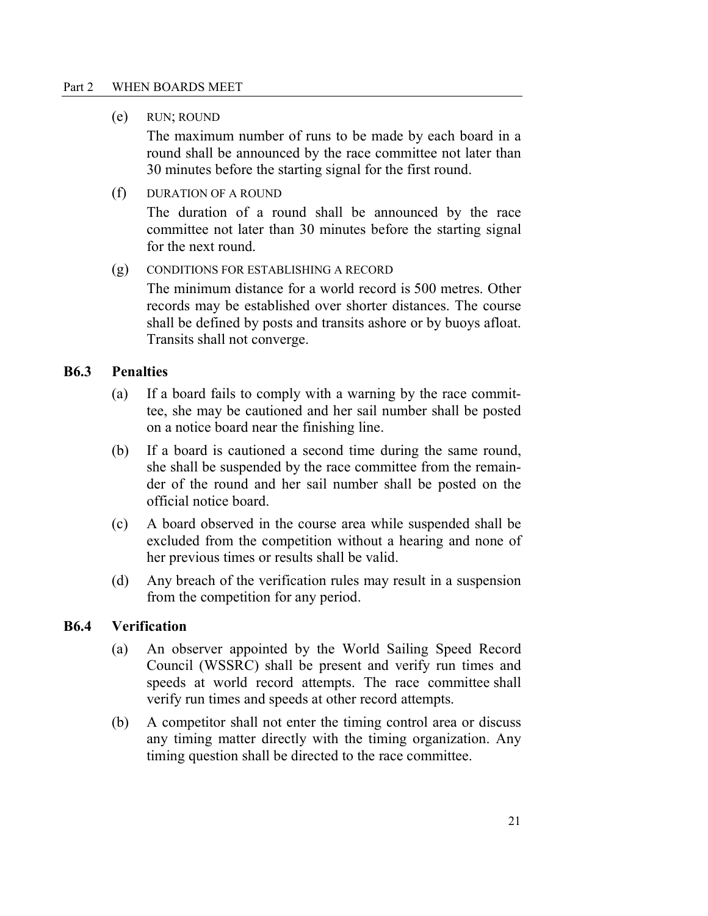#### (e) RUN; ROUND

 The maximum number of runs to be made by each board in a round shall be announced by the race committee not later than 30 minutes before the starting signal for the first round.

#### (f) DURATION OF A ROUND

 The duration of a round shall be announced by the race committee not later than 30 minutes before the starting signal for the next round.

#### (g) CONDITIONS FOR ESTABLISHING A RECORD

 The minimum distance for a world record is 500 metres. Other records may be established over shorter distances. The course shall be defined by posts and transits ashore or by buoys afloat. Transits shall not converge.

#### **B6.3 Penalties**

- (a) If a board fails to comply with a warning by the race committee, she may be cautioned and her sail number shall be posted on a notice board near the finishing line.
- (b) If a board is cautioned a second time during the same round, she shall be suspended by the race committee from the remainder of the round and her sail number shall be posted on the official notice board.
- (c) A board observed in the course area while suspended shall be excluded from the competition without a hearing and none of her previous times or results shall be valid.
- (d) Any breach of the verification rules may result in a suspension from the competition for any period.

#### **B6.4 Verification**

- (a) An observer appointed by the World Sailing Speed Record Council (WSSRC) shall be present and verify run times and speeds at world record attempts. The race committee shall verify run times and speeds at other record attempts.
- (b) A competitor shall not enter the timing control area or discuss any timing matter directly with the timing organization. Any timing question shall be directed to the race committee.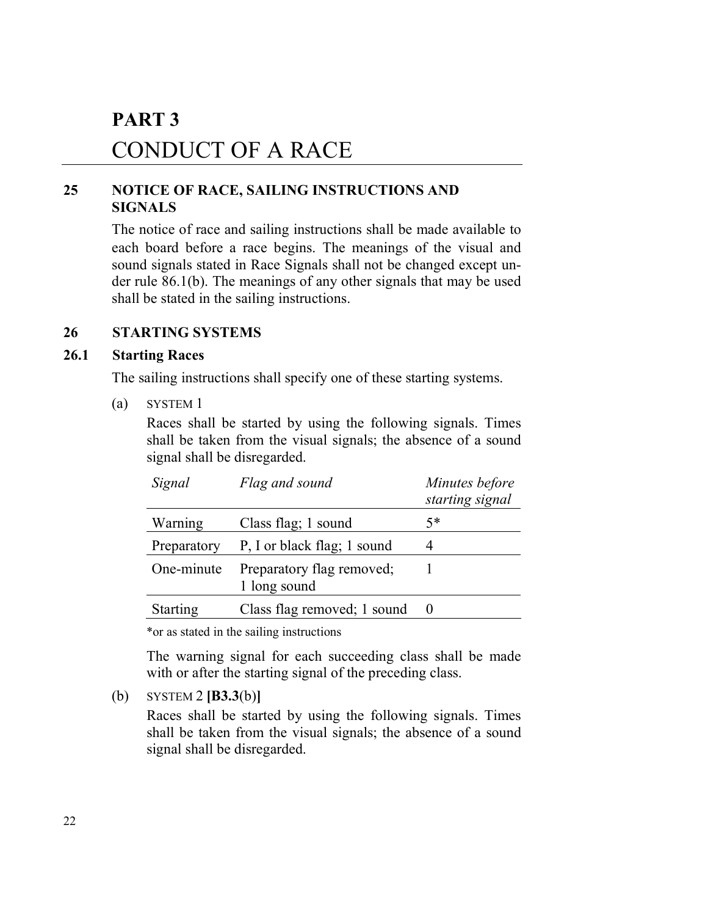# **PART 3**  CONDUCT OF A RACE

# **25 NOTICE OF RACE, SAILING INSTRUCTIONS AND SIGALS**

The notice of race and sailing instructions shall be made available to each board before a race begins. The meanings of the visual and sound signals stated in Race Signals shall not be changed except under rule 86.1(b). The meanings of any other signals that may be used shall be stated in the sailing instructions.

# **26 STARTIG SYSTEMS**

#### **26.1 Starting Races**

The sailing instructions shall specify one of these starting systems.

(a) SYSTEM 1

Races shall be started by using the following signals. Times shall be taken from the visual signals; the absence of a sound signal shall be disregarded.

| Signal          | Flag and sound                            | Minutes before<br>starting signal |
|-----------------|-------------------------------------------|-----------------------------------|
| Warning         | Class flag; 1 sound                       | $5*$                              |
| Preparatory     | P, I or black flag; 1 sound               |                                   |
| One-minute      | Preparatory flag removed;<br>1 long sound |                                   |
| <b>Starting</b> | Class flag removed; 1 sound               |                                   |

\*or as stated in the sailing instructions

The warning signal for each succeeding class shall be made with or after the starting signal of the preceding class.

(b) SYSTEM 2 **[B3.3**(b)**]** 

Races shall be started by using the following signals. Times shall be taken from the visual signals; the absence of a sound signal shall be disregarded.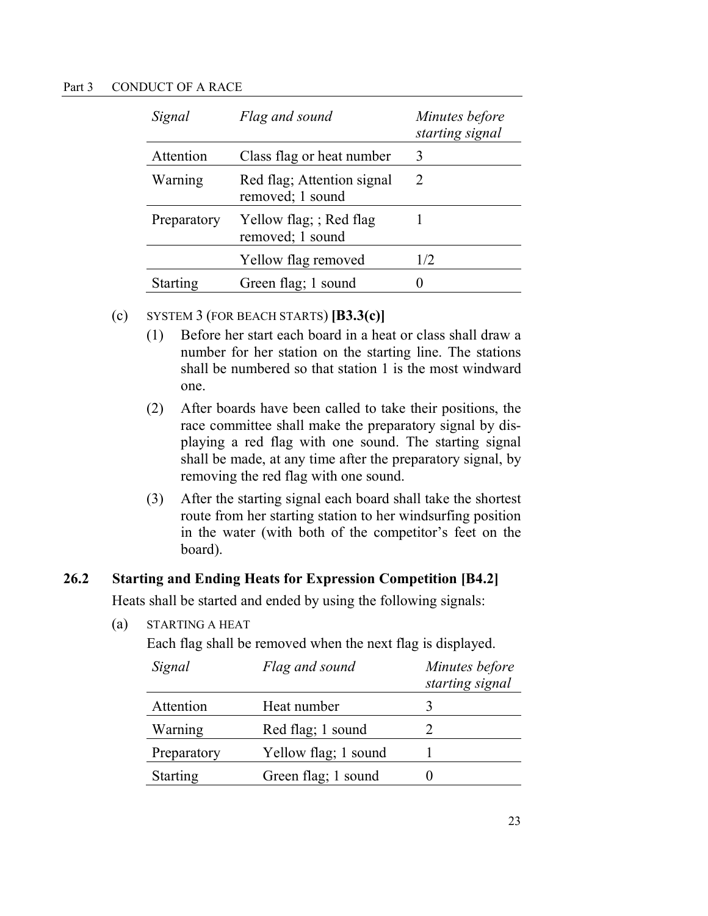| Signal          | Flag and sound                                 | Minutes before<br>starting signal |
|-----------------|------------------------------------------------|-----------------------------------|
| Attention       | Class flag or heat number                      | 3                                 |
| Warning         | Red flag; Attention signal<br>removed; 1 sound | 2                                 |
| Preparatory     | Yellow flag; ; Red flag<br>removed; 1 sound    |                                   |
|                 | Yellow flag removed                            | 1/2                               |
| <b>Starting</b> | Green flag; 1 sound                            |                                   |

#### (c) SYSTEM 3 (FOR BEACH STARTS) **[B3.3(c)]**

- (1) Before her start each board in a heat or class shall draw a number for her station on the starting line. The stations shall be numbered so that station 1 is the most windward one.
- (2) After boards have been called to take their positions, the race committee shall make the preparatory signal by displaying a red flag with one sound. The starting signal shall be made, at any time after the preparatory signal, by removing the red flag with one sound.
- (3) After the starting signal each board shall take the shortest route from her starting station to her windsurfing position in the water (with both of the competitor's feet on the board).

#### **26.2 Starting and Ending Heats for Expression Competition [B4.2]**

Heats shall be started and ended by using the following signals:

(a) STARTING A HEAT

Each flag shall be removed when the next flag is displayed.

| Signal          | Flag and sound       | Minutes before<br>starting signal |
|-----------------|----------------------|-----------------------------------|
| Attention       | Heat number          |                                   |
| Warning         | Red flag; 1 sound    |                                   |
| Preparatory     | Yellow flag; 1 sound |                                   |
| <b>Starting</b> | Green flag; 1 sound  |                                   |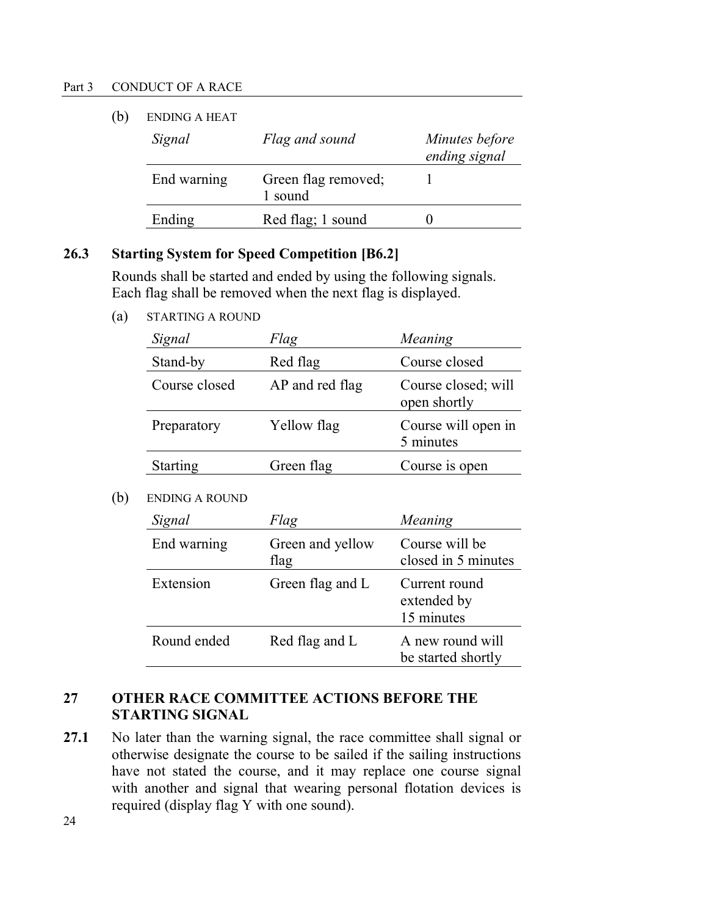(b) ENDING A HEAT

| Signal      | Flag and sound                 | Minutes before<br>ending signal |
|-------------|--------------------------------|---------------------------------|
| End warning | Green flag removed;<br>1 sound |                                 |
| Ending      | Red flag; 1 sound              |                                 |

#### **26.3 Starting System for Speed Competition [B6.2]**

Rounds shall be started and ended by using the following signals. Each flag shall be removed when the next flag is displayed.

(a) STARTING A ROUND

| Signal          | Flag            | Meaning                             |
|-----------------|-----------------|-------------------------------------|
| Stand-by        | Red flag        | Course closed                       |
| Course closed   | AP and red flag | Course closed; will<br>open shortly |
| Preparatory     | Yellow flag     | Course will open in<br>5 minutes    |
| <b>Starting</b> | Green flag      | Course is open                      |

#### (b) ENDING A ROUND

| Signal      | Flag                     | Meaning                                    |
|-------------|--------------------------|--------------------------------------------|
| End warning | Green and yellow<br>flag | Course will be<br>closed in 5 minutes      |
| Extension   | Green flag and L         | Current round<br>extended by<br>15 minutes |
| Round ended | Red flag and L           | A new round will<br>be started shortly     |

# **27 OTHER RACE COMMITTEE ACTIOS BEFORE THE STARTING SIGNAL**

**27.1** No later than the warning signal, the race committee shall signal or otherwise designate the course to be sailed if the sailing instructions have not stated the course, and it may replace one course signal with another and signal that wearing personal flotation devices is required (display flag Y with one sound).

24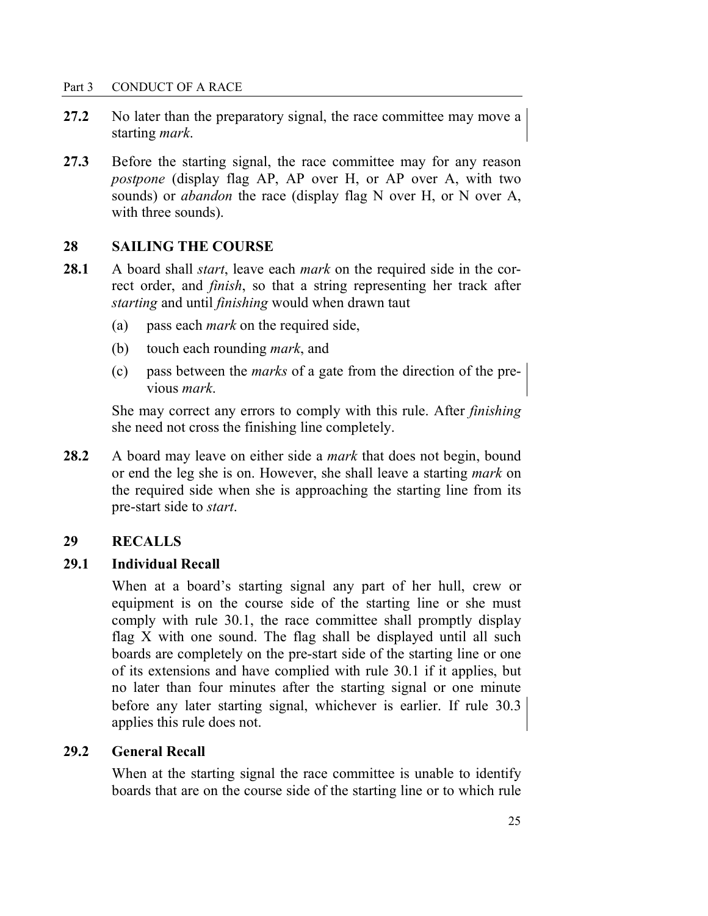- **27.2** No later than the preparatory signal, the race committee may move a starting *mark*.
- **27.3** Before the starting signal, the race committee may for any reason *postpone* (display flag AP, AP over H, or AP over A, with two sounds) or *abandon* the race (display flag N over H, or N over A, with three sounds).

#### 28 **SAILING THE COURSE**

- **28.1** A board shall *start*, leave each *mark* on the required side in the correct order, and *finish*, so that a string representing her track after *starting* and until *finishing* would when drawn taut
	- (a) pass each *mark* on the required side,
	- (b) touch each rounding *mark*, and
	- (c) pass between the *marks* of a gate from the direction of the previous *mark*.

She may correct any errors to comply with this rule. After *finishing* she need not cross the finishing line completely.

**28.2** A board may leave on either side a *mark* that does not begin, bound or end the leg she is on. However, she shall leave a starting *mark* on the required side when she is approaching the starting line from its pre-start side to *start*.

#### **29 RECALLS**

#### **29.1 Individual Recall**

When at a board's starting signal any part of her hull, crew or equipment is on the course side of the starting line or she must comply with rule 30.1, the race committee shall promptly display flag X with one sound. The flag shall be displayed until all such boards are completely on the pre-start side of the starting line or one of its extensions and have complied with rule 30.1 if it applies, but no later than four minutes after the starting signal or one minute before any later starting signal, whichever is earlier. If rule 30.3 applies this rule does not.

#### **29.2 General Recall**

When at the starting signal the race committee is unable to identify boards that are on the course side of the starting line or to which rule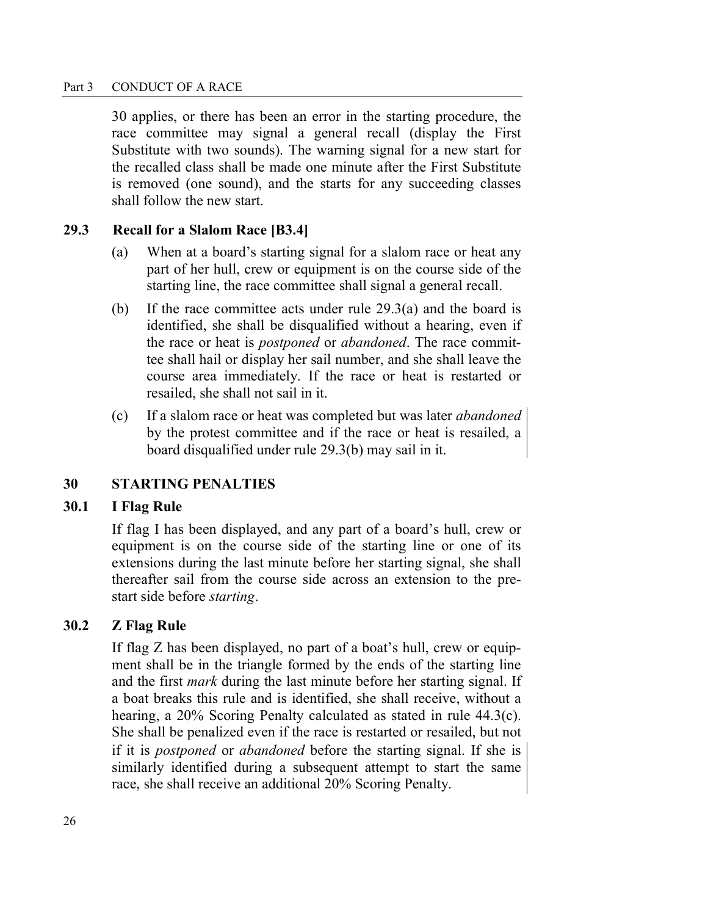30 applies, or there has been an error in the starting procedure, the race committee may signal a general recall (display the First Substitute with two sounds). The warning signal for a new start for the recalled class shall be made one minute after the First Substitute is removed (one sound), and the starts for any succeeding classes shall follow the new start.

### **29.3 Recall for a Slalom Race [B3.4]**

- (a) When at a board's starting signal for a slalom race or heat any part of her hull, crew or equipment is on the course side of the starting line, the race committee shall signal a general recall.
- (b) If the race committee acts under rule 29.3(a) and the board is identified, she shall be disqualified without a hearing, even if the race or heat is *postponed* or *abandoned*. The race committee shall hail or display her sail number, and she shall leave the course area immediately. If the race or heat is restarted or resailed, she shall not sail in it.
- (c) If a slalom race or heat was completed but was later *abandoned* by the protest committee and if the race or heat is resailed, a board disqualified under rule 29.3(b) may sail in it.

#### **30 STARTIG PEALTIES**

#### **30.1 I Flag Rule**

If flag I has been displayed, and any part of a board's hull, crew or equipment is on the course side of the starting line or one of its extensions during the last minute before her starting signal, she shall thereafter sail from the course side across an extension to the prestart side before *starting*.

### **30.2 Z Flag Rule**

If flag Z has been displayed, no part of a boat's hull, crew or equipment shall be in the triangle formed by the ends of the starting line and the first *mark* during the last minute before her starting signal. If a boat breaks this rule and is identified, she shall receive, without a hearing, a 20% Scoring Penalty calculated as stated in rule 44.3(c). She shall be penalized even if the race is restarted or resailed, but not if it is *postponed* or *abandoned* before the starting signal. If she is similarly identified during a subsequent attempt to start the same race, she shall receive an additional 20% Scoring Penalty.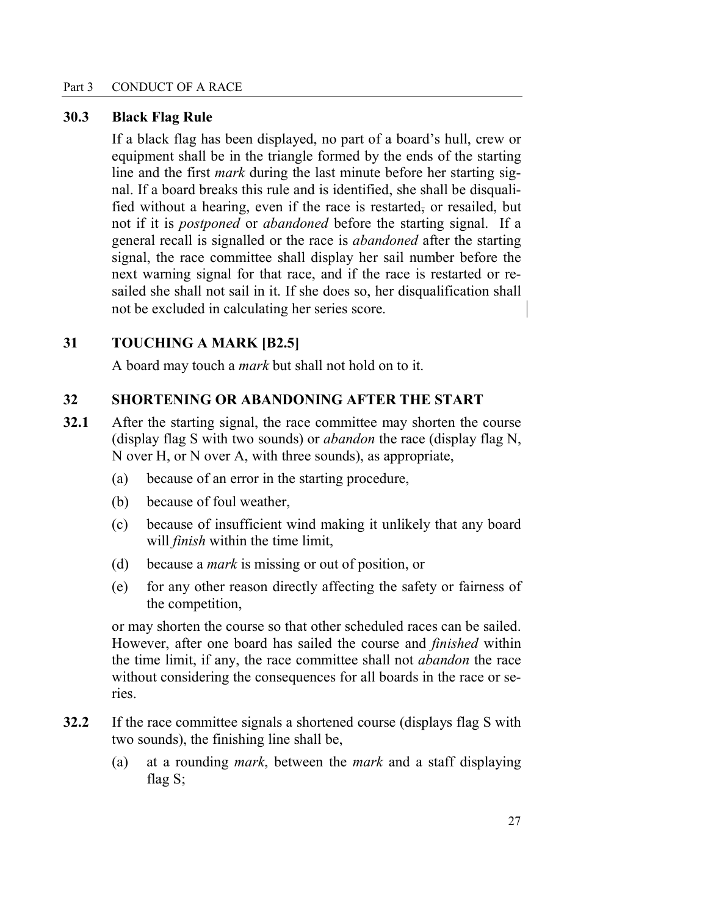### **30.3 Black Flag Rule**

If a black flag has been displayed, no part of a board's hull, crew or equipment shall be in the triangle formed by the ends of the starting line and the first *mark* during the last minute before her starting signal. If a board breaks this rule and is identified, she shall be disqualified without a hearing, even if the race is restarted, or resailed, but not if it is *postponed* or *abandoned* before the starting signal. If a general recall is signalled or the race is *abandoned* after the starting signal, the race committee shall display her sail number before the next warning signal for that race, and if the race is restarted or resailed she shall not sail in it. If she does so, her disqualification shall not be excluded in calculating her series score.

#### **31** TOUCHING A MARK [B2.5]

A board may touch a *mark* but shall not hold on to it.

#### **32 SHORTENING OR ABANDONING AFTER THE START**

- **32.1** After the starting signal, the race committee may shorten the course (display flag S with two sounds) or *abandon* the race (display flag N, N over H, or N over A, with three sounds), as appropriate,
	- (a) because of an error in the starting procedure,
	- (b) because of foul weather,
	- (c) because of insufficient wind making it unlikely that any board will *finish* within the time limit,
	- (d) because a *mark* is missing or out of position, or
	- (e) for any other reason directly affecting the safety or fairness of the competition,

or may shorten the course so that other scheduled races can be sailed. However, after one board has sailed the course and *finished* within the time limit, if any, the race committee shall not *abandon* the race without considering the consequences for all boards in the race or series.

- **32.2** If the race committee signals a shortened course (displays flag S with two sounds), the finishing line shall be,
	- (a) at a rounding *mark*, between the *mark* and a staff displaying flag S;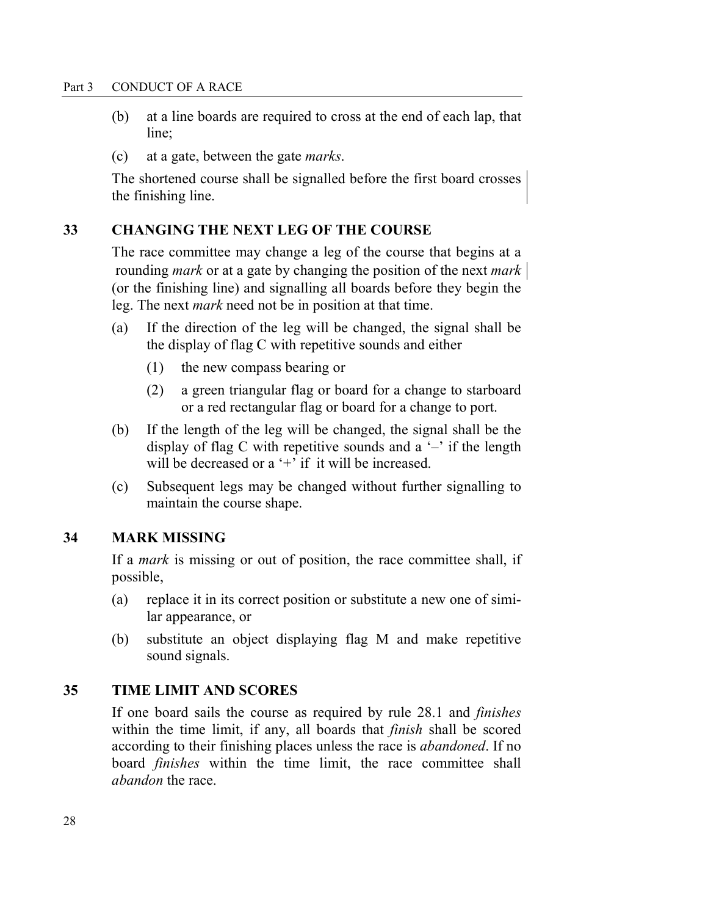- (b) at a line boards are required to cross at the end of each lap, that line;
- (c) at a gate, between the gate *marks*.

The shortened course shall be signalled before the first board crosses the finishing line.

# **33 CHANGING THE NEXT LEG OF THE COURSE**

The race committee may change a leg of the course that begins at a rounding *mark* or at a gate by changing the position of the next *mark* (or the finishing line) and signalling all boards before they begin the leg. The next *mark* need not be in position at that time.

- (a) If the direction of the leg will be changed, the signal shall be the display of flag C with repetitive sounds and either
	- (1) the new compass bearing or
	- (2) a green triangular flag or board for a change to starboard or a red rectangular flag or board for a change to port.
- (b) If the length of the leg will be changed, the signal shall be the display of flag C with repetitive sounds and  $a -$  if the length will be decreased or a '+' if it will be increased.
- (c) Subsequent legs may be changed without further signalling to maintain the course shape.

# **34 MARK MISSIG**

If a *mark* is missing or out of position, the race committee shall, if possible,

- (a) replace it in its correct position or substitute a new one of similar appearance, or
- (b) substitute an object displaying flag M and make repetitive sound signals.

# **35 TIME LIMIT AD SCORES**

If one board sails the course as required by rule 28.1 and *finishes* within the time limit, if any, all boards that *finish* shall be scored according to their finishing places unless the race is *abandoned*. If no board *finishes* within the time limit, the race committee shall *abandon* the race.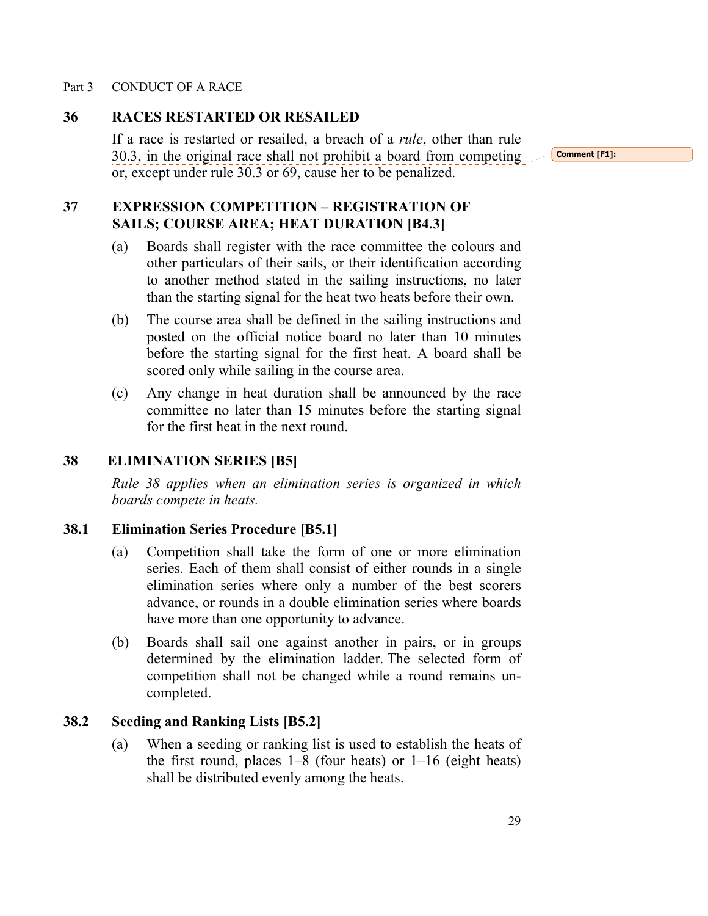#### **36 RACES RESTARTED OR RESAILED**

If a race is restarted or resailed, a breach of a *rule*, other than rule 30.3, in the original race shall not prohibit a board from competing or, except under rule 30.3 or 69, cause her to be penalized.

**Comment [F1]:** 

# **37 EXPRESSION COMPETITION – REGISTRATION OF SAILS; COURSE AREA; HEAT DURATION [B4.3]**

- (a) Boards shall register with the race committee the colours and other particulars of their sails, or their identification according to another method stated in the sailing instructions, no later than the starting signal for the heat two heats before their own.
- (b) The course area shall be defined in the sailing instructions and posted on the official notice board no later than 10 minutes before the starting signal for the first heat. A board shall be scored only while sailing in the course area.
- (c) Any change in heat duration shall be announced by the race committee no later than 15 minutes before the starting signal for the first heat in the next round.

# **38 ELIMINATION SERIES [B5]**

*Rule 38 applies when an elimination series is organized in which boards compete in heats.* 

#### **38.1 Elimination Series Procedure [B5.1]**

- (a) Competition shall take the form of one or more elimination series. Each of them shall consist of either rounds in a single elimination series where only a number of the best scorers advance, or rounds in a double elimination series where boards have more than one opportunity to advance.
- (b) Boards shall sail one against another in pairs, or in groups determined by the elimination ladder. The selected form of competition shall not be changed while a round remains uncompleted.

#### **38.2 Seeding and Ranking Lists [B5.2]**

(a) When a seeding or ranking list is used to establish the heats of the first round, places 1–8 (four heats) or 1–16 (eight heats) shall be distributed evenly among the heats.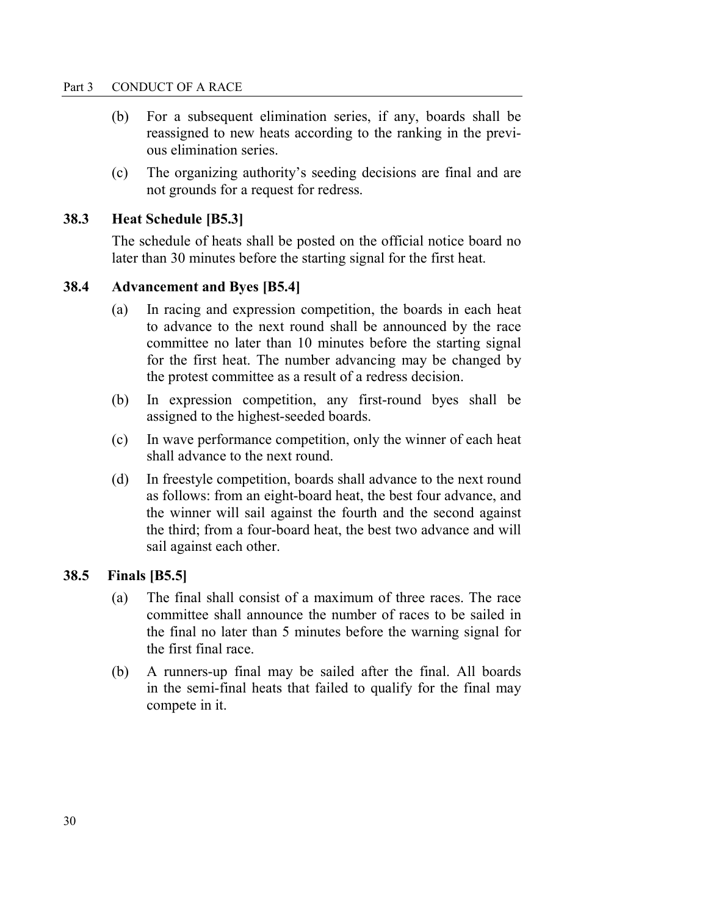- (b) For a subsequent elimination series, if any, boards shall be reassigned to new heats according to the ranking in the previous elimination series.
- (c) The organizing authority's seeding decisions are final and are not grounds for a request for redress.

### **38.3 Heat Schedule [B5.3]**

The schedule of heats shall be posted on the official notice board no later than 30 minutes before the starting signal for the first heat.

### **38.4 Advancement and Byes [B5.4]**

- (a) In racing and expression competition, the boards in each heat to advance to the next round shall be announced by the race committee no later than 10 minutes before the starting signal for the first heat. The number advancing may be changed by the protest committee as a result of a redress decision.
- (b) In expression competition, any first-round byes shall be assigned to the highest-seeded boards.
- (c) In wave performance competition, only the winner of each heat shall advance to the next round.
- (d) In freestyle competition, boards shall advance to the next round as follows: from an eight-board heat, the best four advance, and the winner will sail against the fourth and the second against the third; from a four-board heat, the best two advance and will sail against each other.

#### **38.5 Finals [B5.5]**

- (a) The final shall consist of a maximum of three races. The race committee shall announce the number of races to be sailed in the final no later than 5 minutes before the warning signal for the first final race.
- (b) A runners-up final may be sailed after the final. All boards in the semi-final heats that failed to qualify for the final may compete in it.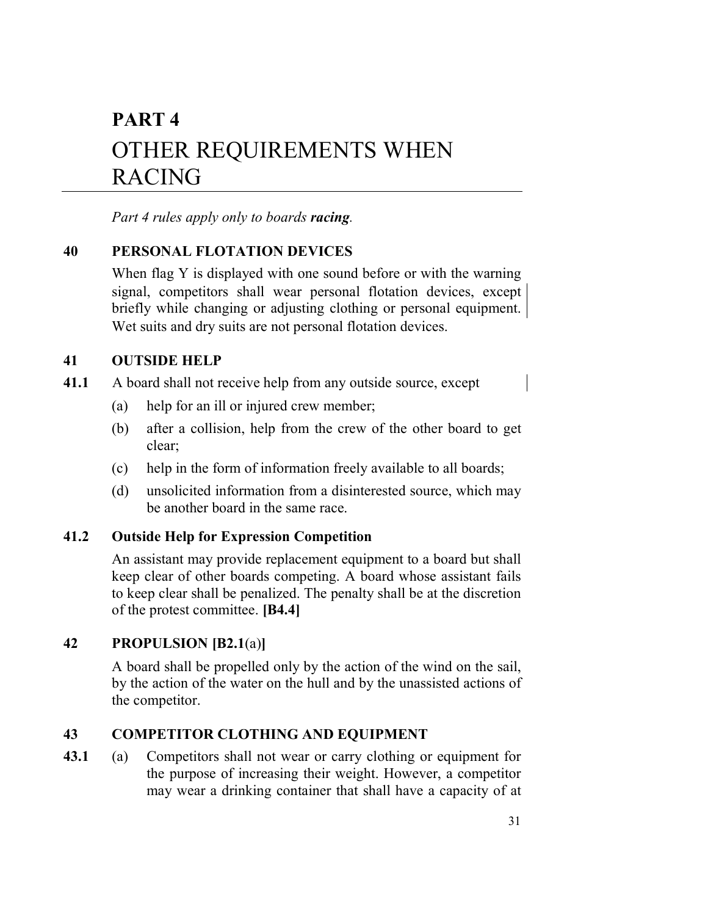# **PART 4**  OTHER REQUIREMENTS WHEN RACING

*Part 4 rules apply only to boards racing.*

# **40 PERSONAL FLOTATION DEVICES**

When flag Y is displayed with one sound before or with the warning signal, competitors shall wear personal flotation devices, except briefly while changing or adjusting clothing or personal equipment. Wet suits and dry suits are not personal flotation devices.

# **41 OUTSIDE HELP**

- **41.1** A board shall not receive help from any outside source, except
	- (a) help for an ill or injured crew member;
	- (b) after a collision, help from the crew of the other board to get clear;
	- (c) help in the form of information freely available to all boards;
	- (d) unsolicited information from a disinterested source, which may be another board in the same race.

# **41.2 Outside Help for Expression Competition**

An assistant may provide replacement equipment to a board but shall keep clear of other boards competing. A board whose assistant fails to keep clear shall be penalized. The penalty shall be at the discretion of the protest committee. **[B4.4]**

# **42 PROPULSION** [**B2.1**(a)]

A board shall be propelled only by the action of the wind on the sail, by the action of the water on the hull and by the unassisted actions of the competitor.

# **43 COMPETITOR CLOTHING AND EQUIPMENT**

**43.1** (a) Competitors shall not wear or carry clothing or equipment for the purpose of increasing their weight. However, a competitor may wear a drinking container that shall have a capacity of at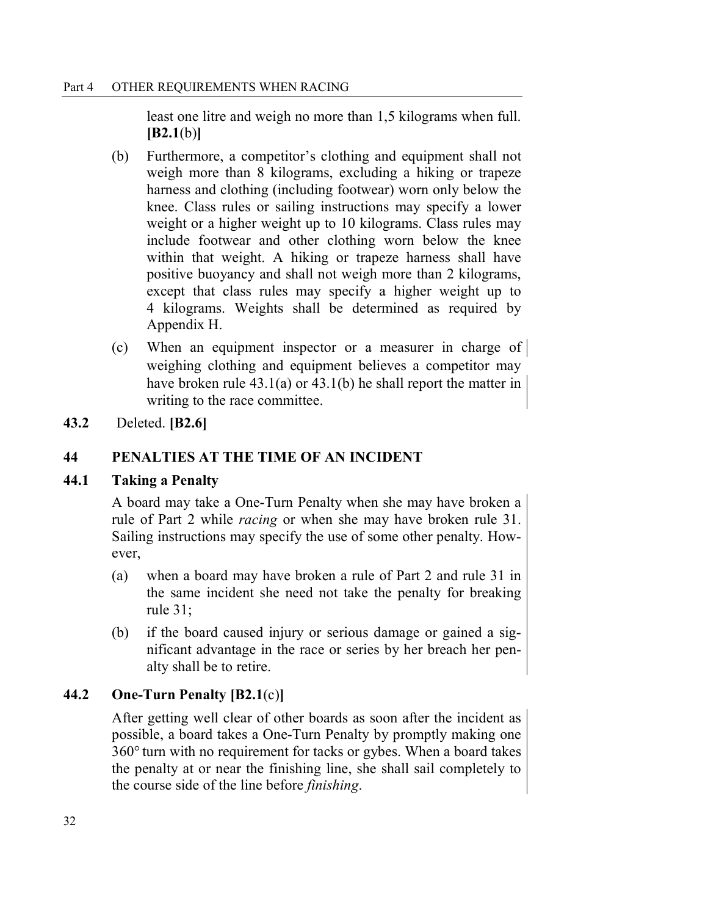least one litre and weigh no more than 1,5 kilograms when full. **[B2.1**(b)**]**

- (b) Furthermore, a competitor's clothing and equipment shall not weigh more than 8 kilograms, excluding a hiking or trapeze harness and clothing (including footwear) worn only below the knee. Class rules or sailing instructions may specify a lower weight or a higher weight up to 10 kilograms. Class rules may include footwear and other clothing worn below the knee within that weight. A hiking or trapeze harness shall have positive buoyancy and shall not weigh more than 2 kilograms, except that class rules may specify a higher weight up to 4 kilograms. Weights shall be determined as required by Appendix H.
- (c) When an equipment inspector or a measurer in charge of weighing clothing and equipment believes a competitor may have broken rule 43.1(a) or 43.1(b) he shall report the matter in writing to the race committee.
- **43.2** Deleted. **[B2.6]**

# **44 PENALTIES AT THE TIME OF AN INCIDENT**

# **44.1 Taking a Penalty**

 A board may take a One-Turn Penalty when she may have broken a rule of Part 2 while *racing* or when she may have broken rule 31. Sailing instructions may specify the use of some other penalty. However,

- (a) when a board may have broken a rule of Part 2 and rule 31 in the same incident she need not take the penalty for breaking rule 31;
- (b) if the board caused injury or serious damage or gained a significant advantage in the race or series by her breach her penalty shall be to retire.

# **44.2 One-Turn Penalty [B2.1**(c)**]**

After getting well clear of other boards as soon after the incident as possible, a board takes a One-Turn Penalty by promptly making one 360° turn with no requirement for tacks or gybes. When a board takes the penalty at or near the finishing line, she shall sail completely to the course side of the line before *finishing*.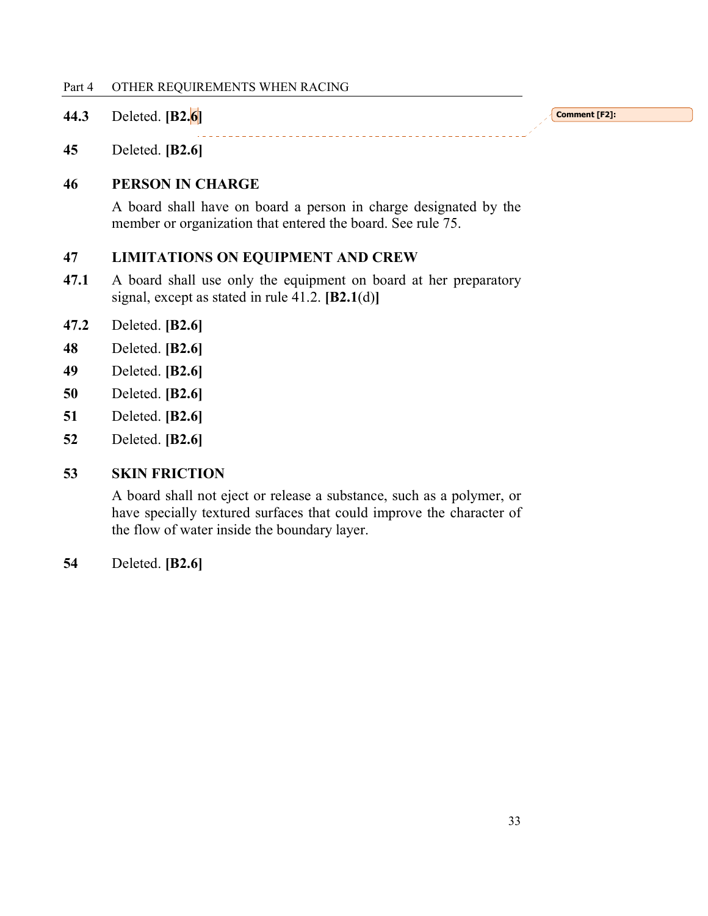#### Part 4 OTHER REQUIREMENTS WHEN RACING

**44.3** Deleted. **[B2.6]**

**Comment [F2]:** 

**45** Deleted. **[B2.6]**

# **46 PERSON IN CHARGE**

A board shall have on board a person in charge designated by the member or organization that entered the board. See rule 75.

#### **47 LIMITATIONS ON EQUIPMENT AND CREW**

- **47.1** A board shall use only the equipment on board at her preparatory signal, except as stated in rule 41.2. **[B2.1**(d)**]**
- **47.2** Deleted. **[B2.6]**
- **48** Deleted. **[B2.6]**
- **49** Deleted. **[B2.6]**
- **50** Deleted. **[B2.6]**
- **51** Deleted. **[B2.6]**
- **52** Deleted. **[B2.6]**

#### **53** SKIN FRICTION

A board shall not eject or release a substance, such as a polymer, or have specially textured surfaces that could improve the character of the flow of water inside the boundary layer.

**54** Deleted. **[B2.6]**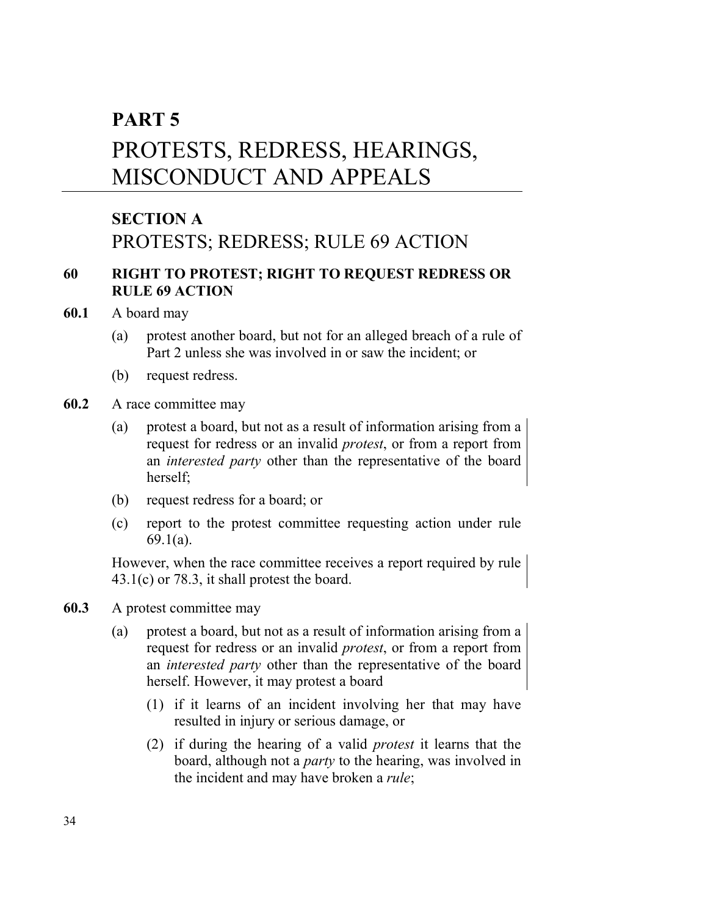## **PART 5**

# PROTESTS, REDRESS, HEARINGS, MISCONDUCT AND APPEALS

## **SECTION A** PROTESTS; REDRESS; RULE 69 ACTION

## **60 RIGHT TO PROTEST; RIGHT TO REQUEST REDRESS OR RULE 69 ACTIO**

- **60.1** A board may
	- (a) protest another board, but not for an alleged breach of a rule of Part 2 unless she was involved in or saw the incident; or
	- (b) request redress.
- **60.2** A race committee may
	- (a) protest a board, but not as a result of information arising from a request for redress or an invalid *protest*, or from a report from an *interested party* other than the representative of the board herself;
	- (b) request redress for a board; or
	- (c) report to the protest committee requesting action under rule 69.1(a).

However, when the race committee receives a report required by rule 43.1(c) or 78.3, it shall protest the board.

- **60.3** A protest committee may
	- (a) protest a board, but not as a result of information arising from a request for redress or an invalid *protest*, or from a report from an *interested party* other than the representative of the board herself. However, it may protest a board
		- (1) if it learns of an incident involving her that may have resulted in injury or serious damage, or
		- (2) if during the hearing of a valid *protest* it learns that the board, although not a *party* to the hearing, was involved in the incident and may have broken a *rule*;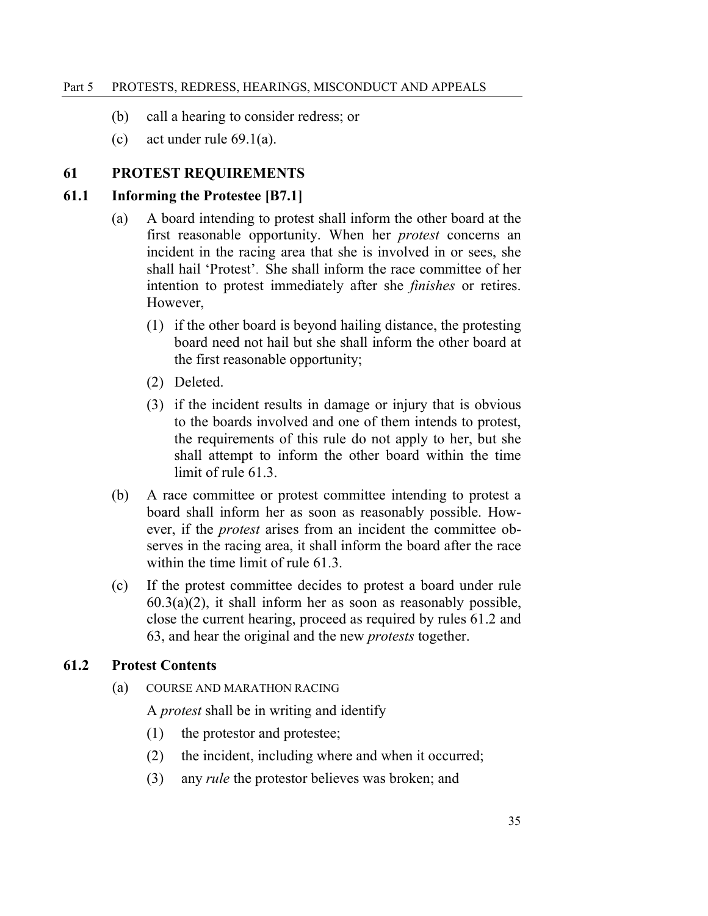- (b) call a hearing to consider redress; or
- (c) act under rule  $69.1(a)$ .

## **61 PROTEST REQUIREMETS**

## **61.1 Informing the Protestee [B7.1]**

- (a) A board intending to protest shall inform the other board at the first reasonable opportunity. When her *protest* concerns an incident in the racing area that she is involved in or sees, she shall hail 'Protest'. She shall inform the race committee of her intention to protest immediately after she *finishes* or retires. However,
	- (1) if the other board is beyond hailing distance, the protesting board need not hail but she shall inform the other board at the first reasonable opportunity;
	- (2) Deleted.
	- (3) if the incident results in damage or injury that is obvious to the boards involved and one of them intends to protest, the requirements of this rule do not apply to her, but she shall attempt to inform the other board within the time limit of rule 61.3.
- (b) A race committee or protest committee intending to protest a board shall inform her as soon as reasonably possible. However, if the *protest* arises from an incident the committee observes in the racing area, it shall inform the board after the race within the time limit of rule 61.3.
- (c) If the protest committee decides to protest a board under rule  $60.3(a)(2)$ , it shall inform her as soon as reasonably possible, close the current hearing, proceed as required by rules 61.2 and 63, and hear the original and the new *protests* together.

## **61.2 Protest Contents**

(a)COURSE AND MARATHON RACING

A *protest* shall be in writing and identify

- (1) the protestor and protestee;
- (2) the incident, including where and when it occurred;
- (3) any *rule* the protestor believes was broken; and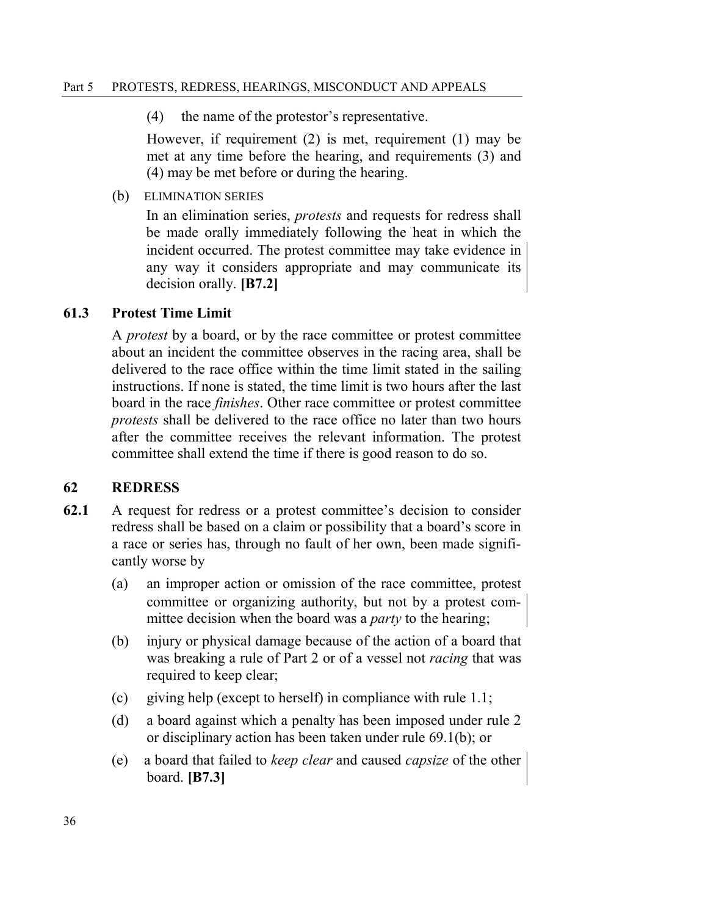(4) the name of the protestor's representative.

However, if requirement (2) is met, requirement (1) may be met at any time before the hearing, and requirements (3) and (4) may be met before or during the hearing.

(b)ELIMINATION SERIES

 In an elimination series, *protests* and requests for redress shall be made orally immediately following the heat in which the incident occurred. The protest committee may take evidence in any way it considers appropriate and may communicate its decision orally. **[B7.2]**

## **61.3 Protest Time Limit**

A *protest* by a board, or by the race committee or protest committee about an incident the committee observes in the racing area, shall be delivered to the race office within the time limit stated in the sailing instructions. If none is stated, the time limit is two hours after the last board in the race *finishes*. Other race committee or protest committee *protests* shall be delivered to the race office no later than two hours after the committee receives the relevant information. The protest committee shall extend the time if there is good reason to do so.

## **62 REDRESS**

- **62.1** A request for redress or a protest committee's decision to consider redress shall be based on a claim or possibility that a board's score in a race or series has, through no fault of her own, been made significantly worse by
	- (a) an improper action or omission of the race committee, protest committee or organizing authority, but not by a protest committee decision when the board was a *party* to the hearing;
	- (b) injury or physical damage because of the action of a board that was breaking a rule of Part 2 or of a vessel not *racing* that was required to keep clear;
	- (c) giving help (except to herself) in compliance with rule 1.1;
	- (d) a board against which a penalty has been imposed under rule 2 or disciplinary action has been taken under rule 69.1(b); or
	- (e) a board that failed to *keep clear* and caused *capsize* of the other board. **[B7.3]**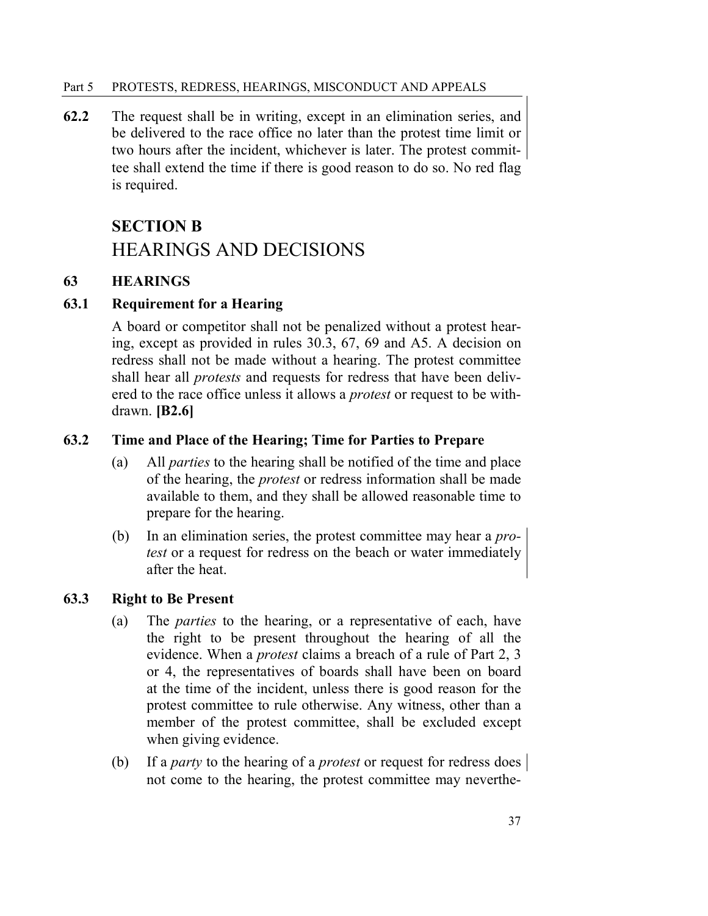#### Part 5 PROTESTS, REDRESS, HEARINGS, MISCONDUCT AND APPEALS

**62.2** The request shall be in writing, except in an elimination series, and be delivered to the race office no later than the protest time limit or two hours after the incident, whichever is later. The protest commit tee shall extend the time if there is good reason to do so. No red flag is required.

## **SECTION B** HEARINGS AND DECISIONS

## **63 HEARIGS**

## **63.1 Requirement for a Hearing**

A board or competitor shall not be penalized without a protest hearing, except as provided in rules 30.3, 67, 69 and A5. A decision on redress shall not be made without a hearing. The protest committee shall hear all *protests* and requests for redress that have been delivered to the race office unless it allows a *protest* or request to be withdrawn. **[B2.6]** 

## **63.2 Time and Place of the Hearing; Time for Parties to Prepare**

- (a) All *parties* to the hearing shall be notified of the time and place of the hearing, the *protest* or redress information shall be made available to them, and they shall be allowed reasonable time to prepare for the hearing.
- (b)In an elimination series, the protest committee may hear a *pro test* or a request for redress on the beach or water immediately after the heat.

## **63.3 Right to Be Present**

- (a) The *parties* to the hearing, or a representative of each, have the right to be present throughout the hearing of all the evidence. When a *protest* claims a breach of a rule of Part 2, 3 or 4, the representatives of boards shall have been on board at the time of the incident, unless there is good reason for the protest committee to rule otherwise. Any witness, other than a member of the protest committee, shall be excluded except when giving evidence.
- (b) If a *party* to the hearing of a *protest* or request for redress does not come to the hearing, the protest committee may neverthe-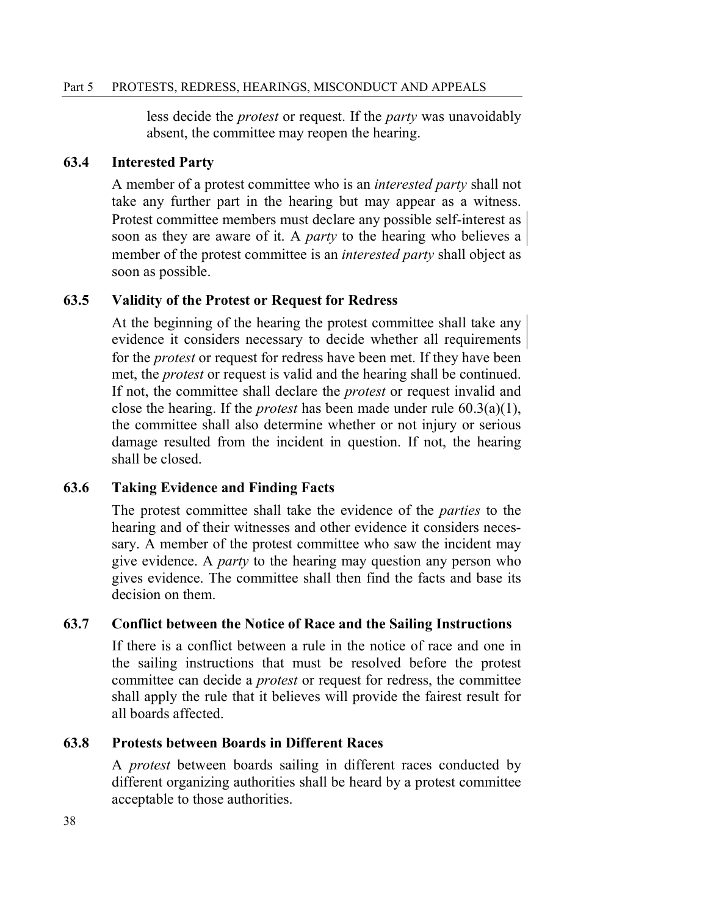#### Part 5 PROTESTS, REDRESS, HEARINGS, MISCONDUCT AND APPEALS

 less decide the *protest* or request. If the *party* was unavoidably absent, the committee may reopen the hearing.

## **63.4 Interested Party**

A member of a protest committee who is an *interested party* shall not take any further part in the hearing but may appear as a witness. Protest committee members must declare any possible self-interest as soon as they are aware of it. A *party* to the hearing who believes a member of the protest committee is an *interested party* shall object as soon as possible.

## **63.5 Validity of the Protest or Request for Redress**

At the beginning of the hearing the protest committee shall take any evidence it considers necessary to decide whether all requirements for the *protest* or request for redress have been met. If they have been met, the *protest* or request is valid and the hearing shall be continued. If not, the committee shall declare the *protest* or request invalid and close the hearing. If the *protest* has been made under rule 60.3(a)(1), the committee shall also determine whether or not injury or serious damage resulted from the incident in question. If not, the hearing shall be closed.

## **63.6 Taking Evidence and Finding Facts**

The protest committee shall take the evidence of the *parties* to the hearing and of their witnesses and other evidence it considers necessary. A member of the protest committee who saw the incident may give evidence. A *party* to the hearing may question any person who gives evidence. The committee shall then find the facts and base its decision on them.

## **63.7** Conflict between the Notice of Race and the Sailing Instructions

If there is a conflict between a rule in the notice of race and one in the sailing instructions that must be resolved before the protest committee can decide a *protest* or request for redress, the committee shall apply the rule that it believes will provide the fairest result for all boards affected.

## **63.8 Protests between Boards in Different Races**

A *protest* between boards sailing in different races conducted by different organizing authorities shall be heard by a protest committee acceptable to those authorities.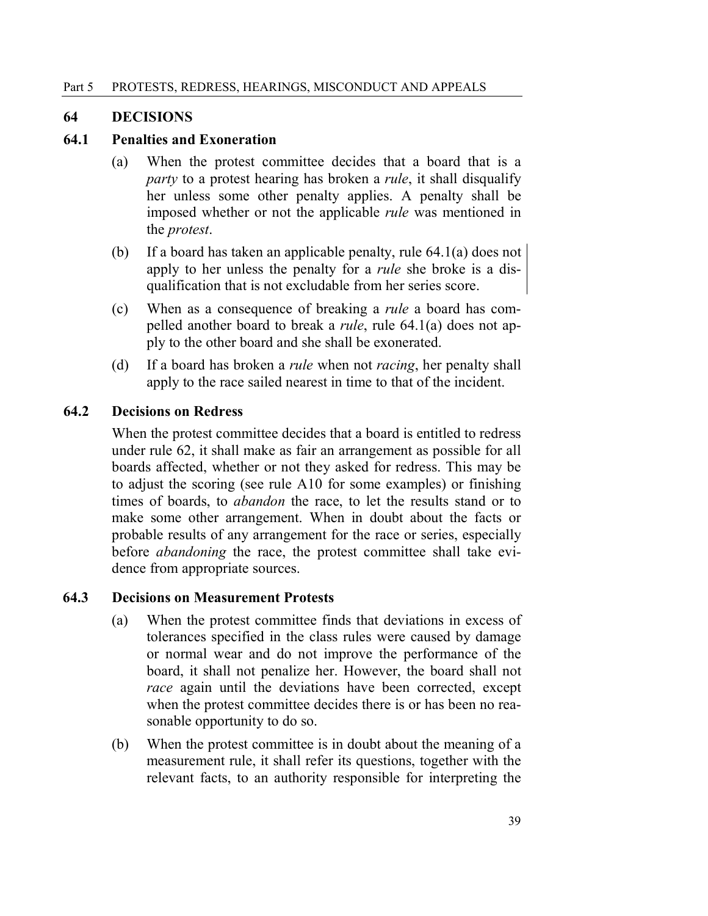#### **64 DECISIOS**

#### **64.1 Penalties and Exoneration**

- (a) When the protest committee decides that a board that is a *party* to a protest hearing has broken a *rule*, it shall disqualify her unless some other penalty applies. A penalty shall be imposed whether or not the applicable *rule* was mentioned in the *protest*.
- (b) If a board has taken an applicable penalty, rule 64.1(a) does not apply to her unless the penalty for a *rule* she broke is a disqualification that is not excludable from her series score.
- (c) When as a consequence of breaking a *rule* a board has compelled another board to break a *rule*, rule 64.1(a) does not apply to the other board and she shall be exonerated.
- (d) If a board has broken a *rule* when not *racing*, her penalty shall apply to the race sailed nearest in time to that of the incident.

## **64.2 Decisions on Redress**

When the protest committee decides that a board is entitled to redress under rule 62, it shall make as fair an arrangement as possible for all boards affected, whether or not they asked for redress. This may be to adjust the scoring (see rule A10 for some examples) or finishing times of boards, to *abandon* the race, to let the results stand or to make some other arrangement. When in doubt about the facts or probable results of any arrangement for the race or series, especially before *abandoning* the race, the protest committee shall take evidence from appropriate sources.

### **64.3 Decisions on Measurement Protests**

- (a) When the protest committee finds that deviations in excess of tolerances specified in the class rules were caused by damage or normal wear and do not improve the performance of the board, it shall not penalize her. However, the board shall not *race* again until the deviations have been corrected, except when the protest committee decides there is or has been no reasonable opportunity to do so.
- (b) When the protest committee is in doubt about the meaning of a measurement rule, it shall refer its questions, together with the relevant facts, to an authority responsible for interpreting the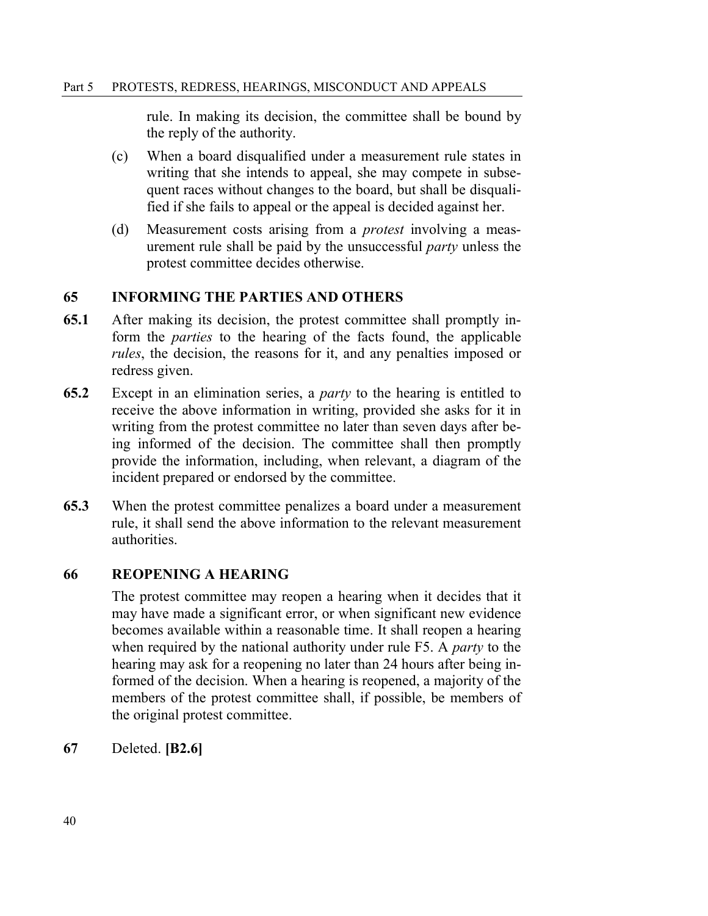rule. In making its decision, the committee shall be bound by the reply of the authority.

- (c) When a board disqualified under a measurement rule states in writing that she intends to appeal, she may compete in subsequent races without changes to the board, but shall be disqualified if she fails to appeal or the appeal is decided against her.
- (d) Measurement costs arising from a *protest* involving a measurement rule shall be paid by the unsuccessful *party* unless the protest committee decides otherwise.

## **65 INFORMING THE PARTIES AND OTHERS**

- **65.1** After making its decision, the protest committee shall promptly inform the *parties* to the hearing of the facts found, the applicable *rules*, the decision, the reasons for it, and any penalties imposed or redress given.
- **65.2** Except in an elimination series, a *party* to the hearing is entitled to receive the above information in writing, provided she asks for it in writing from the protest committee no later than seven days after being informed of the decision. The committee shall then promptly provide the information, including, when relevant, a diagram of the incident prepared or endorsed by the committee.
- **65.3** When the protest committee penalizes a board under a measurement rule, it shall send the above information to the relevant measurement authorities.

## **66 REOPENING A HEARING**

The protest committee may reopen a hearing when it decides that it may have made a significant error, or when significant new evidence becomes available within a reasonable time. It shall reopen a hearing when required by the national authority under rule F5. A *party* to the hearing may ask for a reopening no later than 24 hours after being informed of the decision. When a hearing is reopened, a majority of the members of the protest committee shall, if possible, be members of the original protest committee.

**67** Deleted. **[B2.6]**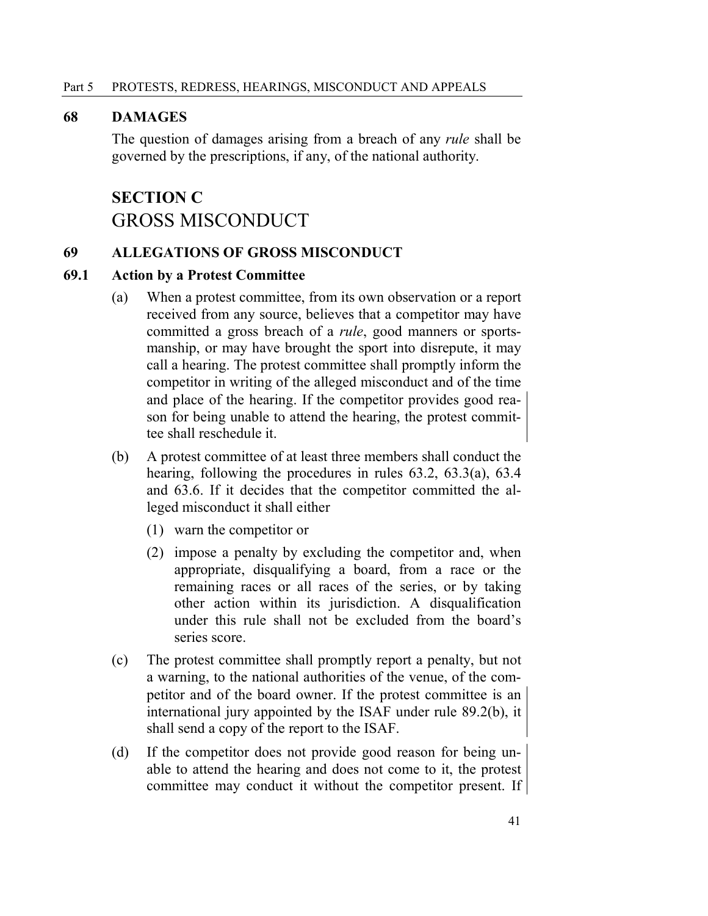#### **68 DAMAGES**

The question of damages arising from a breach of any *rule* shall be governed by the prescriptions, if any, of the national authority.

## **SECTION C** GROSS MISCONDUCT

#### **69 ALLEGATIOS OF GROSS MISCODUCT**

#### **69.1 Action by a Protest Committee**

- (a) When a protest committee, from its own observation or a report received from any source, believes that a competitor may have committed a gross breach of a *rule*, good manners or sportsmanship, or may have brought the sport into disrepute, it may call a hearing. The protest committee shall promptly inform the competitor in writing of the alleged misconduct and of the time and place of the hearing. If the competitor provides good reason for being unable to attend the hearing, the protest committee shall reschedule it.
- (b) A protest committee of at least three members shall conduct the hearing, following the procedures in rules 63.2, 63.3(a), 63.4 and 63.6. If it decides that the competitor committed the alleged misconduct it shall either
	- (1) warn the competitor or
	- (2) impose a penalty by excluding the competitor and, when appropriate, disqualifying a board, from a race or the remaining races or all races of the series, or by taking other action within its jurisdiction. A disqualification under this rule shall not be excluded from the board's series score.
- (c) The protest committee shall promptly report a penalty, but not a warning, to the national authorities of the venue, of the com petitor and of the board owner. If the protest committee is an international jury appointed by the ISAF under rule 89.2(b), it shall send a copy of the report to the ISAF.
- (d) If the competitor does not provide good reason for being unable to attend the hearing and does not come to it, the protest committee may conduct it without the competitor present. If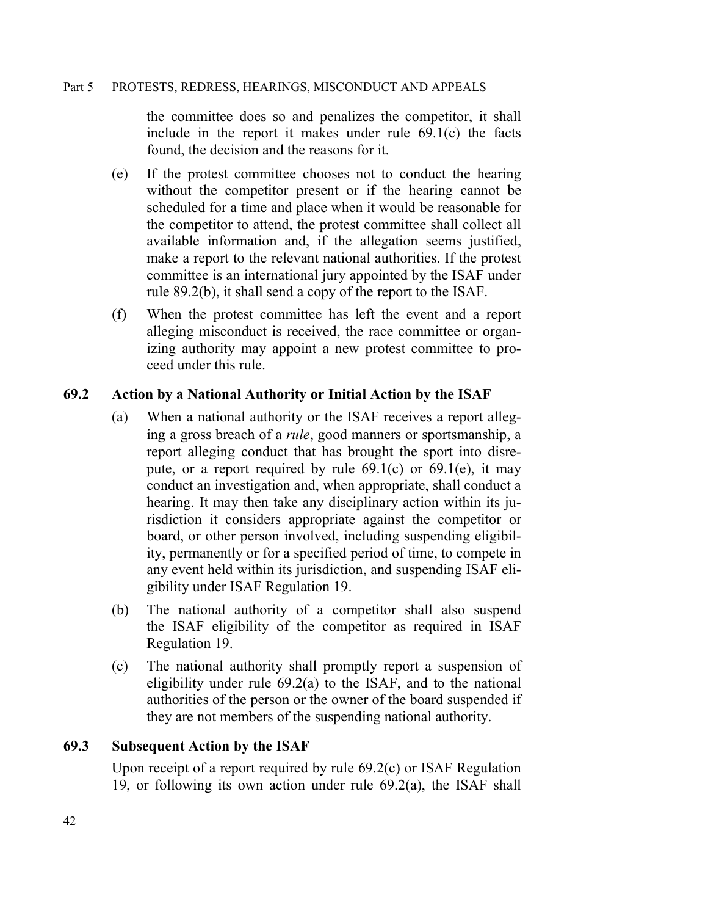the committee does so and penalizes the competitor, it shall include in the report it makes under rule 69.1(c) the facts found, the decision and the reasons for it.

- (e) If the protest committee chooses not to conduct the hearing without the competitor present or if the hearing cannot be scheduled for a time and place when it would be reasonable for the competitor to attend, the protest committee shall collect all available information and, if the allegation seems justified, make a report to the relevant national authorities. If the protest committee is an international jury appointed by the ISAF under rule 89.2(b), it shall send a copy of the report to the ISAF.
- (f) When the protest committee has left the event and a report alleging misconduct is received, the race committee or organizing authority may appoint a new protest committee to proceed under this rule.

## **69.2** Action by a National Authority or Initial Action by the ISAF

- (a) When a national authority or the ISAF receives a report alleg ing a gross breach of a *rule*, good manners or sportsmanship, a report alleging conduct that has brought the sport into disrepute, or a report required by rule  $69.1(c)$  or  $69.1(e)$ , it may conduct an investigation and, when appropriate, shall conduct a hearing. It may then take any disciplinary action within its jurisdiction it considers appropriate against the competitor or board, or other person involved, including suspending eligibility, permanently or for a specified period of time, to compete in any event held within its jurisdiction, and suspending ISAF eligibility under ISAF Regulation 19.
- (b) The national authority of a competitor shall also suspend the ISAF eligibility of the competitor as required in ISAF Regulation 19.
- (c) The national authority shall promptly report a suspension of eligibility under rule 69.2(a) to the ISAF, and to the national authorities of the person or the owner of the board suspended if they are not members of the suspending national authority.

## **69.3 Subsequent Action by the ISAF**

Upon receipt of a report required by rule 69.2(c) or ISAF Regulation 19, or following its own action under rule 69.2(a), the ISAF shall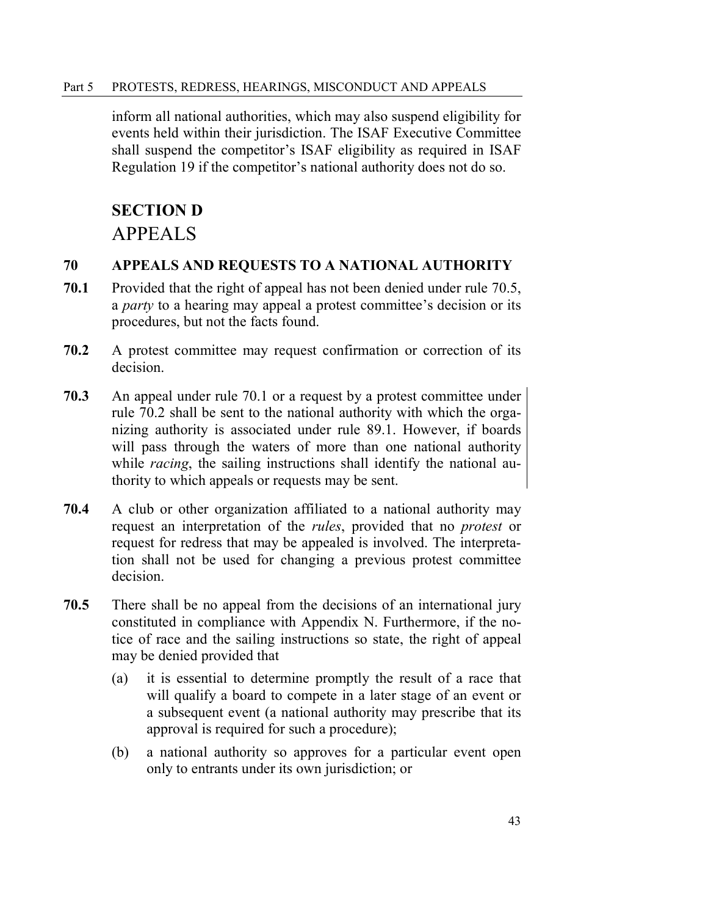#### Part 5 PROTESTS, REDRESS, HEARINGS, MISCONDUCT AND APPEALS

inform all national authorities, which may also suspend eligibility for events held within their jurisdiction. The ISAF Executive Committee shall suspend the competitor's ISAF eligibility as required in ISAF Regulation 19 if the competitor's national authority does not do so.

## **SECTION D** APPEALS

## **70 APPEALS AND REQUESTS TO A NATIONAL AUTHORITY**

- **70.1** Provided that the right of appeal has not been denied under rule 70.5, a *party* to a hearing may appeal a protest committee's decision or its procedures, but not the facts found.
- **70.2** A protest committee may request confirmation or correction of its decision.
- **70.3** An appeal under rule 70.1 or a request by a protest committee under rule 70.2 shall be sent to the national authority with which the organizing authority is associated under rule 89.1. However, if boards will pass through the waters of more than one national authority while *racing*, the sailing instructions shall identify the national authority to which appeals or requests may be sent.
- **70.4** A club or other organization affiliated to a national authority may request an interpretation of the *rules*, provided that no *protest* or request for redress that may be appealed is involved. The interpretation shall not be used for changing a previous protest committee decision.
- **70.5** There shall be no appeal from the decisions of an international jury constituted in compliance with Appendix N. Furthermore, if the notice of race and the sailing instructions so state, the right of appeal may be denied provided that
	- (a) it is essential to determine promptly the result of a race that will qualify a board to compete in a later stage of an event or a subsequent event (a national authority may prescribe that its approval is required for such a procedure);
	- (b) a national authority so approves for a particular event open only to entrants under its own jurisdiction; or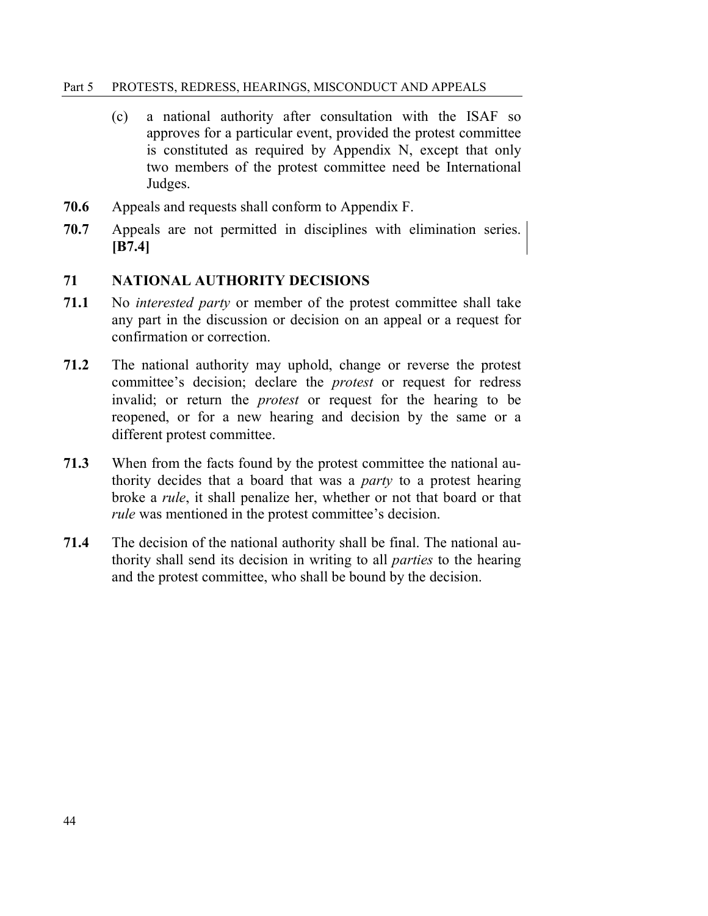#### Part 5 PROTESTS, REDRESS, HEARINGS, MISCONDUCT AND APPEALS

- (c) a national authority after consultation with the ISAF so approves for a particular event, provided the protest committee is constituted as required by Appendix N, except that only two members of the protest committee need be International Judges.
- **70.6** Appeals and requests shall conform to Appendix F.
- **70.7** Appeals are not permitted in disciplines with elimination series. **[B7.4]**

#### **71 ATIOAL AUTHORITY DECISIOS**

- **71.1** No *interested party* or member of the protest committee shall take any part in the discussion or decision on an appeal or a request for confirmation or correction.
- **71.2** The national authority may uphold, change or reverse the protest committee's decision; declare the *protest* or request for redress invalid; or return the *protest* or request for the hearing to be reopened, or for a new hearing and decision by the same or a different protest committee.
- **71.3** When from the facts found by the protest committee the national authority decides that a board that was a *party* to a protest hearing broke a *rule*, it shall penalize her, whether or not that board or that *rule* was mentioned in the protest committee's decision.
- **71.4** The decision of the national authority shall be final. The national authority shall send its decision in writing to all *parties* to the hearing and the protest committee, who shall be bound by the decision.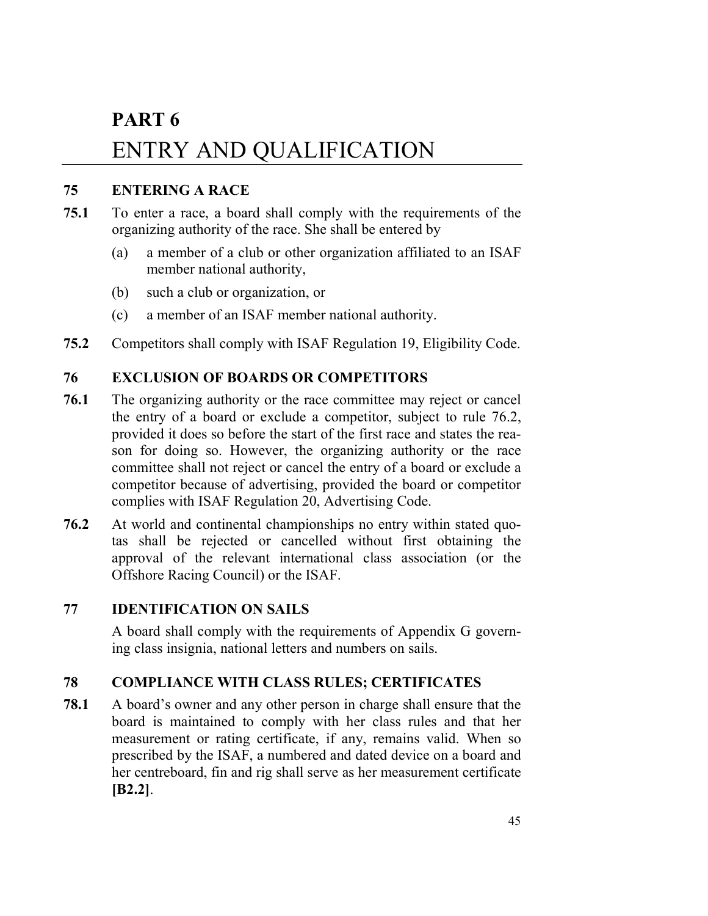## **PART 6**

## ENTRY AND QUALIFICATION

## 75 **ENTERING A RACE**

- **75.1** To enter a race, a board shall comply with the requirements of the organizing authority of the race. She shall be entered by
	- (a) a member of a club or other organization affiliated to an ISAF member national authority,
	- (b) such a club or organization, or
	- (c) a member of an ISAF member national authority.
- **75.2** Competitors shall comply with ISAF Regulation 19, Eligibility Code.

## **76 EXCLUSION OF BOARDS OR COMPETITORS**

- **76.1** The organizing authority or the race committee may reject or cancel the entry of a board or exclude a competitor, subject to rule 76.2, provided it does so before the start of the first race and states the reason for doing so. However, the organizing authority or the race committee shall not reject or cancel the entry of a board or exclude a competitor because of advertising, provided the board or competitor complies with ISAF Regulation 20, Advertising Code.
- **76.2** At world and continental championships no entry within stated quotas shall be rejected or cancelled without first obtaining the approval of the relevant international class association (or the Offshore Racing Council) or the ISAF.

## **77 IDENTIFICATION ON SAILS**

A board shall comply with the requirements of Appendix G governing class insignia, national letters and numbers on sails.

## **78 COMPLIACE WITH CLASS RULES; CERTIFICATES**

**78.1** A board's owner and any other person in charge shall ensure that the board is maintained to comply with her class rules and that her measurement or rating certificate, if any, remains valid. When so prescribed by the ISAF, a numbered and dated device on a board and her centreboard, fin and rig shall serve as her measurement certificate **[B2.2]**.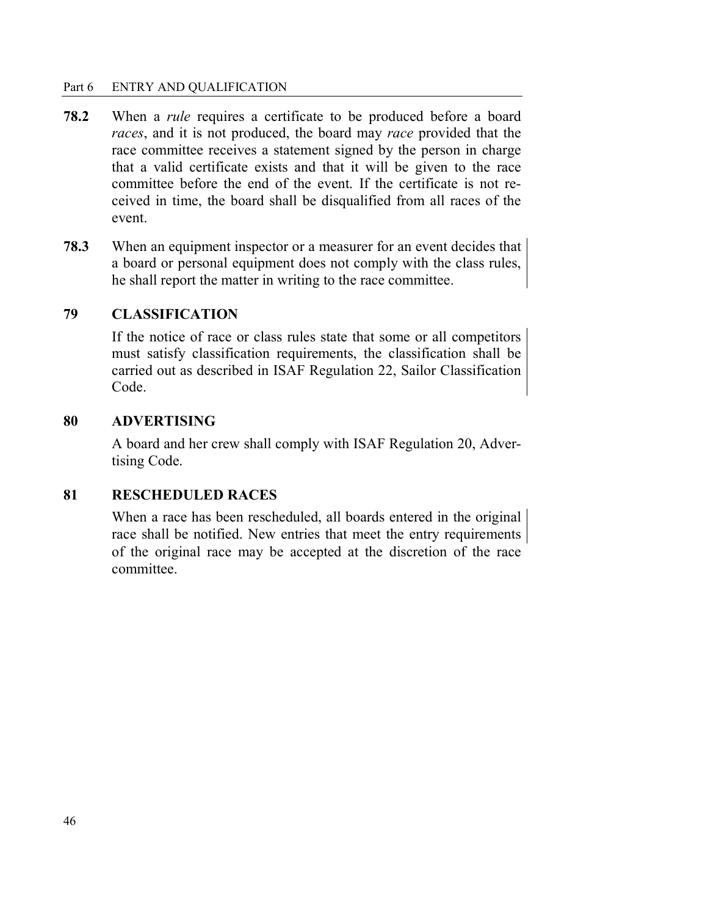#### Part 6 ENTRY AND QUALIFICATION

- **78.2** When a *rule* requires a certificate to be produced before a board *races*, and it is not produced, the board may *race* provided that the race committee receives a statement signed by the person in charge that a valid certificate exists and that it will be given to the race committee before the end of the event. If the certificate is not received in time, the board shall be disqualified from all races of the event.
- **78.3** When an equipment inspector or a measurer for an event decides that a board or personal equipment does not comply with the class rules, he shall report the matter in writing to the race committee.

## **79 CLASSIFICATIO**

If the notice of race or class rules state that some or all competitors must satisfy classification requirements, the classification shall be carried out as described in ISAF Regulation 22, Sailor Classification Code.

## **80 ADVERTISIG**

A board and her crew shall comply with ISAF Regulation 20, Advertising Code.

## **81 RESCHEDULED RACES**

When a race has been rescheduled, all boards entered in the original race shall be notified. New entries that meet the entry requirements of the original race may be accepted at the discretion of the race committee.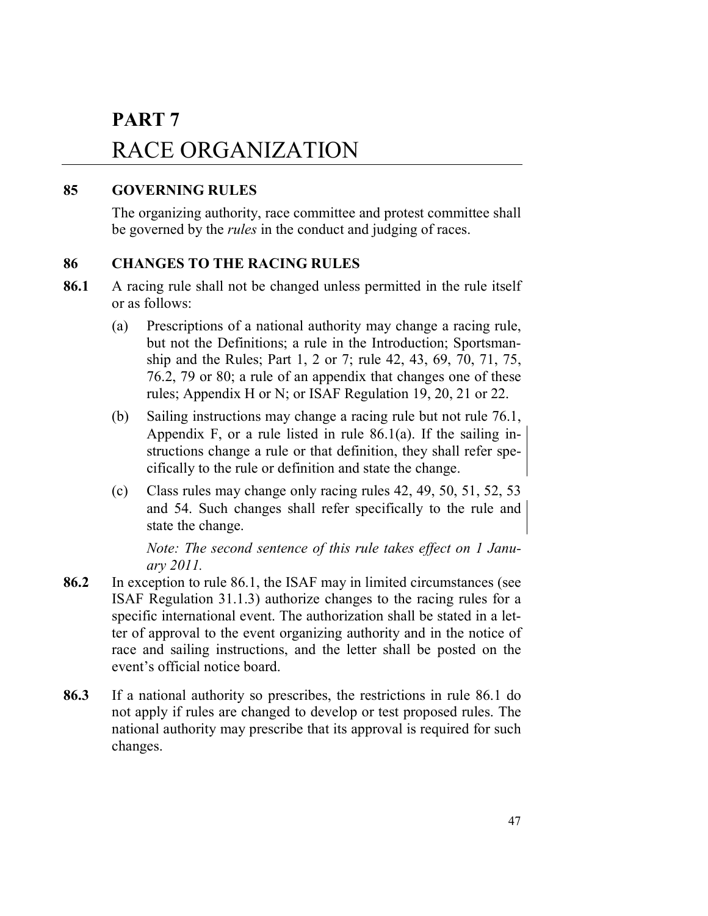# **PART 7**  RACE ORGANIZATION

## 85 GOVERNING RULES

The organizing authority, race committee and protest committee shall be governed by the *rules* in the conduct and judging of races.

## 86 CHANGES TO THE RACING RULES

- **86.1** A racing rule shall not be changed unless permitted in the rule itself or as follows:
	- (a) Prescriptions of a national authority may change a racing rule, but not the Definitions; a rule in the Introduction; Sportsmanship and the Rules; Part 1, 2 or 7; rule 42, 43, 69, 70, 71, 75, 76.2, 79 or 80; a rule of an appendix that changes one of these rules; Appendix H or N; or ISAF Regulation 19, 20, 21 or 22.
	- (b) Sailing instructions may change a racing rule but not rule 76.1, Appendix F, or a rule listed in rule 86.1(a). If the sailing instructions change a rule or that definition, they shall refer specifically to the rule or definition and state the change.
	- (c) Class rules may change only racing rules 42, 49, 50, 51, 52, 53 and 54. Such changes shall refer specifically to the rule and state the change.

Note: The second sentence of this rule takes effect on 1 Janu*ary 2011.* 

- **86.2** In exception to rule 86.1, the ISAF may in limited circumstances (see ISAF Regulation 31.1.3) authorize changes to the racing rules for a specific international event. The authorization shall be stated in a letter of approval to the event organizing authority and in the notice of race and sailing instructions, and the letter shall be posted on the event's official notice board.
- **86.3** If a national authority so prescribes, the restrictions in rule 86.1 do not apply if rules are changed to develop or test proposed rules. The national authority may prescribe that its approval is required for such changes.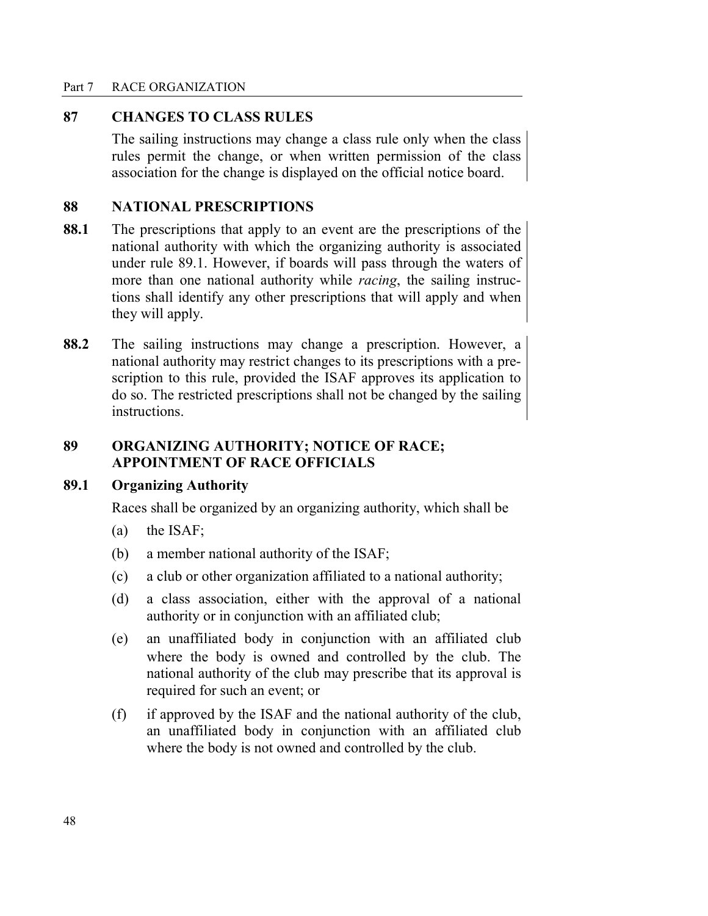#### Part 7 RACE ORGANIZATION

## 87 CHANGES TO CLASS RULES

The sailing instructions may change a class rule only when the class rules permit the change, or when written permission of the class association for the change is displayed on the official notice board.

## **88 ATIOAL PRESCRIPTIOS**

- **88.1** The prescriptions that apply to an event are the prescriptions of the national authority with which the organizing authority is associated under rule 89.1. However, if boards will pass through the waters of more than one national authority while *racing*, the sailing instructions shall identify any other prescriptions that will apply and when they will apply.
- **88.2** The sailing instructions may change a prescription. However, a national authority may restrict changes to its prescriptions with a prescription to this rule, provided the ISAF approves its application to do so. The restricted prescriptions shall not be changed by the sailing instructions.

## 89 ORGANIZING AUTHORITY; NOTICE OF RACE; **APPOITMET OF RACE OFFICIALS**

## **89.1 Organizing Authority**

Races shall be organized by an organizing authority, which shall be

- (a) the ISAF;
- (b) a member national authority of the ISAF;
- (c) a club or other organization affiliated to a national authority;
- (d) a class association, either with the approval of a national authority or in conjunction with an affiliated club;
- (e) an unaffiliated body in conjunction with an affiliated club where the body is owned and controlled by the club. The national authority of the club may prescribe that its approval is required for such an event; or
- (f) if approved by the ISAF and the national authority of the club, an unaffiliated body in conjunction with an affiliated club where the body is not owned and controlled by the club.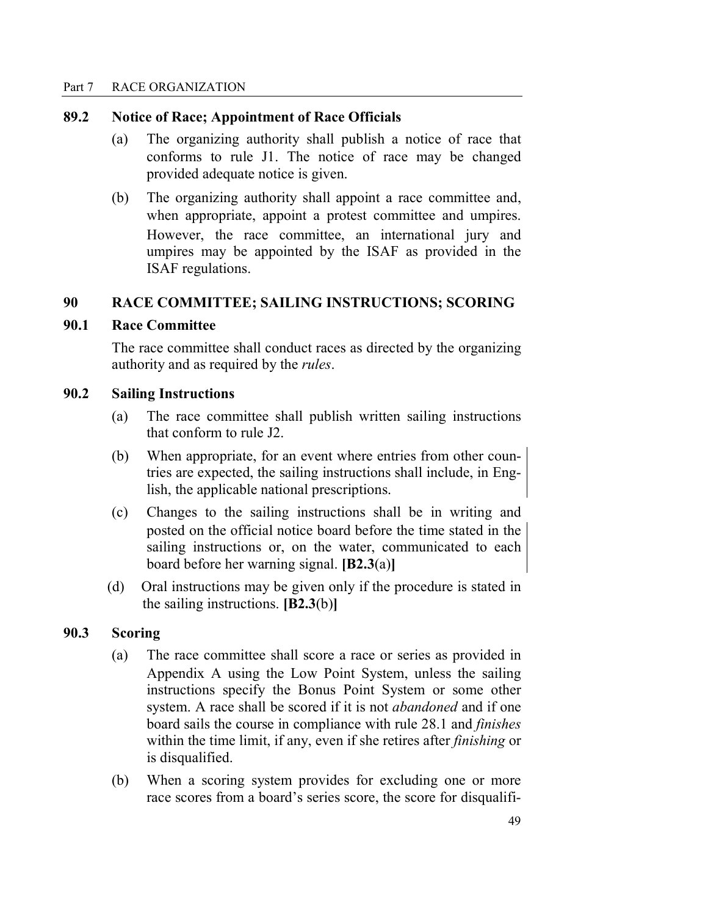#### Part 7 RACE ORGANIZATION

## **89.2** Notice of Race; Appointment of Race Officials

- (a) The organizing authority shall publish a notice of race that conforms to rule J1. The notice of race may be changed provided adequate notice is given.
- (b) The organizing authority shall appoint a race committee and, when appropriate, appoint a protest committee and umpires. However, the race committee, an international jury and umpires may be appointed by the ISAF as provided in the ISAF regulations.

#### **90 RACE COMMITTEE; SAILING INSTRUCTIONS; SCORING**

#### **90.1 Race Committee**

The race committee shall conduct races as directed by the organizing authority and as required by the *rules*.

#### **90.2 Sailing Instructions**

- (a) The race committee shall publish written sailing instructions that conform to rule J2.
- (b) When appropriate, for an event where entries from other countries are expected, the sailing instructions shall include, in English, the applicable national prescriptions.
- (c) Changes to the sailing instructions shall be in writing and posted on the official notice board before the time stated in the sailing instructions or, on the water, communicated to each board before her warning signal. **[B2.3**(a)**]**
- (d) Oral instructions may be given only if the procedure is stated in the sailing instructions. **[B2.3**(b)**]**

## **90.3 Scoring**

- (a) The race committee shall score a race or series as provided in Appendix A using the Low Point System, unless the sailing instructions specify the Bonus Point System or some other system. A race shall be scored if it is not *abandoned* and if one board sails the course in compliance with rule 28.1 and *finishes* within the time limit, if any, even if she retires after *finishing* or is disqualified.
- (b) When a scoring system provides for excluding one or more race scores from a board's series score, the score for disqualifi-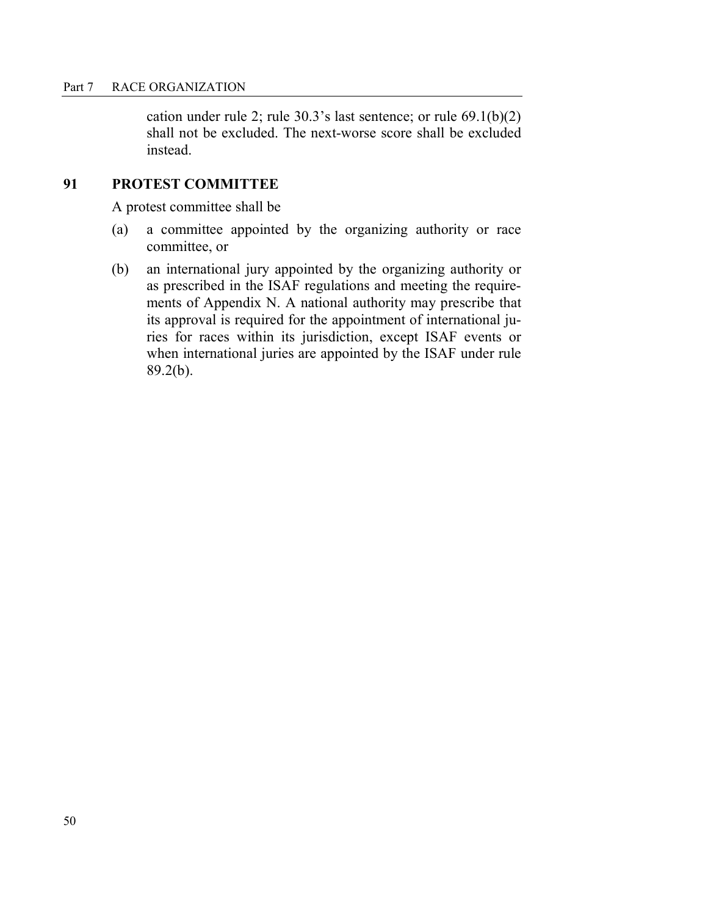cation under rule 2; rule 30.3's last sentence; or rule 69.1(b)(2) shall not be excluded. The next-worse score shall be excluded instead.

## **91 PROTEST COMMITTEE**

A protest committee shall be

- (a) a committee appointed by the organizing authority or race committee, or
- (b) an international jury appointed by the organizing authority or as prescribed in the ISAF regulations and meeting the requirements of Appendix N. A national authority may prescribe that its approval is required for the appointment of international juries for races within its jurisdiction, except ISAF events or when international juries are appointed by the ISAF under rule 89.2(b).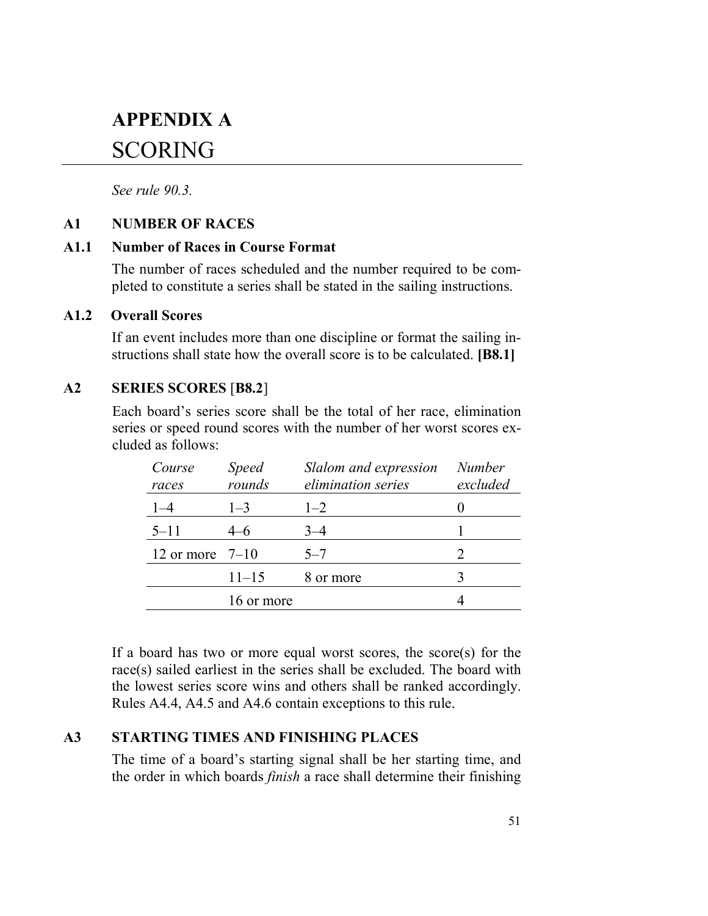## **APPEDIX A**  SCORING

*See rule 90.3.*

## **A1 UMBER OF RACES**

#### **A1.1 • Number of Races in Course Format**

The number of races scheduled and the number required to be completed to constitute a series shall be stated in the sailing instructions.

#### **A1.2 Overall Scores**

If an event includes more than one discipline or format the sailing instructions shall state how the overall score is to be calculated. **[B8.1]** 

## **A2 SERIES SCORES** [**B8.2**]

Each board's series score shall be the total of her race, elimination series or speed round scores with the number of her worst scores excluded as follows:

| Course<br>races   | <b>Speed</b><br>rounds | Slalom and expression<br>elimination series | <b>Number</b><br>excluded |
|-------------------|------------------------|---------------------------------------------|---------------------------|
| $1 - 4$           | $1 - 3$                | $1 - 2$                                     |                           |
| $5 - 11$          | $4 - 6$                | $3 - 4$                                     |                           |
| 12 or more $7-10$ |                        | $5 - 7$                                     |                           |
|                   | $11 - 15$              | 8 or more                                   |                           |
|                   | 16 or more             |                                             |                           |

If a board has two or more equal worst scores, the score(s) for the race(s) sailed earliest in the series shall be excluded. The board with the lowest series score wins and others shall be ranked accordingly. Rules A4.4, A4.5 and A4.6 contain exceptions to this rule.

## A3 STARTING TIMES AND FINISHING PLACES

The time of a board's starting signal shall be her starting time, and the order in which boards *finish* a race shall determine their finishing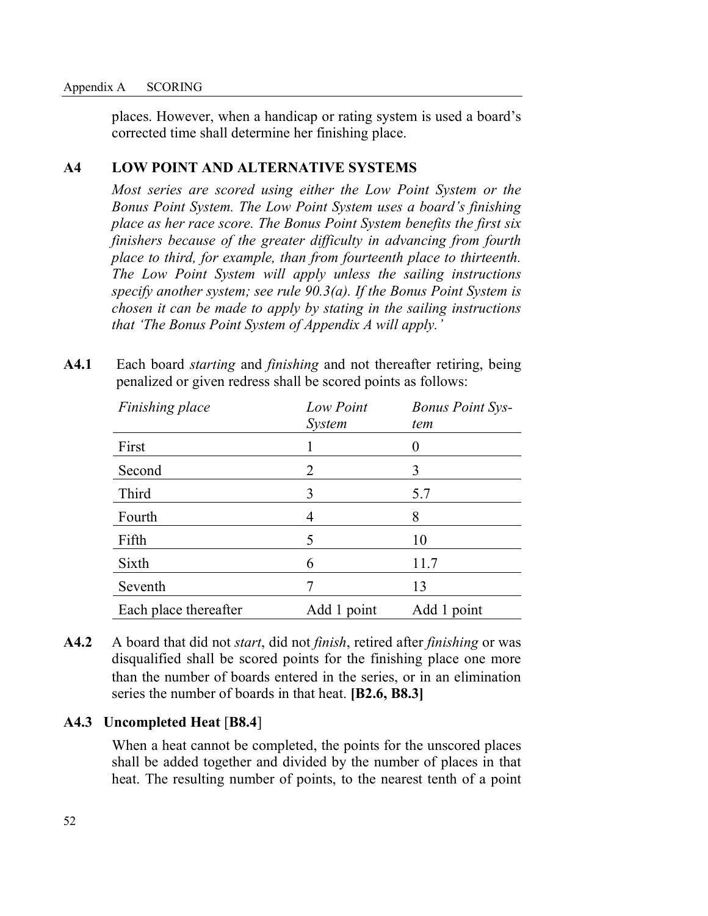places. However, when a handicap or rating system is used a board's corrected time shall determine her finishing place.

## **A4 LOW POINT AND ALTERNATIVE SYSTEMS**

*Most series are scored using either the Low Point System or the Bonus Point System. The Low Point System uses a board's finishing place as her race score. The Bonus Point System benefits the first six finishers because of the greater difficulty in advancing from fourth place to third, for example, than from fourteenth place to thirteenth. The Low Point System will apply unless the sailing instructions specify another system; see rule 90.3(a). If the Bonus Point System is chosen it can be made to apply by stating in the sailing instructions that 'The Bonus Point System of Appendix A will apply.'* 

**A4.1** Each board *starting* and *finishing* and not thereafter retiring, being penalized or given redress shall be scored points as follows:

| <b>Finishing place</b> | Low Point   | <b>Bonus Point Sys-</b> |
|------------------------|-------------|-------------------------|
|                        | System      | tem                     |
| First                  |             | $\theta$                |
| Second                 | 2           | 3                       |
| Third                  | 3           | 5.7                     |
| Fourth                 | 4           | 8                       |
| Fifth                  | 5           | 10                      |
| Sixth                  | 6           | 11.7                    |
| Seventh                |             | 13                      |
| Each place thereafter  | Add 1 point | Add 1 point             |

**A4.2** A board that did not *start*, did not *finish*, retired after *finishing* or was disqualified shall be scored points for the finishing place one more than the number of boards entered in the series, or in an elimination series the number of boards in that heat. **[B2.6, B8.3]** 

#### **A4.3 Uncompleted Heat** [**B8.4**]

When a heat cannot be completed, the points for the unscored places shall be added together and divided by the number of places in that heat. The resulting number of points, to the nearest tenth of a point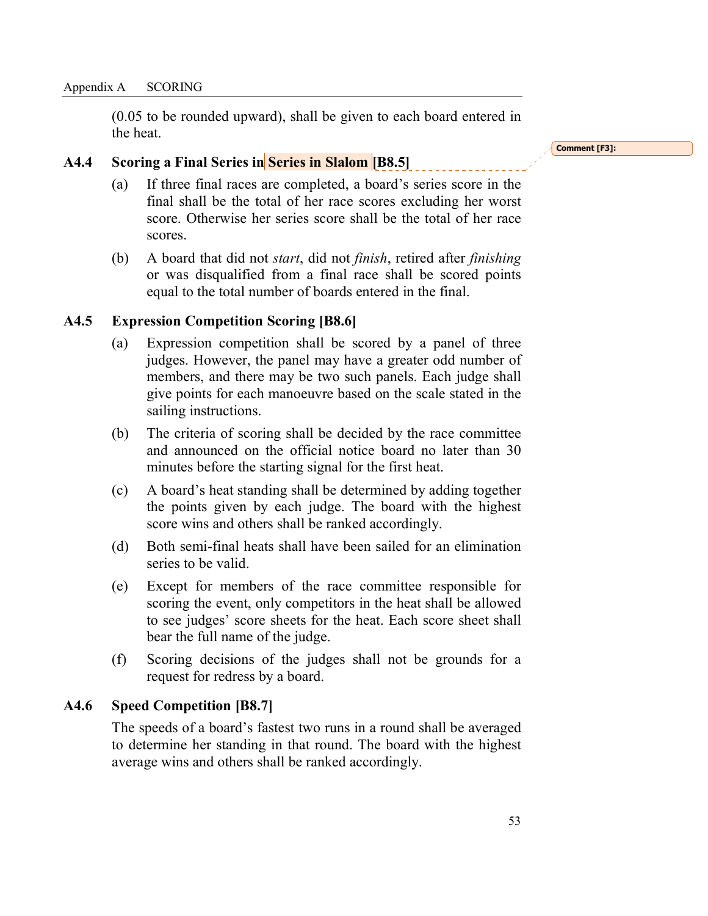(0.05 to be rounded upward), shall be given to each board entered in the heat.

### **A4.4 Scoring a Final Series in Series in Slalom [B8.5]**

**Comment [F3]:** 

- (a) If three final races are completed, a board's series score in the final shall be the total of her race scores excluding her worst score. Otherwise her series score shall be the total of her race scores.
- (b) A board that did not *start*, did not *finish*, retired after *finishing* or was disqualified from a final race shall be scored points equal to the total number of boards entered in the final.

## **A4.5 Expression Competition Scoring [B8.6]**

- (a) Expression competition shall be scored by a panel of three judges. However, the panel may have a greater odd number of members, and there may be two such panels. Each judge shall give points for each manoeuvre based on the scale stated in the sailing instructions.
- (b) The criteria of scoring shall be decided by the race committee and announced on the official notice board no later than 30 minutes before the starting signal for the first heat.
- (c) A board's heat standing shall be determined by adding together the points given by each judge. The board with the highest score wins and others shall be ranked accordingly.
- (d) Both semi-final heats shall have been sailed for an elimination series to be valid.
- (e) Except for members of the race committee responsible for scoring the event, only competitors in the heat shall be allowed to see judges' score sheets for the heat. Each score sheet shall bear the full name of the judge.
- (f) Scoring decisions of the judges shall not be grounds for a request for redress by a board.

## **A4.6 Speed Competition [B8.7]**

The speeds of a board's fastest two runs in a round shall be averaged to determine her standing in that round. The board with the highest average wins and others shall be ranked accordingly.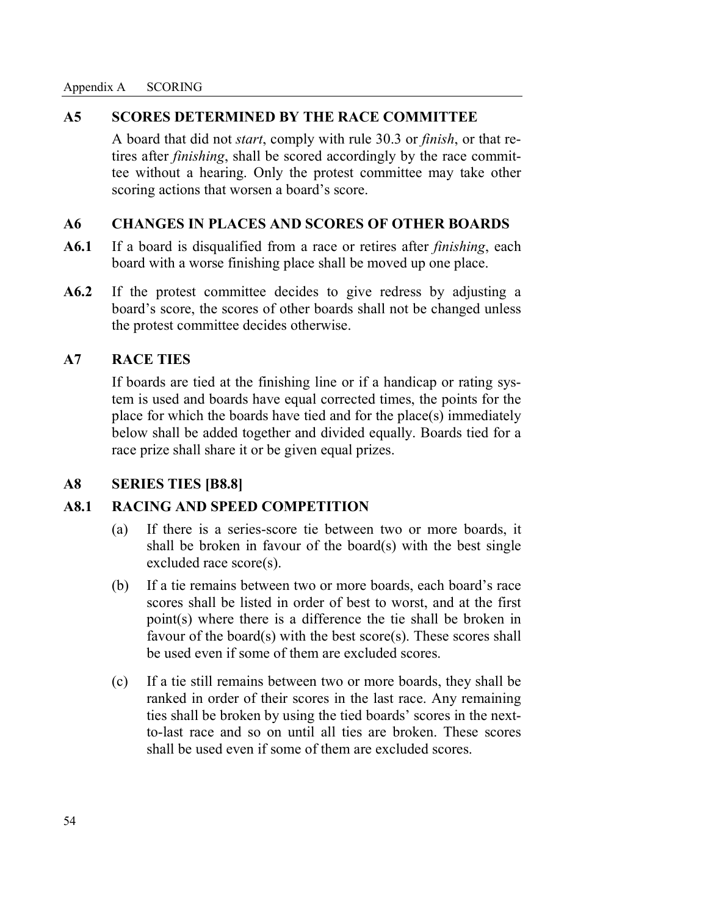## **A5 SCORES DETERMIED BY THE RACE COMMITTEE**

A board that did not *start*, comply with rule 30.3 or *finish*, or that retires after *finishing*, shall be scored accordingly by the race committee without a hearing. Only the protest committee may take other scoring actions that worsen a board's score.

## **A6 CHANGES IN PLACES AND SCORES OF OTHER BOARDS**

- **A6.1** If a board is disqualified from a race or retires after *finishing*, each board with a worse finishing place shall be moved up one place.
- **A6.2** If the protest committee decides to give redress by adjusting a board's score, the scores of other boards shall not be changed unless the protest committee decides otherwise.

## **A7 RACE TIES**

If boards are tied at the finishing line or if a handicap or rating system is used and boards have equal corrected times, the points for the place for which the boards have tied and for the place(s) immediately below shall be added together and divided equally. Boards tied for a race prize shall share it or be given equal prizes.

## **A8 SERIES TIES [B8.8]**

## **A8.1 RACING AND SPEED COMPETITION**

- (a) If there is a series-score tie between two or more boards, it shall be broken in favour of the board(s) with the best single excluded race score(s).
- (b) If a tie remains between two or more boards, each board's race scores shall be listed in order of best to worst, and at the first point(s) where there is a difference the tie shall be broken in favour of the board $(s)$  with the best score $(s)$ . These scores shall be used even if some of them are excluded scores.
- (c) If a tie still remains between two or more boards, they shall be ranked in order of their scores in the last race. Any remaining ties shall be broken by using the tied boards' scores in the nextto-last race and so on until all ties are broken. These scores shall be used even if some of them are excluded scores.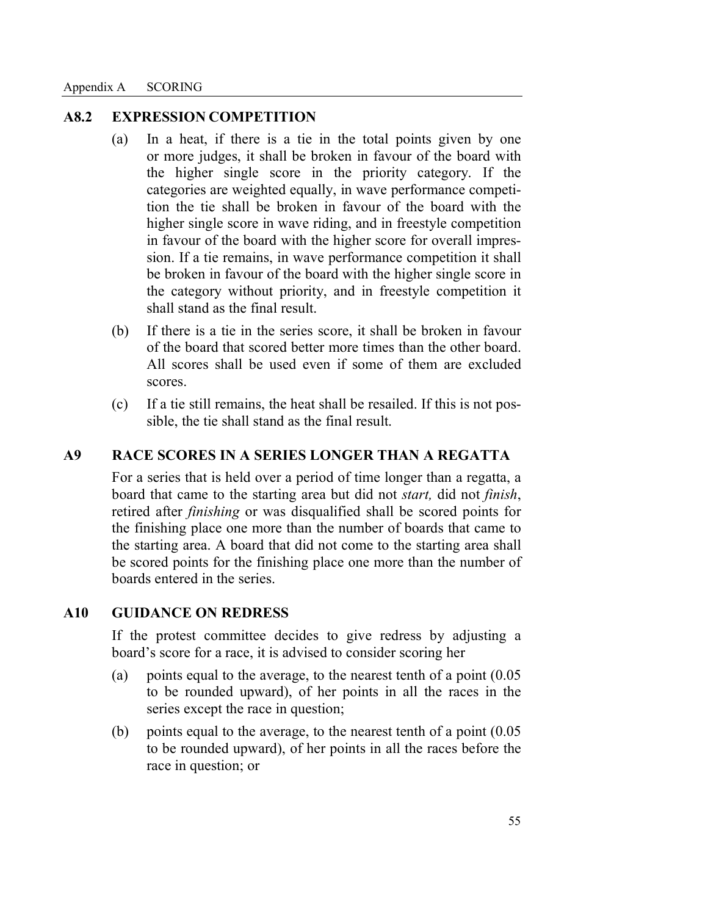#### **A8.2 EXPRESSION COMPETITION**

- (a) In a heat, if there is a tie in the total points given by one or more judges, it shall be broken in favour of the board with the higher single score in the priority category. If the categories are weighted equally, in wave performance competition the tie shall be broken in favour of the board with the higher single score in wave riding, and in freestyle competition in favour of the board with the higher score for overall impression. If a tie remains, in wave performance competition it shall be broken in favour of the board with the higher single score in the category without priority, and in freestyle competition it shall stand as the final result.
- (b) If there is a tie in the series score, it shall be broken in favour of the board that scored better more times than the other board. All scores shall be used even if some of them are excluded scores.
- (c) If a tie still remains, the heat shall be resailed. If this is not possible, the tie shall stand as the final result.

### **A9 RACE SCORES IN A SERIES LONGER THAN A REGATTA**

For a series that is held over a period of time longer than a regatta, a board that came to the starting area but did not *start,* did not *finish*, retired after *finishing* or was disqualified shall be scored points for the finishing place one more than the number of boards that came to the starting area. A board that did not come to the starting area shall be scored points for the finishing place one more than the number of boards entered in the series.

### **A10 GUIDANCE ON REDRESS**

If the protest committee decides to give redress by adjusting a board's score for a race, it is advised to consider scoring her

- (a) points equal to the average, to the nearest tenth of a point (0.05 to be rounded upward), of her points in all the races in the series except the race in question;
- (b) points equal to the average, to the nearest tenth of a point (0.05 to be rounded upward), of her points in all the races before the race in question; or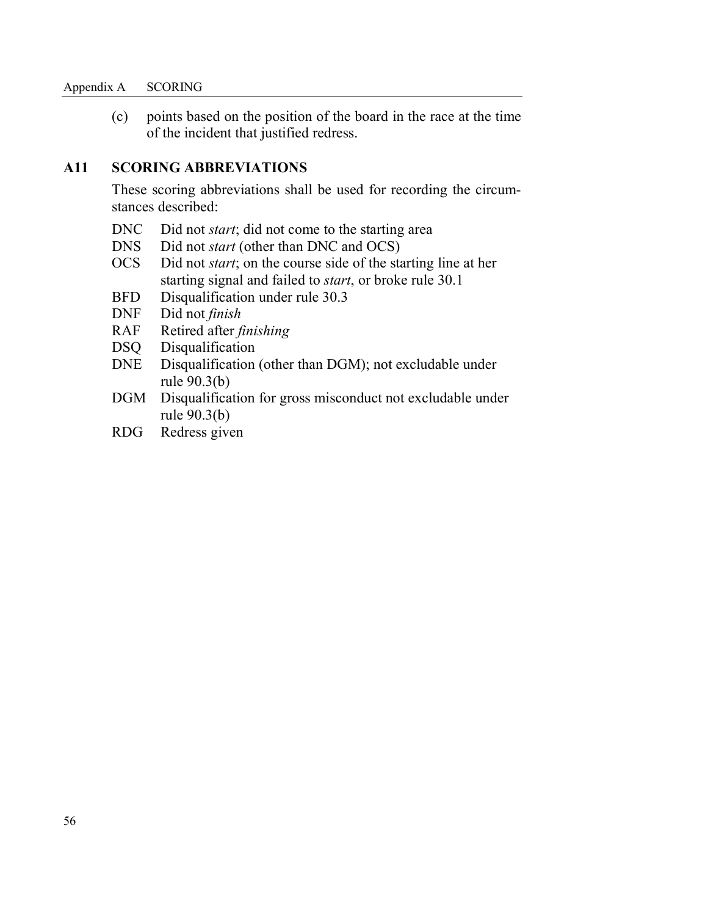#### Appendix A SCORING

(c) points based on the position of the board in the race at the time of the incident that justified redress.

## **A11 SCORIG ABBREVIATIOS**

These scoring abbreviations shall be used for recording the circumstances described:

- DNC Did not *start*; did not come to the starting area
- DNS Did not *start* (other than DNC and OCS)
- OCS Did not *start*; on the course side of the starting line at her starting signal and failed to *start*, or broke rule 30.1
- BFD Disqualification under rule 30.3
- DNF Did not *finish*
- RAF Retired after *finishing*
- DSQ Disqualification
- DNE Disqualification (other than DGM); not excludable under rule 90.3(b)
- DGM Disqualification for gross misconduct not excludable under rule 90.3(b)
- RDG Redress given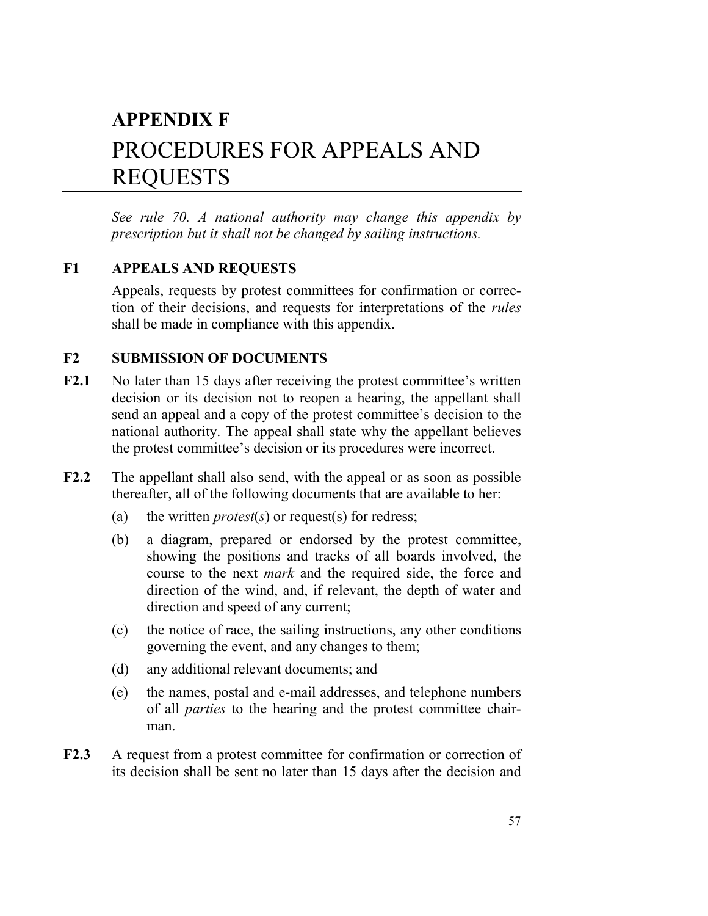# **APPEDIX F**  PROCEDURES FOR APPEALS AND REQUESTS

*See rule 70. A national authority may change this appendix by prescription but it shall not be changed by sailing instructions.* 

## F1 APPEALS AND REQUESTS

Appeals, requests by protest committees for confirmation or correction of their decisions, and requests for interpretations of the *rules* shall be made in compliance with this appendix.

## **F2** SUBMISSION OF DOCUMENTS

- **F2.1** No later than 15 days after receiving the protest committee's written decision or its decision not to reopen a hearing, the appellant shall send an appeal and a copy of the protest committee's decision to the national authority. The appeal shall state why the appellant believes the protest committee's decision or its procedures were incorrect.
- **F2.2** The appellant shall also send, with the appeal or as soon as possible thereafter, all of the following documents that are available to her:
	- (a) the written *protest*(*s*) or request(s) for redress;
	- (b) a diagram, prepared or endorsed by the protest committee, showing the positions and tracks of all boards involved, the course to the next *mark* and the required side, the force and direction of the wind, and, if relevant, the depth of water and direction and speed of any current;
	- (c) the notice of race, the sailing instructions, any other conditions governing the event, and any changes to them;
	- (d) any additional relevant documents; and
	- (e) the names, postal and e-mail addresses, and telephone numbers of all *parties* to the hearing and the protest committee chairman.
- **F2.3** A request from a protest committee for confirmation or correction of its decision shall be sent no later than 15 days after the decision and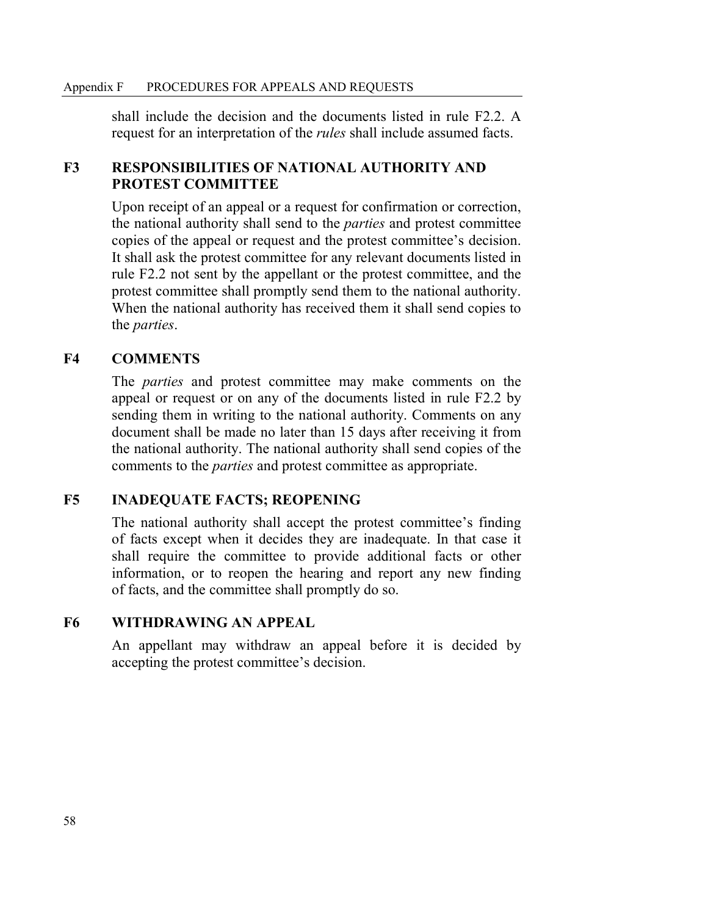shall include the decision and the documents listed in rule F2.2. A request for an interpretation of the *rules* shall include assumed facts.

## F3 RESPONSIBILITIES OF NATIONAL AUTHORITY AND **PROTEST COMMITTEE**

Upon receipt of an appeal or a request for confirmation or correction, the national authority shall send to the *parties* and protest committee copies of the appeal or request and the protest committee's decision. It shall ask the protest committee for any relevant documents listed in rule F2.2 not sent by the appellant or the protest committee, and the protest committee shall promptly send them to the national authority. When the national authority has received them it shall send copies to the *parties*.

## **F4 COMMETS**

 The *parties* and protest committee may make comments on the appeal or request or on any of the documents listed in rule F2.2 by sending them in writing to the national authority. Comments on any document shall be made no later than 15 days after receiving it from the national authority. The national authority shall send copies of the comments to the *parties* and protest committee as appropriate.

## **F5** INADEQUATE FACTS; REOPENING

The national authority shall accept the protest committee's finding of facts except when it decides they are inadequate. In that case it shall require the committee to provide additional facts or other information, or to reopen the hearing and report any new finding of facts, and the committee shall promptly do so.

## F6 WITHDRAWING AN APPEAL

An appellant may withdraw an appeal before it is decided by accepting the protest committee's decision.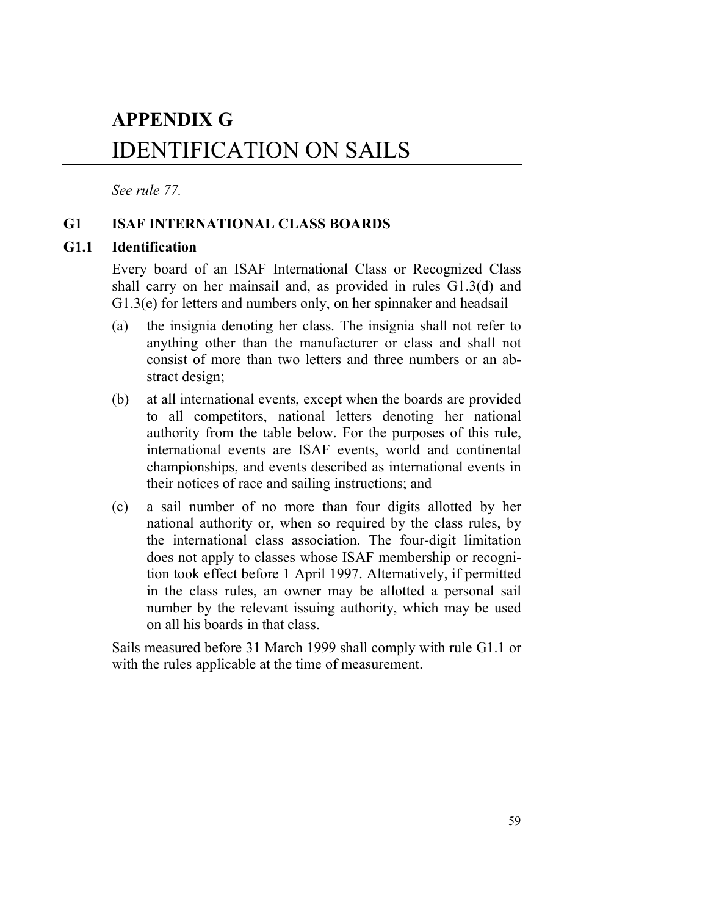# **APPEDIX G**  IDENTIFICATION ON SAILS

*See rule 77.* 

## G1 **ISAF INTERNATIONAL CLASS BOARDS**

## **G1.1 Identification**

Every board of an ISAF International Class or Recognized Class shall carry on her mainsail and, as provided in rules G1.3(d) and G1.3(e) for letters and numbers only, on her spinnaker and headsail

- (a) the insignia denoting her class. The insignia shall not refer to anything other than the manufacturer or class and shall not consist of more than two letters and three numbers or an abstract design;
- (b) at all international events, except when the boards are provided to all competitors, national letters denoting her national authority from the table below. For the purposes of this rule, international events are ISAF events, world and continental championships, and events described as international events in their notices of race and sailing instructions; and
- (c) a sail number of no more than four digits allotted by her national authority or, when so required by the class rules, by the international class association. The four-digit limitation does not apply to classes whose ISAF membership or recognition took effect before 1 April 1997. Alternatively, if permitted in the class rules, an owner may be allotted a personal sail number by the relevant issuing authority, which may be used on all his boards in that class.

Sails measured before 31 March 1999 shall comply with rule G1.1 or with the rules applicable at the time of measurement.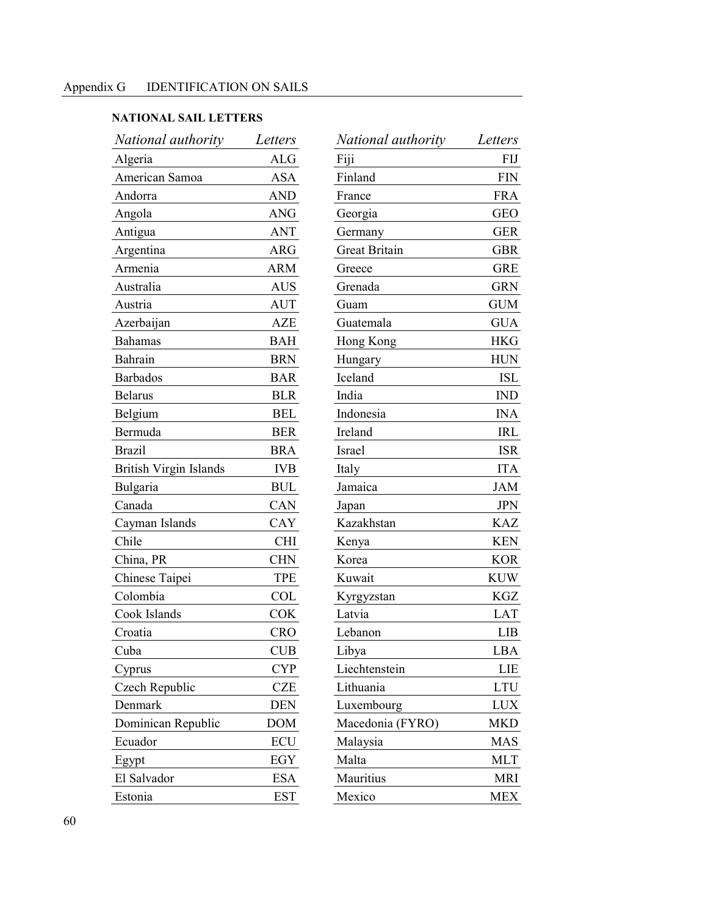## **ATIOAL SAIL LETTERS**

| National authority            | Letters    |
|-------------------------------|------------|
| Algeria                       | ALG        |
| American Samoa                | <b>ASA</b> |
| Andorra                       | <b>AND</b> |
| Angola                        | <b>ANG</b> |
| Antigua                       | <b>ANT</b> |
| Argentina                     | ARG        |
| Armenia                       | <b>ARM</b> |
| Australia                     | <b>AUS</b> |
| Austria                       | AUT        |
| Azerbaijan                    | <b>AZE</b> |
| <b>Bahamas</b>                | <b>BAH</b> |
| Bahrain                       | <b>BRN</b> |
| <b>Barbados</b>               | <b>BAR</b> |
| <b>Belarus</b>                | <b>BLR</b> |
| Belgium                       | <b>BEL</b> |
| Bermuda                       | <b>BER</b> |
| <b>Brazil</b>                 | <b>BRA</b> |
| <b>British Virgin Islands</b> | <b>IVB</b> |
| Bulgaria                      | <b>BUL</b> |
| Canada                        | CAN        |
| Cayman Islands                | CAY        |
| Chile                         | <b>CHI</b> |
| China, PR                     | <b>CHN</b> |
| Chinese Taipei                | TPE        |
| Colombia                      | COL        |
| Cook Islands                  | <b>COK</b> |
| Croatia                       | <b>CRO</b> |
| Cuba                          | <b>CUB</b> |
| Cyprus                        | <b>CYP</b> |
| Czech Republic                | CZE        |
| Denmark                       | <b>DEN</b> |
| Dominican Republic            | <b>DOM</b> |
| Ecuador                       | ECU        |
| Egypt                         | EGY        |
| El Salvador                   | <b>ESA</b> |
| Estonia                       | <b>EST</b> |
|                               |            |

| National authority   | Letters    |
|----------------------|------------|
| Fiji                 | <b>FIJ</b> |
| Finland              | <b>FIN</b> |
| France               | <b>FRA</b> |
| Georgia              | <b>GEO</b> |
| Germany              | <b>GER</b> |
| <b>Great Britain</b> | <b>GBR</b> |
| Greece               | <b>GRE</b> |
| Grenada              | <b>GRN</b> |
| Guam                 | <b>GUM</b> |
| Guatemala            | <b>GUA</b> |
| Hong Kong            | <b>HKG</b> |
| Hungary              | <b>HUN</b> |
| Iceland              | <b>ISL</b> |
| India                | <b>IND</b> |
| Indonesia            | <b>INA</b> |
| Ireland              | <b>IRL</b> |
| Israel               | <b>ISR</b> |
| Italy                | <b>ITA</b> |
| Jamaica              | <b>JAM</b> |
| Japan                | JPN        |
| Kazakhstan           | <b>KAZ</b> |
| Kenya                | <b>KEN</b> |
| Korea                | <b>KOR</b> |
| Kuwait               | <b>KUW</b> |
| Kyrgyzstan           | KGZ        |
| Latvia               | LAT        |
| Lebanon              | <b>LIB</b> |
| Libva                | LBA        |
| Liechtenstein        | LIE        |
| Lithuania            | <b>LTU</b> |
| Luxembourg           | LUX        |
| Macedonia (FYRO)     | MKD        |
| Malaysia             | <b>MAS</b> |
| Malta                | <b>MLT</b> |
| Mauritius            | <b>MRI</b> |
| Mexico               | <b>MEX</b> |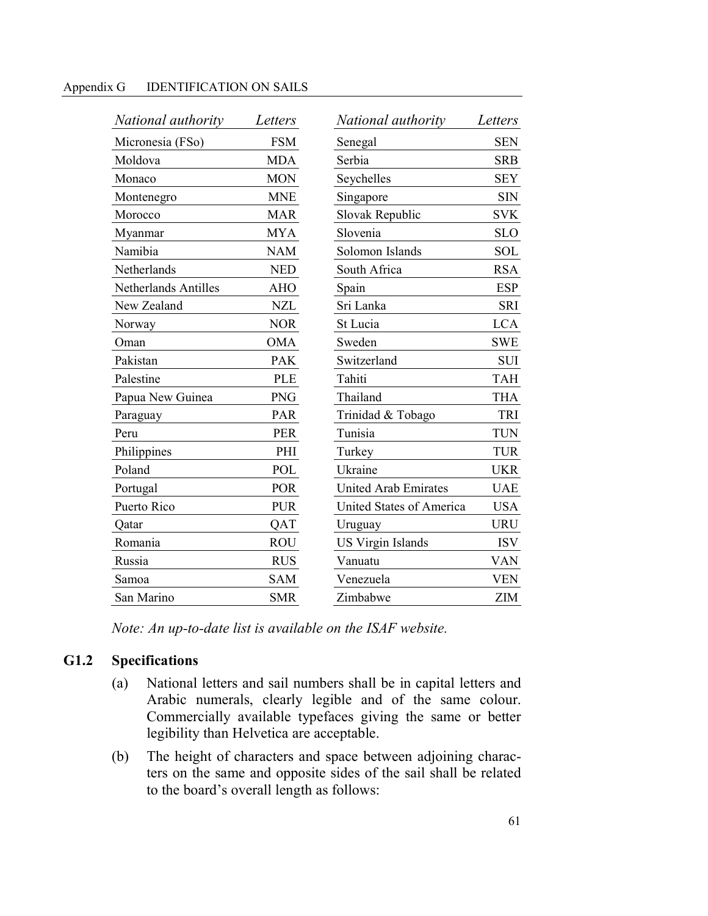#### Appendix G IDENTIFICATION ON SAILS

| National authority   | Letters    | National authority       | Letters    |
|----------------------|------------|--------------------------|------------|
| Micronesia (FSo)     | <b>FSM</b> | Senegal                  | <b>SEN</b> |
| Moldova              | <b>MDA</b> | Serbia                   | <b>SRB</b> |
| Monaco               | <b>MON</b> | Seychelles               | <b>SEY</b> |
| Montenegro           | <b>MNE</b> | Singapore                | <b>SIN</b> |
| Morocco              | <b>MAR</b> | Slovak Republic          | <b>SVK</b> |
| Myanmar              | <b>MYA</b> | Slovenia                 | <b>SLO</b> |
| Namibia              | <b>NAM</b> | Solomon Islands          | <b>SOL</b> |
| Netherlands          | <b>NED</b> | South Africa             | <b>RSA</b> |
| Netherlands Antilles | <b>AHO</b> | Spain                    | <b>ESP</b> |
| New Zealand          | <b>NZL</b> | Sri Lanka                | <b>SRI</b> |
| Norway               | <b>NOR</b> | St Lucia                 | <b>LCA</b> |
| Oman                 | <b>OMA</b> | Sweden                   | <b>SWE</b> |
| Pakistan             | <b>PAK</b> | Switzerland              | <b>SUI</b> |
| Palestine            | <b>PLE</b> | Tahiti                   | <b>TAH</b> |
| Papua New Guinea     | <b>PNG</b> | Thailand                 | <b>THA</b> |
| Paraguay             | PAR        | Trinidad & Tobago        | <b>TRI</b> |
| Peru                 | <b>PER</b> | Tunisia                  | <b>TUN</b> |
| Philippines          | PHI        | Turkey                   | <b>TUR</b> |
| Poland               | POL        | Ukraine                  | <b>UKR</b> |
| Portugal             | <b>POR</b> | United Arab Emirates     | <b>UAE</b> |
| Puerto Rico          | <b>PUR</b> | United States of America | <b>USA</b> |
| Qatar                | QAT        | Uruguay                  | <b>URU</b> |
| Romania              | <b>ROU</b> | <b>US Virgin Islands</b> | <b>ISV</b> |
| Russia               | <b>RUS</b> | Vanuatu                  | <b>VAN</b> |
| Samoa                | <b>SAM</b> | Venezuela                | <b>VEN</b> |
| San Marino           | <b>SMR</b> | Zimbabwe                 | ZIM        |

*Note: An up-to-date list is available on the ISAF website.* 

## **G1.2 Specifications**

- (a) National letters and sail numbers shall be in capital letters and Arabic numerals, clearly legible and of the same colour. Commercially available typefaces giving the same or better legibility than Helvetica are acceptable.
- (b) The height of characters and space between adjoining characters on the same and opposite sides of the sail shall be related to the board's overall length as follows: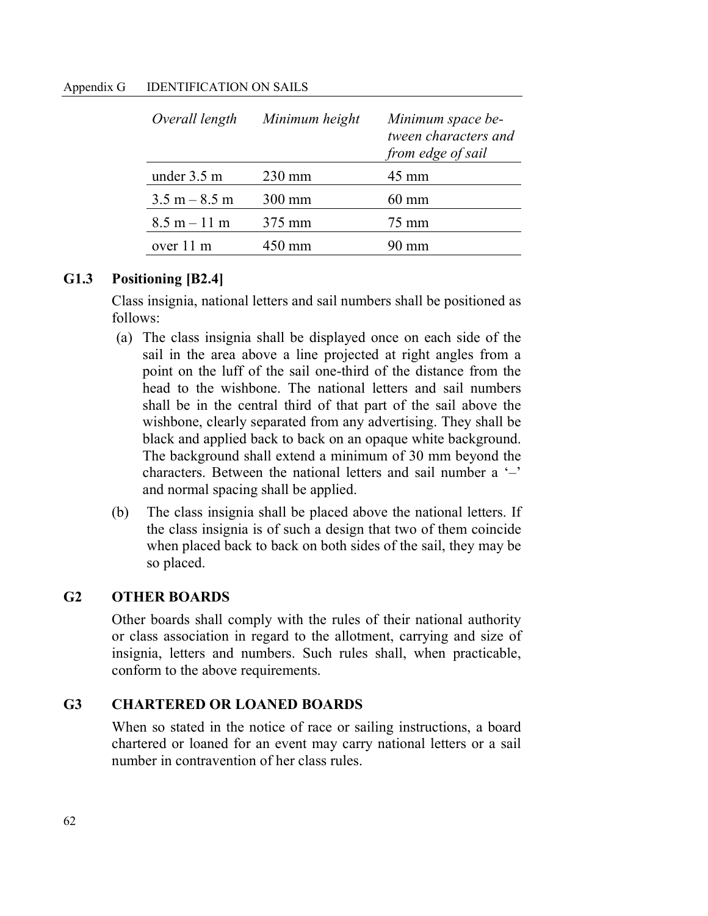#### Appendix G IDENTIFICATION ON SAILS

| Overall length  | Minimum height | Minimum space be-<br>tween characters and<br>from edge of sail |
|-----------------|----------------|----------------------------------------------------------------|
| under 3.5 m     | $230$ mm       | $45 \text{ mm}$                                                |
| $3.5 m - 8.5 m$ | $300$ mm       | $60 \text{ mm}$                                                |
| $8.5 m - 11 m$  | 375 mm         | 75 mm                                                          |
| over 11 m       | 450 mm         | mm                                                             |

## **G1.3 Positioning [B2.4]**

Class insignia, national letters and sail numbers shall be positioned as follows:

- (a) The class insignia shall be displayed once on each side of the sail in the area above a line projected at right angles from a point on the luff of the sail one-third of the distance from the head to the wishbone. The national letters and sail numbers shall be in the central third of that part of the sail above the wishbone, clearly separated from any advertising. They shall be black and applied back to back on an opaque white background. The background shall extend a minimum of 30 mm beyond the characters. Between the national letters and sail number a '–' and normal spacing shall be applied.
- (b) The class insignia shall be placed above the national letters. If the class insignia is of such a design that two of them coincide when placed back to back on both sides of the sail, they may be so placed.

## **G2 OTHER BOARDS**

Other boards shall comply with the rules of their national authority or class association in regard to the allotment, carrying and size of insignia, letters and numbers. Such rules shall, when practicable, conform to the above requirements.

## G3 CHARTERED OR LOANED BOARDS

When so stated in the notice of race or sailing instructions, a board chartered or loaned for an event may carry national letters or a sail number in contravention of her class rules.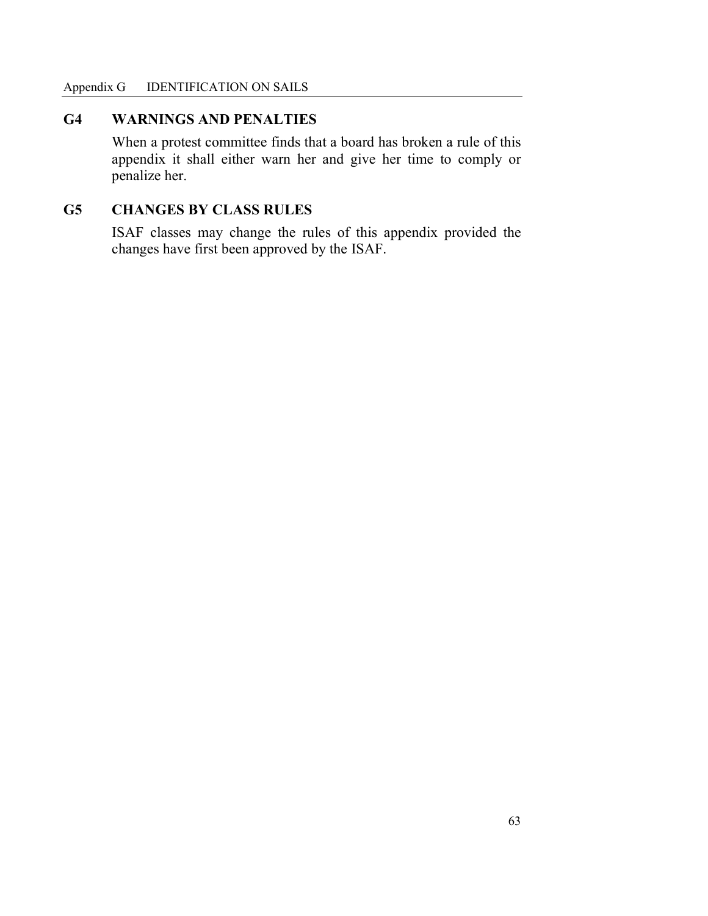## G4 WARNINGS AND PENALTIES

When a protest committee finds that a board has broken a rule of this appendix it shall either warn her and give her time to comply or penalize her.

## **G5 CHAGES BY CLASS RULES**

 ISAF classes may change the rules of this appendix provided the changes have first been approved by the ISAF.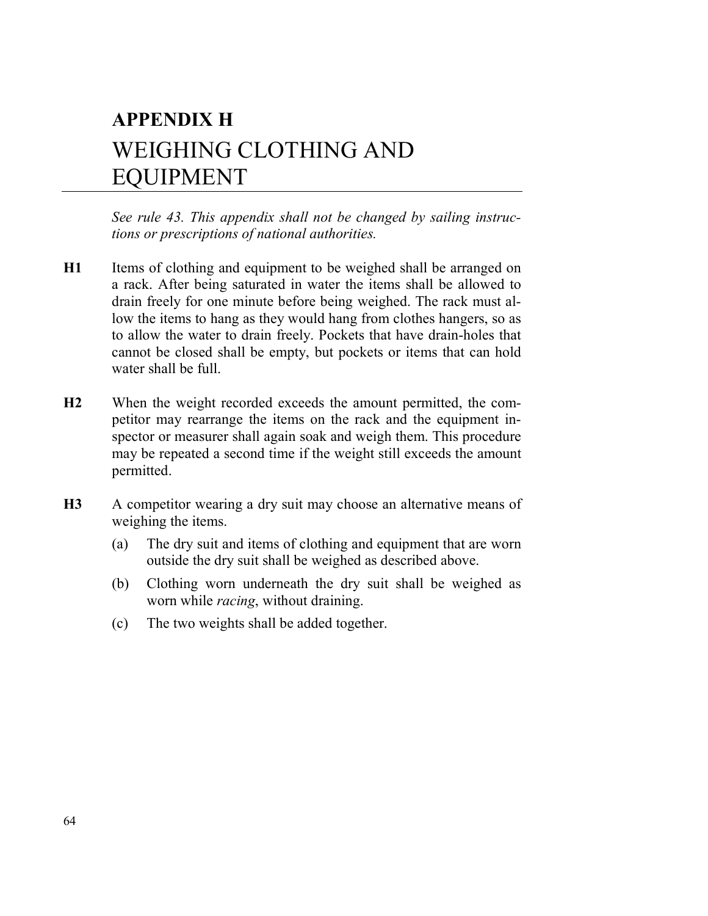# **APPEDIX H**  WEIGHING CLOTHING AND EQUIPMENT

*See rule 43. This appendix shall not be changed by sailing instructions or prescriptions of national authorities.* 

- **H1** Items of clothing and equipment to be weighed shall be arranged on a rack. After being saturated in water the items shall be allowed to drain freely for one minute before being weighed. The rack must allow the items to hang as they would hang from clothes hangers, so as to allow the water to drain freely. Pockets that have drain-holes that cannot be closed shall be empty, but pockets or items that can hold water shall be full.
- **H2** When the weight recorded exceeds the amount permitted, the competitor may rearrange the items on the rack and the equipment inspector or measurer shall again soak and weigh them. This procedure may be repeated a second time if the weight still exceeds the amount permitted.
- **H3** A competitor wearing a dry suit may choose an alternative means of weighing the items.
	- (a) The dry suit and items of clothing and equipment that are worn outside the dry suit shall be weighed as described above.
	- (b) Clothing worn underneath the dry suit shall be weighed as worn while *racing*, without draining.
	- (c) The two weights shall be added together.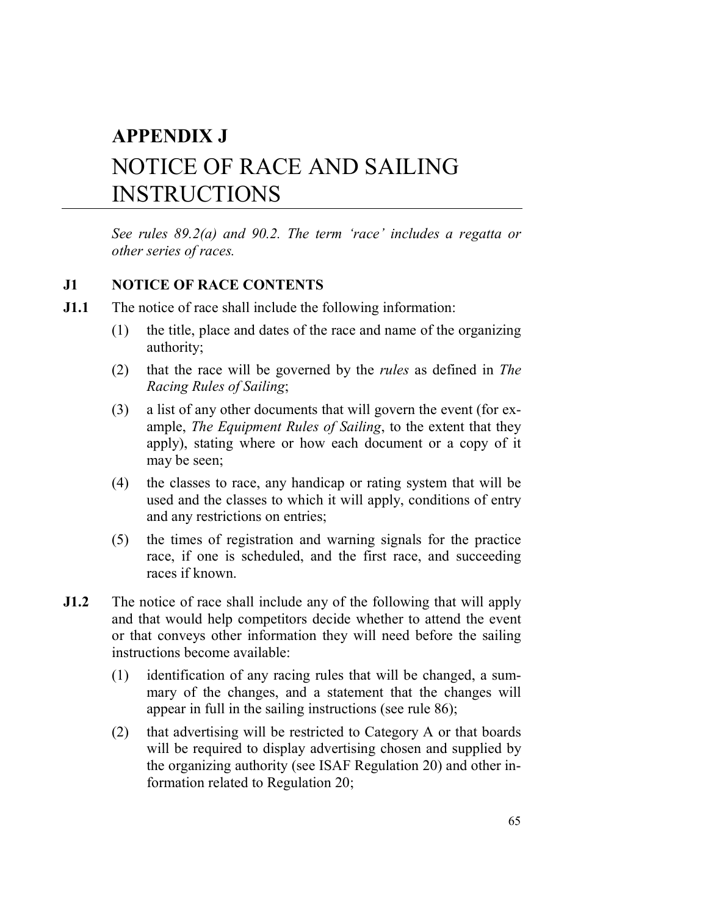# **APPEDIX J**  NOTICE OF RACE AND SAILING **INSTRUCTIONS**

*See rules 89.2(a) and 90.2. The term 'race' includes a regatta or other series of races.*

## **J1 NOTICE OF RACE CONTENTS**

- **J1.1** The notice of race shall include the following information:
	- (1) the title, place and dates of the race and name of the organizing authority;
	- (2) that the race will be governed by the *rules* as defined in *The Racing Rules of Sailing*;
	- (3) a list of any other documents that will govern the event (for example, *The Equipment Rules of Sailing*, to the extent that they apply), stating where or how each document or a copy of it may be seen;
	- (4) the classes to race, any handicap or rating system that will be used and the classes to which it will apply, conditions of entry and any restrictions on entries;
	- (5) the times of registration and warning signals for the practice race, if one is scheduled, and the first race, and succeeding races if known.
- **J1.2** The notice of race shall include any of the following that will apply and that would help competitors decide whether to attend the event or that conveys other information they will need before the sailing instructions become available:
	- (1) identification of any racing rules that will be changed, a summary of the changes, and a statement that the changes will appear in full in the sailing instructions (see rule 86);
	- (2) that advertising will be restricted to Category A or that boards will be required to display advertising chosen and supplied by the organizing authority (see ISAF Regulation 20) and other information related to Regulation 20;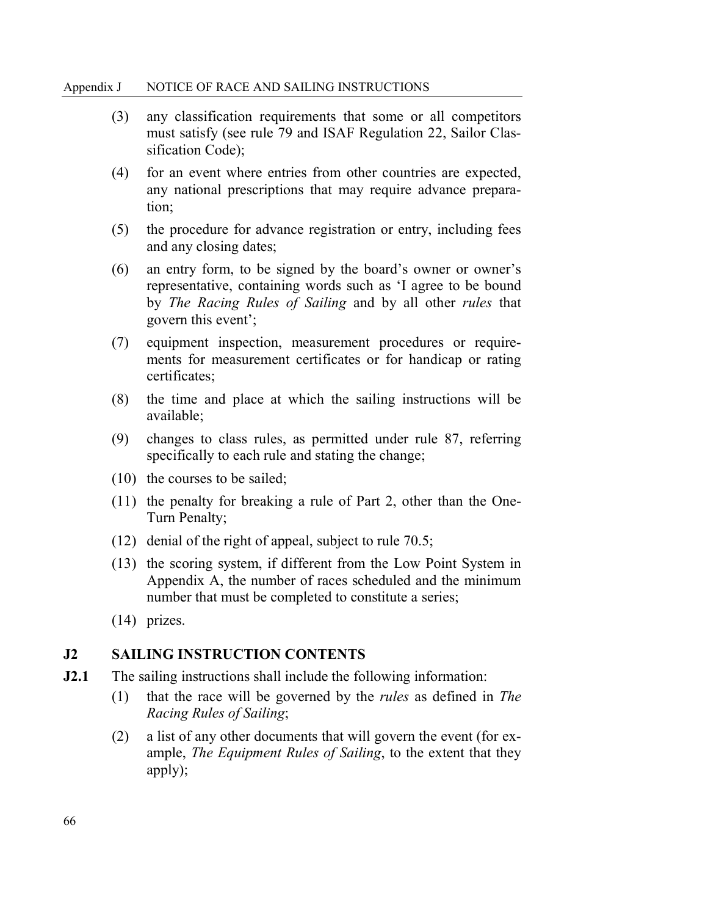#### Appendix J NOTICE OF RACE AND SAILING INSTRUCTIONS

- (3) any classification requirements that some or all competitors must satisfy (see rule 79 and ISAF Regulation 22, Sailor Classification Code);
- (4) for an event where entries from other countries are expected, any national prescriptions that may require advance preparation;
- (5) the procedure for advance registration or entry, including fees and any closing dates;
- (6) an entry form, to be signed by the board's owner or owner's representative, containing words such as 'I agree to be bound by *The Racing Rules of Sailing* and by all other *rules* that govern this event';
- (7) equipment inspection, measurement procedures or requirements for measurement certificates or for handicap or rating certificates;
- (8) the time and place at which the sailing instructions will be available;
- (9) changes to class rules, as permitted under rule 87, referring specifically to each rule and stating the change;
- (10) the courses to be sailed;
- (11) the penalty for breaking a rule of Part 2, other than the One-Turn Penalty;
- (12) denial of the right of appeal, subject to rule 70.5;
- (13) the scoring system, if different from the Low Point System in Appendix A, the number of races scheduled and the minimum number that must be completed to constitute a series;
- (14) prizes.

### **J2 SAILING INSTRUCTION CONTENTS**

- **J2.1** The sailing instructions shall include the following information:
	- (1) that the race will be governed by the *rules* as defined in *The Racing Rules of Sailing*;
	- (2) a list of any other documents that will govern the event (for example, *The Equipment Rules of Sailing*, to the extent that they apply);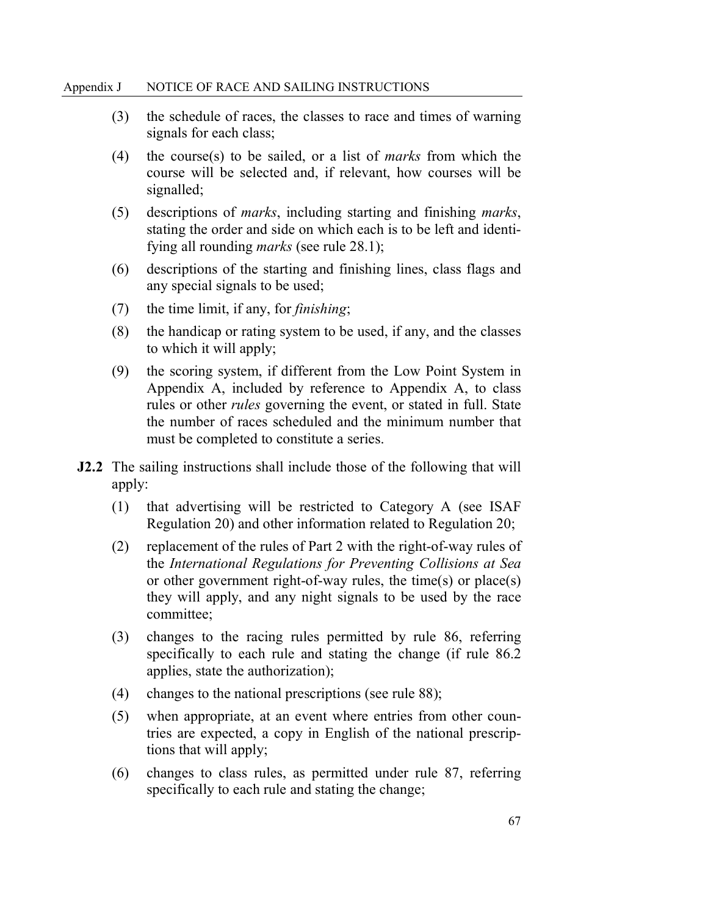#### Appendix J NOTICE OF RACE AND SAILING INSTRUCTIONS

- (3) the schedule of races, the classes to race and times of warning signals for each class;
- (4) the course(s) to be sailed, or a list of *marks* from which the course will be selected and, if relevant, how courses will be signalled;
- (5) descriptions of *marks*, including starting and finishing *marks*, stating the order and side on which each is to be left and identifying all rounding *marks* (see rule 28.1);
- (6) descriptions of the starting and finishing lines, class flags and any special signals to be used;
- (7) the time limit, if any, for *finishing*;
- (8) the handicap or rating system to be used, if any, and the classes to which it will apply;
- (9) the scoring system, if different from the Low Point System in Appendix A, included by reference to Appendix A, to class rules or other *rules* governing the event, or stated in full. State the number of races scheduled and the minimum number that must be completed to constitute a series.
- **J2.2** The sailing instructions shall include those of the following that will apply:
	- (1) that advertising will be restricted to Category A (see ISAF Regulation 20) and other information related to Regulation 20;
	- (2) replacement of the rules of Part 2 with the right-of-way rules of the *International Regulations for Preventing Collisions at Sea* or other government right-of-way rules, the time(s) or place(s) they will apply, and any night signals to be used by the race committee;
	- (3) changes to the racing rules permitted by rule 86, referring specifically to each rule and stating the change (if rule 86.2 applies, state the authorization);
	- (4) changes to the national prescriptions (see rule 88);
	- (5) when appropriate, at an event where entries from other countries are expected, a copy in English of the national prescriptions that will apply;
	- (6) changes to class rules, as permitted under rule 87, referring specifically to each rule and stating the change;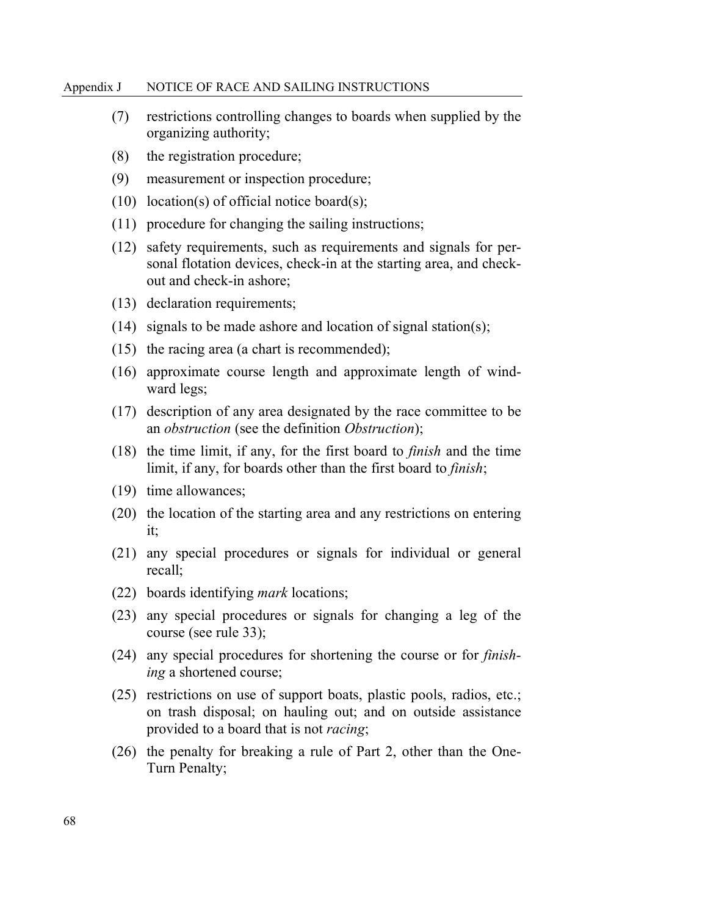#### Appendix J NOTICE OF RACE AND SAILING INSTRUCTIONS

- (7) restrictions controlling changes to boards when supplied by the organizing authority;
- (8) the registration procedure;
- (9) measurement or inspection procedure;
- $(10)$  location(s) of official notice board(s);
- (11) procedure for changing the sailing instructions;
- (12) safety requirements, such as requirements and signals for personal flotation devices, check-in at the starting area, and checkout and check-in ashore;
- (13) declaration requirements;
- (14) signals to be made ashore and location of signal station(s);
- (15) the racing area (a chart is recommended);
- (16) approximate course length and approximate length of windward legs;
- (17) description of any area designated by the race committee to be an *obstruction* (see the definition *Obstruction*);
- (18) the time limit, if any, for the first board to *finish* and the time limit, if any, for boards other than the first board to *finish*;
- (19) time allowances;
- (20) the location of the starting area and any restrictions on entering it;
- (21) any special procedures or signals for individual or general recall;
- (22) boards identifying *mark* locations;
- (23) any special procedures or signals for changing a leg of the course (see rule 33);
- (24) any special procedures for shortening the course or for *finishing* a shortened course;
- (25) restrictions on use of support boats, plastic pools, radios, etc.; on trash disposal; on hauling out; and on outside assistance provided to a board that is not *racing*;
- (26) the penalty for breaking a rule of Part 2, other than the One-Turn Penalty;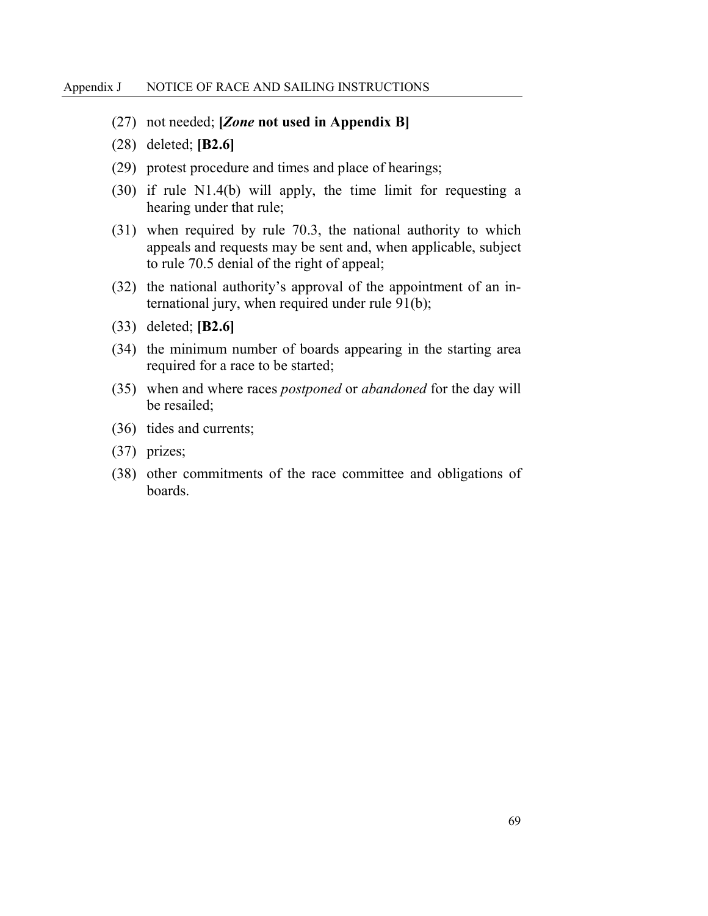- (27) not needed; **[***Zone* **not used in Appendix B]**
- (28) deleted; **[B2.6]**
- (29) protest procedure and times and place of hearings;
- (30) if rule N1.4(b) will apply, the time limit for requesting a hearing under that rule;
- (31) when required by rule 70.3, the national authority to which appeals and requests may be sent and, when applicable, subject to rule 70.5 denial of the right of appeal;
- (32) the national authority's approval of the appointment of an international jury, when required under rule 91(b);
- (33) deleted; **[B2.6]**
- (34) the minimum number of boards appearing in the starting area required for a race to be started;
- (35) when and where races *postponed* or *abandoned* for the day will be resailed;
- (36) tides and currents;
- (37) prizes;
- (38) other commitments of the race committee and obligations of boards.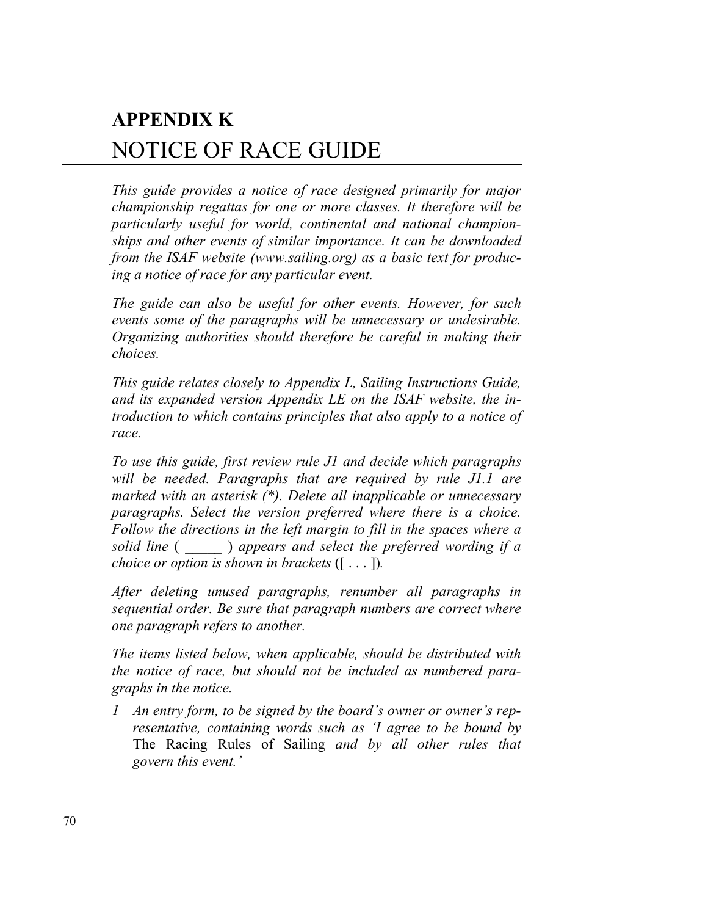# **APPEDIX K**  NOTICE OF RACE GUIDE

*This guide provides a notice of race designed primarily for major championship regattas for one or more classes. It therefore will be particularly useful for world, continental and national championships and other events of similar importance. It can be downloaded from the ISAF website (www.sailing.org) as a basic text for producing a notice of race for any particular event.* 

*The guide can also be useful for other events. However, for such events some of the paragraphs will be unnecessary or undesirable. Organizing authorities should therefore be careful in making their choices.* 

*This guide relates closely to Appendix L, Sailing Instructions Guide, and its expanded version Appendix LE on the ISAF website, the introduction to which contains principles that also apply to a notice of race.*

*To use this guide, first review rule J1 and decide which paragraphs will be needed. Paragraphs that are required by rule J1.1 are marked with an asterisk (\*). Delete all inapplicable or unnecessary paragraphs. Select the version preferred where there is a choice. Follow the directions in the left margin to fill in the spaces where a solid line* ( *\_\_\_\_\_* ) *appears and select the preferred wording if a choice or option is shown in brackets* ([ . . . ])*.* 

*After deleting unused paragraphs, renumber all paragraphs in sequential order. Be sure that paragraph numbers are correct where one paragraph refers to another.* 

*The items listed below, when applicable, should be distributed with the notice of race, but should not be included as numbered paragraphs in the notice.* 

*1 An entry form, to be signed by the board's owner or owner's representative, containing words such as 'I agree to be bound by*  The Racing Rules of Sailing *and by all other rules that govern this event.'*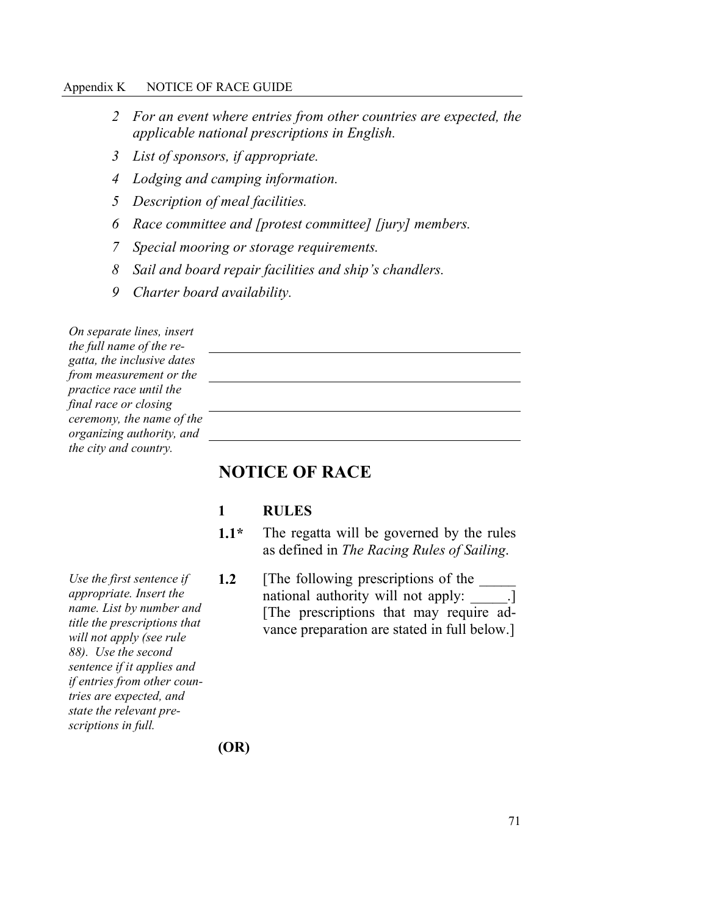- *2 For an event where entries from other countries are expected, the applicable national prescriptions in English.*
- *3 List of sponsors, if appropriate.*
- *4 Lodging and camping information.*
- *5 Description of meal facilities.*
- *6 Race committee and [protest committee] [jury] members.*
- *7 Special mooring or storage requirements.*
- *8 Sail and board repair facilities and ship's chandlers.*
- *9 Charter board availability.*

*On separate lines, insert the full name of the regatta, the inclusive dates from measurement or the practice race until the final race or closing ceremony, the name of the organizing authority, and the city and country.* 

# *NOTICE OF RACE*

### **1 RULES**

- 1.1<sup>\*</sup> The regatta will be governed by the rules as defined in *The Racing Rules of Sailing*.
- **1.2** [The following prescriptions of the national authority will not apply: [The prescriptions that may require advance preparation are stated in full below.]

*Use the first sentence if appropriate. Insert the name. List by number and title the prescriptions that will not apply (see rule 88). Use the second sentence if it applies and if entries from other countries are expected, and state the relevant prescriptions in full.* 

 **(OR)**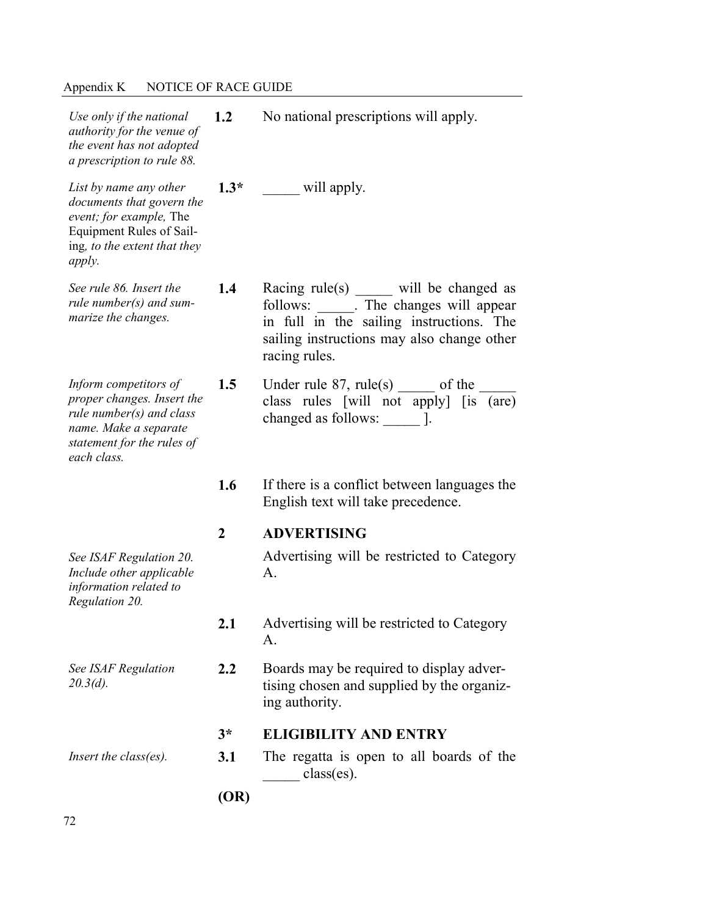| Use only if the national<br>authority for the venue of<br>the event has not adopted<br>a prescription to rule 88.                                           | 1.2            | No national prescriptions will apply.                                                                                                                                                       |
|-------------------------------------------------------------------------------------------------------------------------------------------------------------|----------------|---------------------------------------------------------------------------------------------------------------------------------------------------------------------------------------------|
| List by name any other<br>documents that govern the<br>event; for example, The<br>Equipment Rules of Sail-<br>ing, to the extent that they<br><i>apply.</i> | $1.3*$         | will apply.                                                                                                                                                                                 |
| See rule 86. Insert the<br>rule number(s) and sum-<br>marize the changes.                                                                                   | 1.4            | Racing $rule(s)$ will be changed as<br>follows: _______. The changes will appear<br>in full in the sailing instructions. The<br>sailing instructions may also change other<br>racing rules. |
| Inform competitors of<br>proper changes. Insert the<br>rule number(s) and class<br>name. Make a separate<br>statement for the rules of<br>each class.       | 1.5            | Under rule $87$ , rule(s) ______ of the<br>class rules [will not apply] [is<br>(are)                                                                                                        |
|                                                                                                                                                             | 1.6            | If there is a conflict between languages the<br>English text will take precedence.                                                                                                          |
|                                                                                                                                                             | $\overline{2}$ | <b>ADVERTISING</b>                                                                                                                                                                          |
| See ISAF Regulation 20.<br>Include other applicable<br>information related to<br>Regulation 20.                                                             |                | Advertising will be restricted to Category<br>A.                                                                                                                                            |
|                                                                                                                                                             | <b>2.1</b>     | Advertising will be restricted to Category<br>A.                                                                                                                                            |
| See ISAF Regulation<br>$20.3(d)$ .                                                                                                                          | 2.2            | Boards may be required to display adver-<br>tising chosen and supplied by the organiz-<br>ing authority.                                                                                    |
|                                                                                                                                                             | $3*$           | <b>ELIGIBILITY AND ENTRY</b>                                                                                                                                                                |
| Insert the class(es).                                                                                                                                       | 3.1            | The regatta is open to all boards of the<br>$class(es)$ .                                                                                                                                   |
|                                                                                                                                                             | (OR)           |                                                                                                                                                                                             |
| 72                                                                                                                                                          |                |                                                                                                                                                                                             |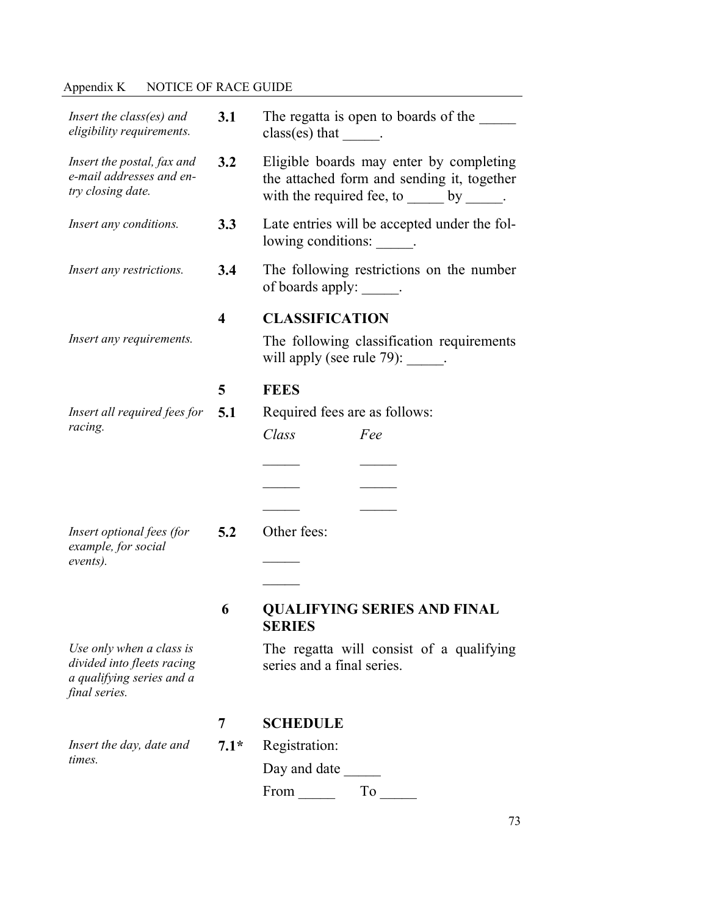| Insert the class(es) and<br>eligibility requirements.                                                | 3.1                     | The regatta is open to boards of the _______<br>class(es) that $\_\_\_\_\$ .                                                              |  |
|------------------------------------------------------------------------------------------------------|-------------------------|-------------------------------------------------------------------------------------------------------------------------------------------|--|
| Insert the postal, fax and<br>e-mail addresses and en-<br>try closing date.                          | 3.2                     | Eligible boards may enter by completing<br>the attached form and sending it, together<br>with the required fee, to $\_\_\_$ by $\_\_\_$ . |  |
| Insert any conditions.                                                                               | 3.3                     | Late entries will be accepted under the fol-<br>lowing conditions: ______.                                                                |  |
| Insert any restrictions.                                                                             | 3.4                     | The following restrictions on the number<br>of boards apply: $\_\_\_\_\_\_\_\_\$ .                                                        |  |
| Insert any requirements.                                                                             | $\overline{\mathbf{4}}$ | <b>CLASSIFICATION</b><br>The following classification requirements<br>will apply (see rule $79$ ): ______.                                |  |
|                                                                                                      | 5                       | <b>FEES</b>                                                                                                                               |  |
| Insert all required fees for                                                                         | 5.1                     | Required fees are as follows:                                                                                                             |  |
| racing.                                                                                              |                         | Class<br>Fee                                                                                                                              |  |
|                                                                                                      |                         |                                                                                                                                           |  |
|                                                                                                      |                         |                                                                                                                                           |  |
|                                                                                                      |                         |                                                                                                                                           |  |
| Insert optional fees (for                                                                            | 5.2                     | Other fees:                                                                                                                               |  |
| example, for social<br>events).                                                                      |                         |                                                                                                                                           |  |
|                                                                                                      |                         |                                                                                                                                           |  |
|                                                                                                      | 6                       | <b>QUALIFYING SERIES AND FINAL</b><br>SERIES                                                                                              |  |
| Use only when a class is<br>divided into fleets racing<br>a qualifying series and a<br>final series. |                         | The regatta will consist of a qualifying<br>series and a final series.                                                                    |  |
|                                                                                                      | 7                       | <b>SCHEDULE</b>                                                                                                                           |  |
| Insert the day, date and                                                                             | $7.1*$                  | Registration:                                                                                                                             |  |
| times.                                                                                               |                         | Day and date                                                                                                                              |  |

From  $\begin{array}{c} \text{From} \\ \end{array}$  To  $\begin{array}{c} \end{array}$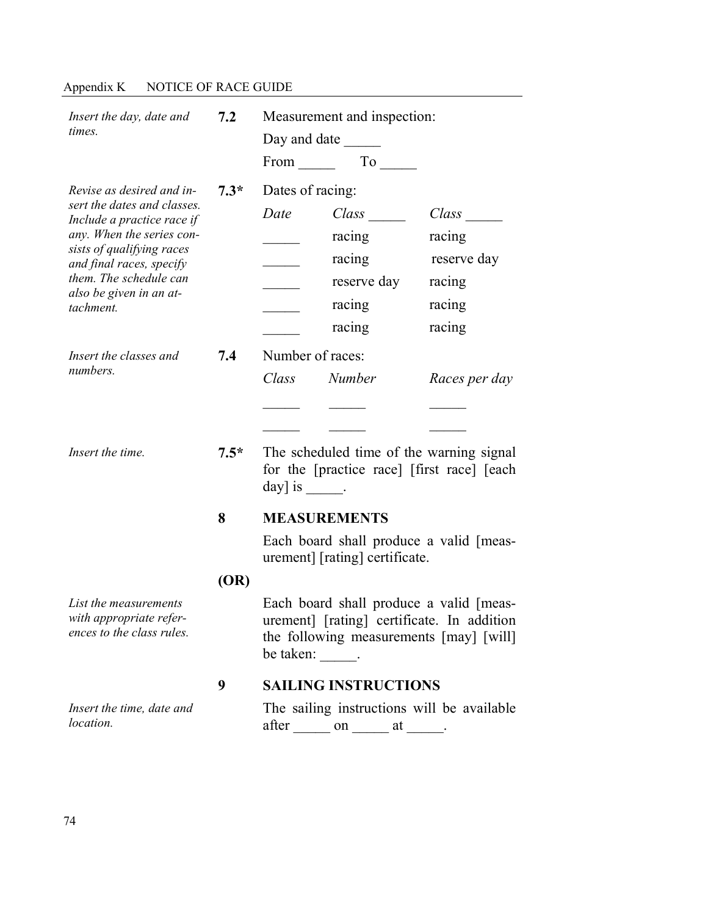| Insert the day, date and                                                      | 7.2    | Measurement and inspection:                                                  |                                                                                                                                  |               |
|-------------------------------------------------------------------------------|--------|------------------------------------------------------------------------------|----------------------------------------------------------------------------------------------------------------------------------|---------------|
| times.                                                                        |        |                                                                              |                                                                                                                                  |               |
|                                                                               |        |                                                                              | From $\_\_$ To $\_\_$                                                                                                            |               |
| Revise as desired and in-                                                     | $7.3*$ | Dates of racing:                                                             |                                                                                                                                  |               |
| sert the dates and classes.<br>Include a practice race if                     |        | Date                                                                         | $Class$ <sub>_____________</sub>                                                                                                 | Class         |
| any. When the series con-<br>sists of qualifying races                        |        |                                                                              | racing                                                                                                                           | racing        |
| and final races, specify                                                      |        |                                                                              | racing                                                                                                                           | reserve day   |
| them. The schedule can<br>also be given in an at-                             |        |                                                                              | reserve day                                                                                                                      | racing        |
| tachment.                                                                     |        |                                                                              | racing                                                                                                                           | racing        |
|                                                                               |        |                                                                              | racing                                                                                                                           | racing        |
| Insert the classes and                                                        | 7.4    | Number of races:                                                             |                                                                                                                                  |               |
| numbers.                                                                      |        | Class                                                                        | Number                                                                                                                           | Races per day |
|                                                                               |        |                                                                              |                                                                                                                                  |               |
|                                                                               |        |                                                                              |                                                                                                                                  |               |
| Insert the time.                                                              | $7.5*$ | day] is ______.                                                              | The scheduled time of the warning signal<br>for the [practice race] [first race] [each                                           |               |
|                                                                               | 8      |                                                                              | <b>MEASUREMENTS</b>                                                                                                              |               |
|                                                                               |        |                                                                              | Each board shall produce a valid [meas-<br>urement] [rating] certificate.                                                        |               |
|                                                                               | (OR)   |                                                                              |                                                                                                                                  |               |
| List the measurements<br>with appropriate refer-<br>ences to the class rules. |        | be taken:                                                                    | Each board shall produce a valid [meas-<br>urement] [rating] certificate. In addition<br>the following measurements [may] [will] |               |
|                                                                               | 9      |                                                                              | <b>SAILING INSTRUCTIONS</b>                                                                                                      |               |
| Insert the time, date and<br><i>location.</i>                                 |        | The sailing instructions will be available<br>$after \_\_ on \_\_ at \_\_ .$ |                                                                                                                                  |               |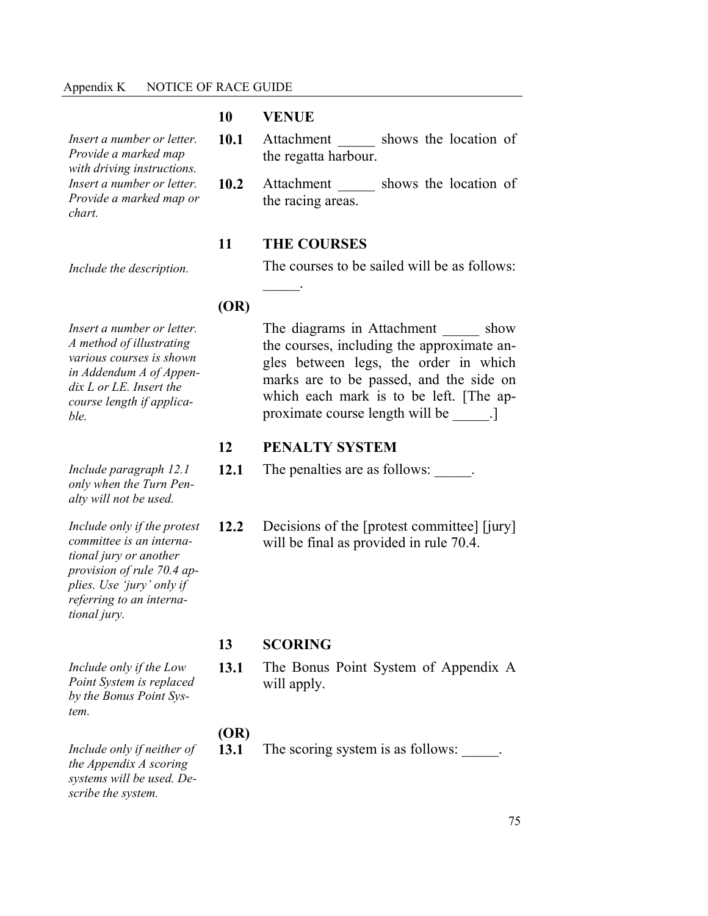**10 VENUE** 

*Insert a number or letter. Provide a marked map with driving instructions. Insert a number or letter. Provide a marked map or chart.* 

#### *Include the description.*

*Insert a number or letter. A method of illustrating various courses is shown in Addendum A of Appendix L or LE. Insert the course length if applicable.*

*Include paragraph 12.1 only when the Turn Penalty will not be used.* 

*Include only if the protest committee is an international jury or another provision of rule 70.4 applies. Use 'jury' only if referring to an international jury.* 

*Include only if the Low Point System is replaced by the Bonus Point System.* 

*Include only if neither of the Appendix A scoring systems will be used. Describe the system.* 

- **10.1** Attachment shows the location of the regatta harbour.
- 10.2 Attachment shows the location of the racing areas.

#### **11 THE COURSES**

 $\overline{\phantom{a}}$ 

The courses to be sailed will be as follows:

#### **(OR)**

The diagrams in Attachment show the courses, including the approximate angles between legs, the order in which marks are to be passed, and the side on which each mark is to be left. [The approximate course length will be \_\_\_\_\_.]

#### **12 PEALTY SYSTEM**

- **12.1** The penalties are as follows:
- **12.2** Decisions of the [protest committee] [jury] will be final as provided in rule 70.4.

#### **13 SCORIG**

 **13.1** The Bonus Point System of Appendix A will apply.

#### **(OR)**

- **13.1** The scoring system is as follows:
- 75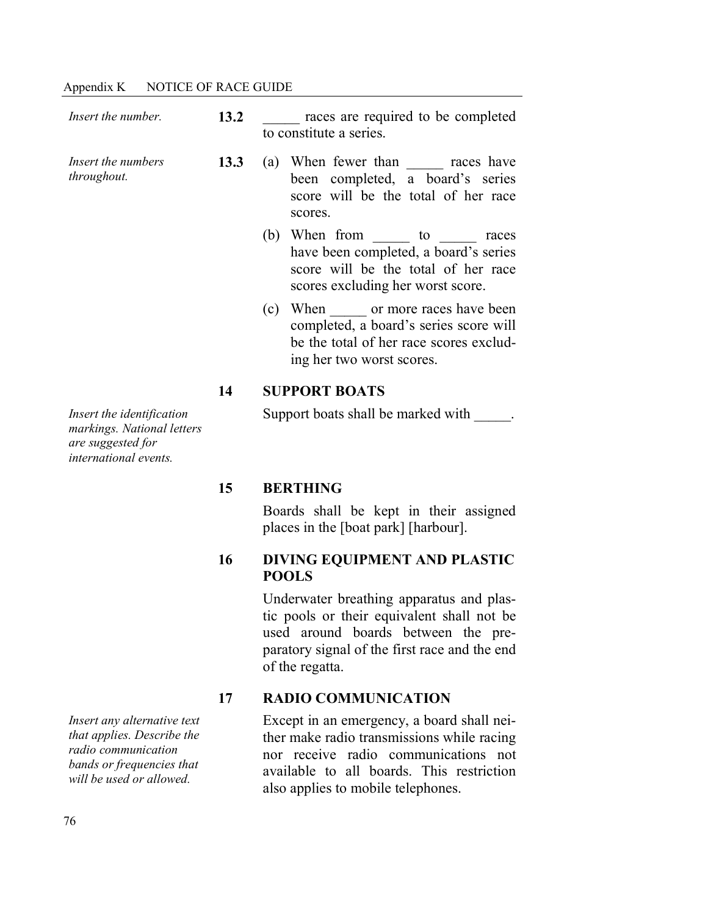| Insert the number.                                                                                    | 13.2 | races are required to be completed<br>to constitute a series.                                                                                         |  |
|-------------------------------------------------------------------------------------------------------|------|-------------------------------------------------------------------------------------------------------------------------------------------------------|--|
| Insert the numbers<br>throughout.                                                                     | 13.3 | (a) When fewer than races have<br>been completed, a board's series<br>score will be the total of her race<br>scores.                                  |  |
|                                                                                                       |      | (b) When from to races<br>have been completed, a board's series<br>score will be the total of her race<br>scores excluding her worst score.           |  |
|                                                                                                       |      | (c)<br>When or more races have been<br>completed, a board's series score will<br>be the total of her race scores exclud-<br>ing her two worst scores. |  |
|                                                                                                       | 14   | <b>SUPPORT BOATS</b>                                                                                                                                  |  |
| Insert the identification<br>markings. National letters<br>are suggested for<br>international events. |      | Support boats shall be marked with fig.                                                                                                               |  |
|                                                                                                       | 15   | <b>BERTHING</b>                                                                                                                                       |  |
|                                                                                                       |      | Boards shall be kept in their assigned<br>places in the [boat park] [harbour].                                                                        |  |
|                                                                                                       | 16   | DIVING EQUIPMENT AND PLASTIC<br><b>POOLS</b>                                                                                                          |  |
|                                                                                                       |      | Underwater breathing apparatus and plas-                                                                                                              |  |
|                                                                                                       |      | tic pools or their equivalent shall not be<br>used around boards between the pre-<br>paratory signal of the first race and the end<br>of the regatta. |  |

Except in an emergency, a board shall neither make radio transmissions while racing nor receive radio communications not available to all boards. This restriction also applies to mobile telephones.

*Insert any alternative text that applies. Describe the radio communication bands or frequencies that will be used or allowed.*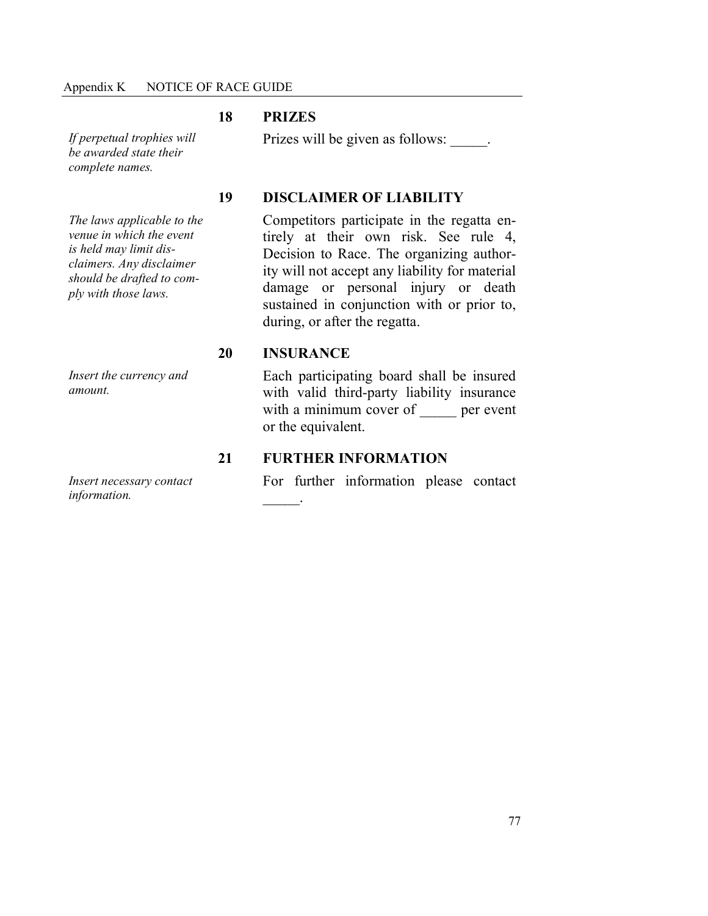#### **18 PRIZES**

*If perpetual trophies will be awarded state their complete names.* 

Prizes will be given as follows:

### **19 DISCLAIMER OF LIABILITY**

*The laws applicable to the venue in which the event is held may limit disclaimers. Any disclaimer should be drafted to comply with those laws.* 

*Insert the currency and amount.* 

*Insert necessary contact information.* 

Competitors participate in the regatta entirely at their own risk. See rule 4, Decision to Race. The organizing authority will not accept any liability for material damage or personal injury or death sustained in conjunction with or prior to, during, or after the regatta.

### **20 ISURACE**

 $\overline{\phantom{a}}$ 

Each participating board shall be insured with valid third-party liability insurance with a minimum cover of <u>equiperent</u> or the equivalent.

# **21 FURTHER INFORMATION**

For further information please contact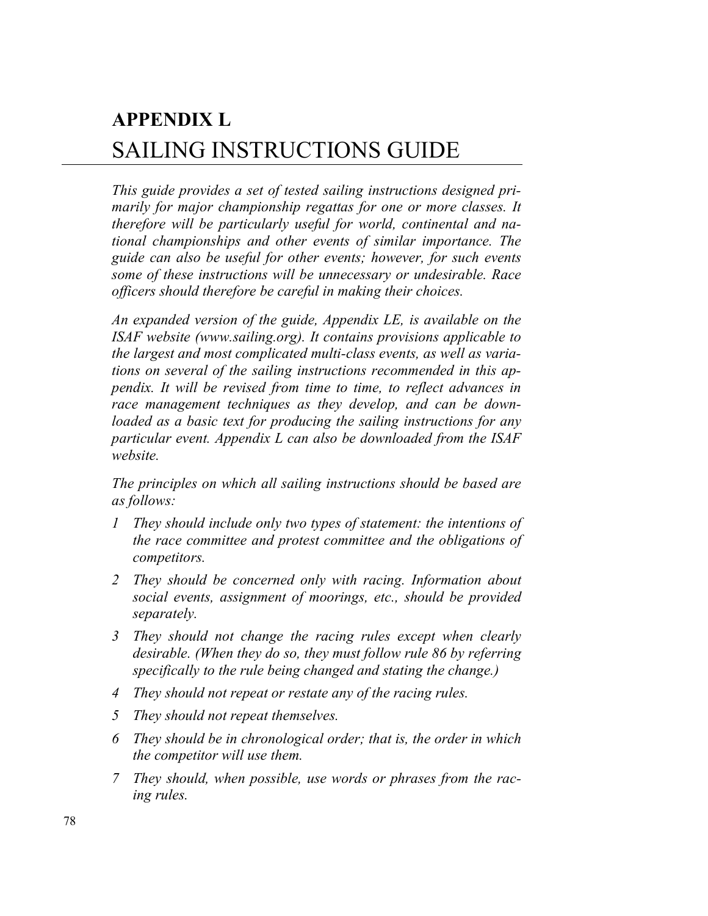# **APPEDIX L**  SAILING INSTRUCTIONS GUIDE

*This guide provides a set of tested sailing instructions designed primarily for major championship regattas for one or more classes. It therefore will be particularly useful for world, continental and national championships and other events of similar importance. The guide can also be useful for other events; however, for such events some of these instructions will be unnecessary or undesirable. Race officers should therefore be careful in making their choices.* 

*An expanded version of the guide, Appendix LE, is available on the ISAF website (www.sailing.org). It contains provisions applicable to the largest and most complicated multi-class events, as well as variations on several of the sailing instructions recommended in this appendix. It will be revised from time to time, to reflect advances in race management techniques as they develop, and can be downloaded as a basic text for producing the sailing instructions for any particular event. Appendix L can also be downloaded from the ISAF website.*

*The principles on which all sailing instructions should be based are as follows:* 

- *1 They should include only two types of statement: the intentions of the race committee and protest committee and the obligations of competitors.*
- *2 They should be concerned only with racing. Information about social events, assignment of moorings, etc., should be provided separately.*
- *3 They should not change the racing rules except when clearly desirable. (When they do so, they must follow rule 86 by referring specifically to the rule being changed and stating the change.)*
- *4 They should not repeat or restate any of the racing rules.*
- *5 They should not repeat themselves.*
- *6 They should be in chronological order; that is, the order in which the competitor will use them.*
- *7 They should, when possible, use words or phrases from the racing rules.*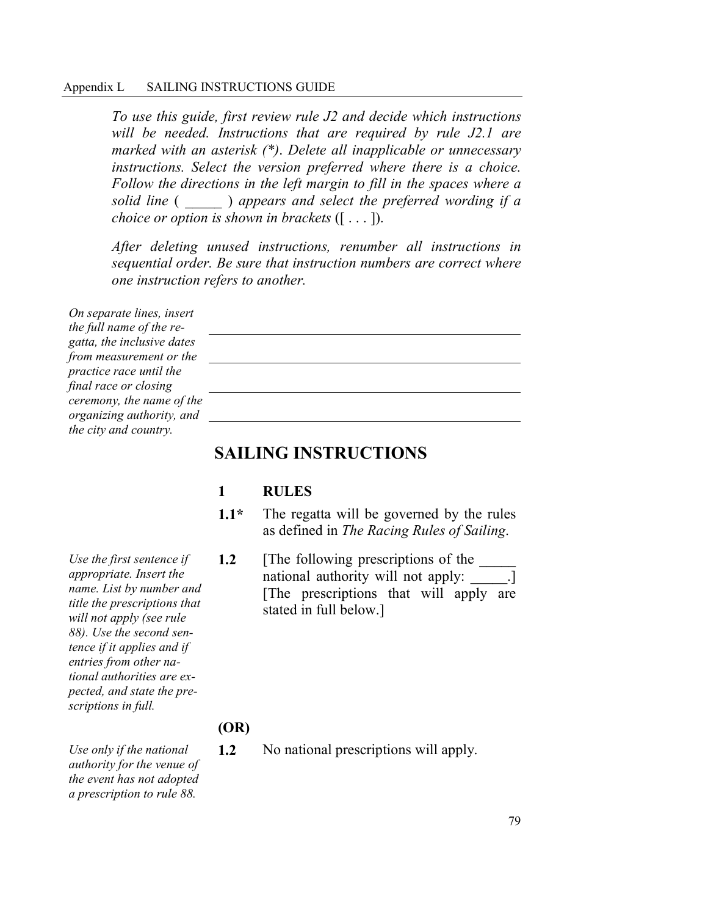*To use this guide, first review rule J2 and decide which instructions will be needed. Instructions that are required by rule J2.1 are marked with an asterisk (\*)*. *Delete all inapplicable or unnecessary instructions. Select the version preferred where there is a choice. Follow the directions in the left margin to fill in the spaces where a solid line* ( \_\_\_\_\_ ) *appears and select the preferred wording if a choice or option is shown in brackets* ([ . . . ]).

*After deleting unused instructions, renumber all instructions in sequential order. Be sure that instruction numbers are correct where one instruction refers to another.* 

*On separate lines, insert the full name of the regatta, the inclusive dates from measurement or the practice race until the final race or closing ceremony, the name of the organizing authority, and the city and country.* 

# **SAILING INSTRUCTIONS**

#### **1 RULES**

- **1.1\*** The regatta will be governed by the rules as defined in *The Racing Rules of Sailing*.
- **1.2** [The following prescriptions of the national authority will not apply:  $\qquad$ .] [The prescriptions that will apply are stated in full below.]

#### **(OR)**

**1.2** No national prescriptions will apply.

*Use the first sentence if appropriate. Insert the name. List by number and title the prescriptions that will not apply (see rule 88). Use the second sentence if it applies and if entries from other national authorities are expected, and state the prescriptions in full.* 

*Use only if the national authority for the venue of the event has not adopted a prescription to rule 88.*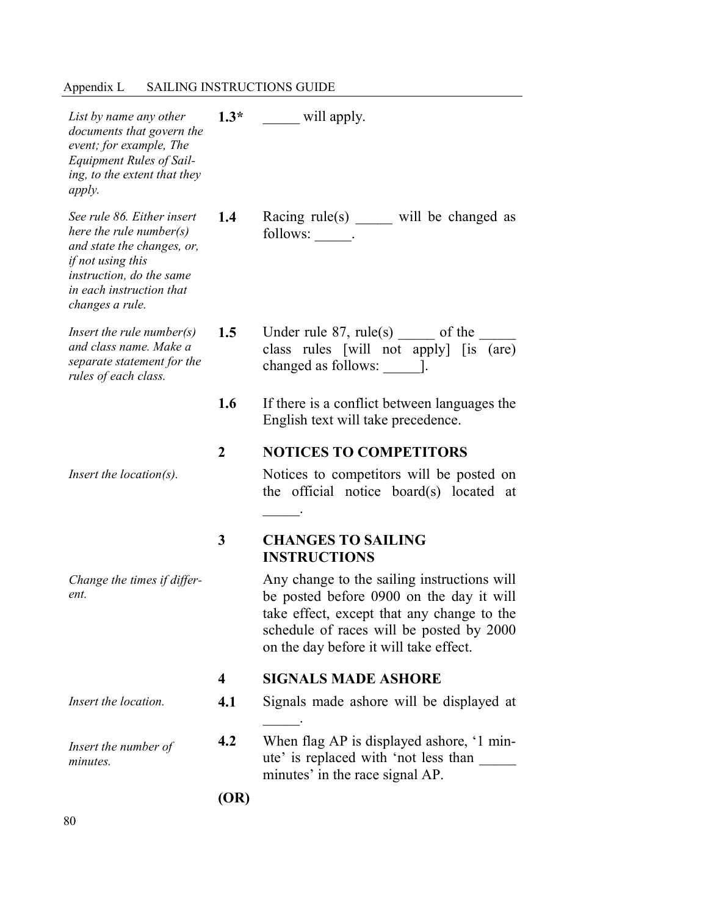| List by name any other<br>documents that govern the<br>event; for example, The<br>Equipment Rules of Sail-<br>ing, to the extent that they<br><i>apply.</i>                         | $1.3*$                  | will apply.                                                                                                                                                                                                                 |
|-------------------------------------------------------------------------------------------------------------------------------------------------------------------------------------|-------------------------|-----------------------------------------------------------------------------------------------------------------------------------------------------------------------------------------------------------------------------|
| See rule 86. Either insert<br>here the rule number(s)<br>and state the changes, or,<br>if not using this<br>instruction, do the same<br>in each instruction that<br>changes a rule. | 1.4                     | Racing $rule(s)$ _______ will be changed as<br>follows: ______.                                                                                                                                                             |
| Insert the rule number(s)<br>and class name. Make a<br>separate statement for the<br>rules of each class.                                                                           | 1.5                     | Under rule $87$ , rule(s) of the<br>class rules [will not apply] [is<br>(are)<br>changed as follows: 1.                                                                                                                     |
|                                                                                                                                                                                     | 1.6                     | If there is a conflict between languages the<br>English text will take precedence.                                                                                                                                          |
|                                                                                                                                                                                     | $\boldsymbol{2}$        | <b>NOTICES TO COMPETITORS</b>                                                                                                                                                                                               |
| <i>Insert the location(s).</i>                                                                                                                                                      |                         | Notices to competitors will be posted on<br>the official notice board(s) located at                                                                                                                                         |
|                                                                                                                                                                                     | 3                       | <b>CHANGES TO SAILING</b><br><b>INSTRUCTIONS</b>                                                                                                                                                                            |
| Change the times if differ-<br>ent.                                                                                                                                                 |                         | Any change to the sailing instructions will<br>be posted before 0900 on the day it will<br>take effect, except that any change to the<br>schedule of races will be posted by 2000<br>on the day before it will take effect. |
|                                                                                                                                                                                     | $\overline{\mathbf{4}}$ | <b>SIGNALS MADE ASHORE</b>                                                                                                                                                                                                  |
| Insert the location.                                                                                                                                                                | 4.1                     | Signals made ashore will be displayed at                                                                                                                                                                                    |
| Insert the number of<br>minutes.                                                                                                                                                    | 4.2                     | When flag AP is displayed ashore, '1 min-<br>ute' is replaced with 'not less than<br>minutes' in the race signal AP.                                                                                                        |
|                                                                                                                                                                                     | (OR)                    |                                                                                                                                                                                                                             |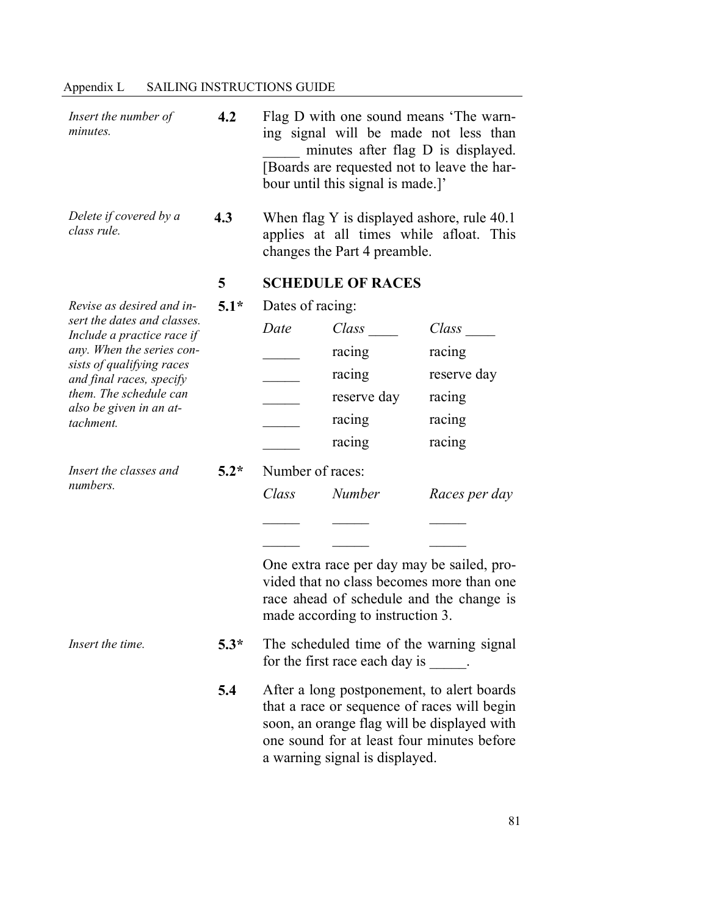| Insert the number of<br>minutes.                          | 4.2    | Flag D with one sound means 'The warn-<br>ing signal will be made not less than<br>minutes after flag D is displayed.<br>[Boards are requested not to leave the har-<br>bour until this signal is made.]'                |                                                                                                                                                                         |                              |
|-----------------------------------------------------------|--------|--------------------------------------------------------------------------------------------------------------------------------------------------------------------------------------------------------------------------|-------------------------------------------------------------------------------------------------------------------------------------------------------------------------|------------------------------|
| Delete if covered by a<br>class rule.                     | 4.3    |                                                                                                                                                                                                                          | When flag Y is displayed ashore, rule 40.1<br>applies at all times while afloat. This<br>changes the Part 4 preamble.                                                   |                              |
|                                                           | 5      |                                                                                                                                                                                                                          | <b>SCHEDULE OF RACES</b>                                                                                                                                                |                              |
| Revise as desired and in-                                 | $5.1*$ | Dates of racing:                                                                                                                                                                                                         |                                                                                                                                                                         |                              |
| sert the dates and classes.<br>Include a practice race if |        | Date                                                                                                                                                                                                                     | Class                                                                                                                                                                   | $Class$ <sub>______</sub>    |
| any. When the series con-                                 |        |                                                                                                                                                                                                                          | racing                                                                                                                                                                  | racing                       |
| sists of qualifying races<br>and final races, specify     |        |                                                                                                                                                                                                                          | racing                                                                                                                                                                  | reserve day                  |
| them. The schedule can<br>also be given in an at-         |        |                                                                                                                                                                                                                          | reserve day                                                                                                                                                             | racing                       |
| tachment.                                                 |        |                                                                                                                                                                                                                          | racing                                                                                                                                                                  | racing                       |
|                                                           |        |                                                                                                                                                                                                                          | racing                                                                                                                                                                  | racing                       |
| Insert the classes and                                    | $5.2*$ | Number of races:                                                                                                                                                                                                         |                                                                                                                                                                         |                              |
| numbers.                                                  |        | Class                                                                                                                                                                                                                    | Number                                                                                                                                                                  | Races per day                |
|                                                           |        |                                                                                                                                                                                                                          |                                                                                                                                                                         |                              |
|                                                           |        |                                                                                                                                                                                                                          | One extra race per day may be sailed, pro-<br>vided that no class becomes more than one<br>race ahead of schedule and the change is<br>made according to instruction 3. |                              |
| Insert the time.                                          | $5.3*$ |                                                                                                                                                                                                                          | The scheduled time of the warning signal<br>for the first race each day is                                                                                              | $\mathcal{L}^{\text{max}}$ . |
|                                                           | 5.4    | After a long postponement, to alert boards<br>that a race or sequence of races will begin<br>soon, an orange flag will be displayed with<br>one sound for at least four minutes before<br>a warning signal is displayed. |                                                                                                                                                                         |                              |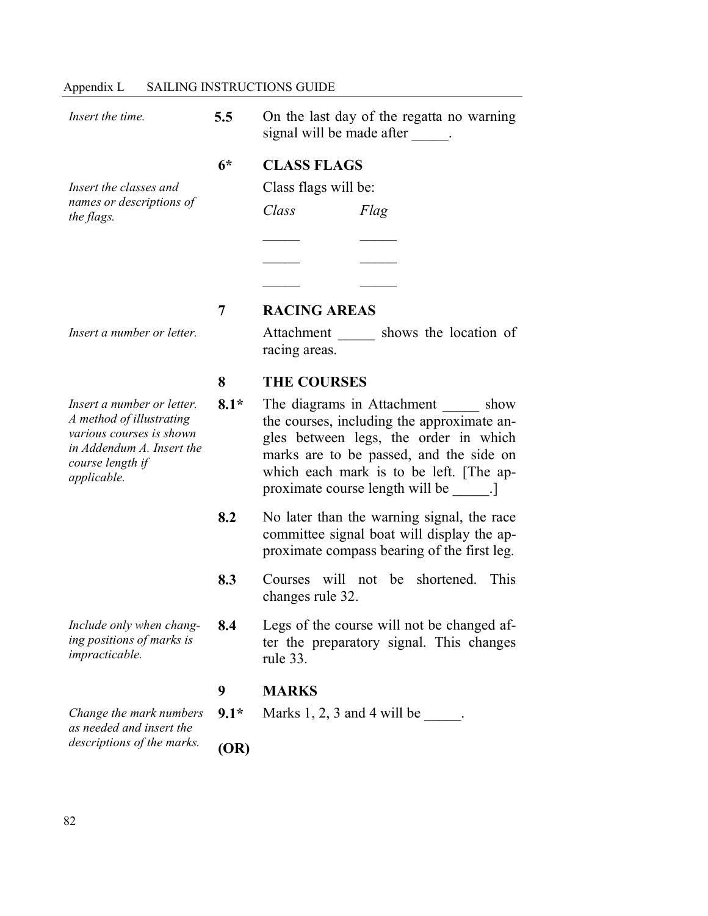| Insert the time.                                                                                                                                   | 5.5    | On the last day of the regatta no warning<br>signal will be made after ______.                                                                                                                                                                                   |                                                   |  |  |
|----------------------------------------------------------------------------------------------------------------------------------------------------|--------|------------------------------------------------------------------------------------------------------------------------------------------------------------------------------------------------------------------------------------------------------------------|---------------------------------------------------|--|--|
|                                                                                                                                                    | $6*$   | <b>CLASS FLAGS</b>                                                                                                                                                                                                                                               |                                                   |  |  |
| Insert the classes and                                                                                                                             |        | Class flags will be:                                                                                                                                                                                                                                             |                                                   |  |  |
| names or descriptions of<br>the flags.                                                                                                             |        | Class<br>Flag                                                                                                                                                                                                                                                    |                                                   |  |  |
|                                                                                                                                                    |        |                                                                                                                                                                                                                                                                  |                                                   |  |  |
|                                                                                                                                                    |        |                                                                                                                                                                                                                                                                  |                                                   |  |  |
|                                                                                                                                                    |        |                                                                                                                                                                                                                                                                  |                                                   |  |  |
|                                                                                                                                                    | 7      | <b>RACING AREAS</b>                                                                                                                                                                                                                                              |                                                   |  |  |
| Insert a number or letter.                                                                                                                         |        | racing areas.                                                                                                                                                                                                                                                    | Attachment shows the location of                  |  |  |
|                                                                                                                                                    | 8      | <b>THE COURSES</b>                                                                                                                                                                                                                                               |                                                   |  |  |
| Insert a number or letter.<br>A method of illustrating<br>various courses is shown<br>in Addendum A. Insert the<br>course length if<br>applicable. | $8.1*$ | The diagrams in Attachment _______ show<br>the courses, including the approximate an-<br>gles between legs, the order in which<br>marks are to be passed, and the side on<br>which each mark is to be left. The ap-<br>proximate course length will be _______.] |                                                   |  |  |
|                                                                                                                                                    | 8.2    | No later than the warning signal, the race<br>committee signal boat will display the ap-<br>proximate compass bearing of the first leg.                                                                                                                          |                                                   |  |  |
|                                                                                                                                                    | 8.3    | changes rule 32.                                                                                                                                                                                                                                                 | Courses will not be shortened.<br>This            |  |  |
| Include only when chang-<br>ing positions of marks is<br>impracticable.                                                                            | 8.4    | Legs of the course will not be changed af-<br>ter the preparatory signal. This changes<br>rule 33.                                                                                                                                                               |                                                   |  |  |
|                                                                                                                                                    | 9      | <b>MARKS</b>                                                                                                                                                                                                                                                     |                                                   |  |  |
| Change the mark numbers                                                                                                                            | $9.1*$ |                                                                                                                                                                                                                                                                  | Marks $1, 2, 3$ and $4$ will be $\qquad \qquad$ . |  |  |
| as needed and insert the<br>descriptions of the marks.                                                                                             | (OR)   |                                                                                                                                                                                                                                                                  |                                                   |  |  |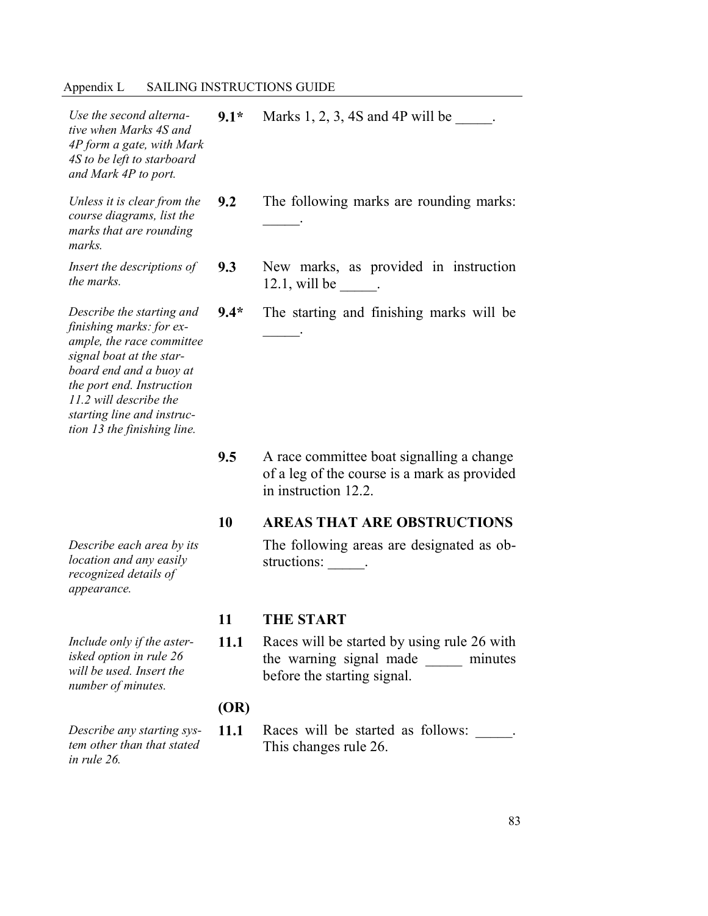*Use the second alternative when Marks 4S and 4P form a gate, with Mark 4S to be left to starboard and Mark 4P to port.* 

- *Unless it is clear from the course diagrams, list the marks that are rounding marks.*
- *Insert the descriptions of the marks.*

*Describe the starting and finishing marks: for example, the race committee signal boat at the starboard end and a buoy at the port end. Instruction 11.2 will describe the starting line and instruction 13 the finishing line.* 

*Describe each area by its location and any easily recognized details of appearance.* 

*Include only if the asterisked option in rule 26 will be used. Insert the number of minutes.* 

*Describe any starting system other than that stated in rule 26.* 

- **9.1\***  Marks  $1, 2, 3, 4S$  and  $4P$  will be  $\qquad \qquad$ .
- **9.2** The following marks are rounding marks:
- **9.3** New marks, as provided in instruction 12.1, will be  $\qquad$ .
- **9.4\*** The starting and finishing marks will be

 **9.5** A race committee boat signalling a change of a leg of the course is a mark as provided in instruction 12.2.

# **10 AREAS THAT ARE OBSTRUCTIOS**

The following areas are designated as obstructions:

#### **11 THE START**

 $\overline{\phantom{a}}$ 

 $\overline{\phantom{a}}$ 

 **11.1** Races will be started by using rule 26 with the warning signal made minutes before the starting signal.

# **(OR)**

**11.1** Races will be started as follows: This changes rule 26.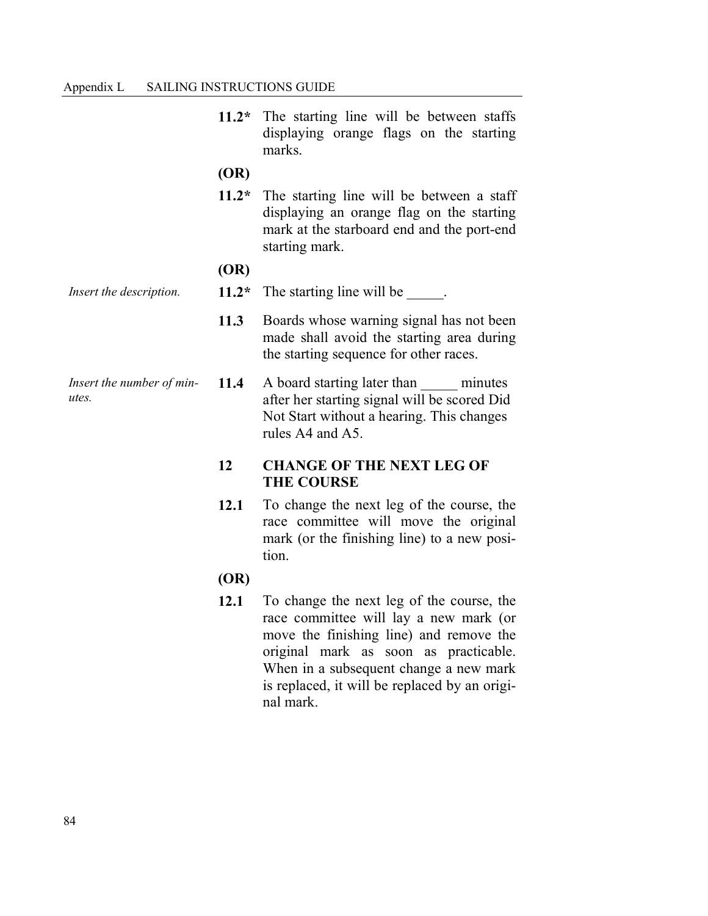- **11.2\*** The starting line will be between staffs displaying orange flags on the starting marks.
- **(OR)**
- **11.2\*** The starting line will be between a staff displaying an orange flag on the starting mark at the starboard end and the port-end starting mark.

#### **(OR)**

*Insert the description.* **11.2**<sup>\*</sup> The starting line will be  $\qquad$ .

- **11.3** Boards whose warning signal has not been made shall avoid the starting area during the starting sequence for other races.
- *Insert the number of minutes.*  11.4 A board starting later than minutes after her starting signal will be scored Did Not Start without a hearing. This changes rules A4 and A5.

# 12 CHANGE OF THE NEXT LEG OF **THE COURSE**

 **12.1** To change the next leg of the course, the race committee will move the original mark (or the finishing line) to a new position.

# **(OR)**

 **12.1** To change the next leg of the course, the race committee will lay a new mark (or move the finishing line) and remove the original mark as soon as practicable. When in a subsequent change a new mark is replaced, it will be replaced by an original mark.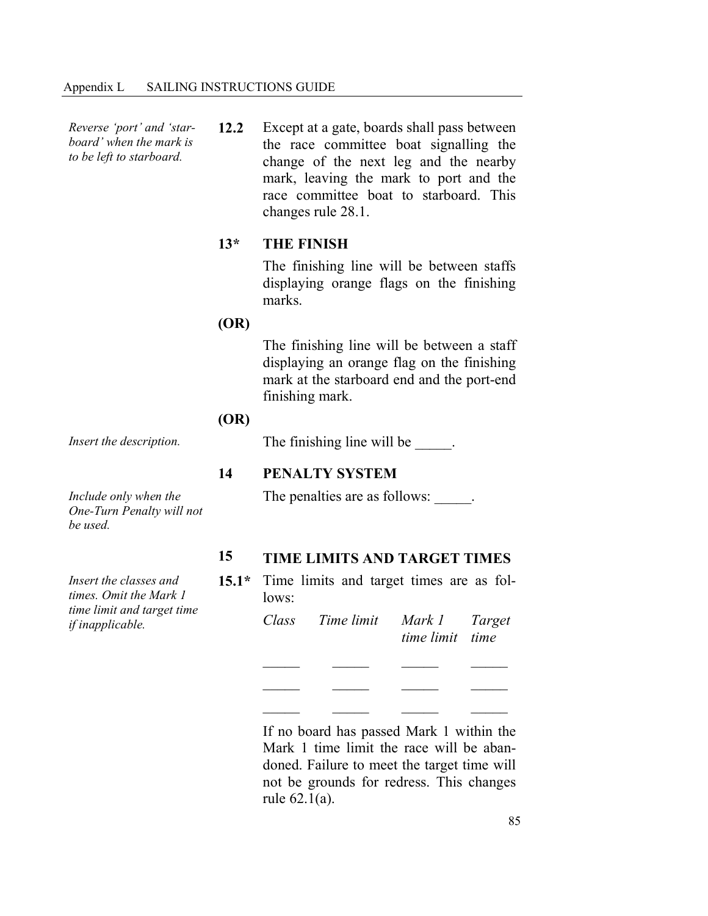*Reverse 'port' and 'starboard' when the mark is to be left to starboard.*  **12.2** Except at a gate, boards shall pass between the race committee boat signalling the change of the next leg and the nearby mark, leaving the mark to port and the race committee boat to starboard. This changes rule 28.1.

# 13\* THE FINISH

The finishing line will be between staffs displaying orange flags on the finishing marks.

#### **(OR)**

The finishing line will be between a staff displaying an orange flag on the finishing mark at the starboard end and the port-end finishing mark.

### **(OR)**

*Insert the description.* The finishing line will be \_\_\_\_\_.

#### **14 PEALTY SYSTEM**

The penalties are as follows: \_\_\_\_\_.

# 15 TIME LIMITS AND TARGET TIMES

 **15.1\*** Time limits and target times are as follows:

| Class Time limit Mark 1 Target | time limit time |  |
|--------------------------------|-----------------|--|
|                                |                 |  |

*\_\_\_\_\_ \_\_\_\_\_ \_\_\_\_\_ \_\_\_\_\_ \_\_\_\_\_ \_\_\_\_\_ \_\_\_\_\_ \_\_\_\_\_* 

If no board has passed Mark 1 within the Mark 1 time limit the race will be abandoned. Failure to meet the target time will not be grounds for redress. This changes rule 62.1(a).

*Include only when the One-Turn Penalty will not be used.*

*Insert the classes and times. Omit the Mark 1 time limit and target time if inapplicable.*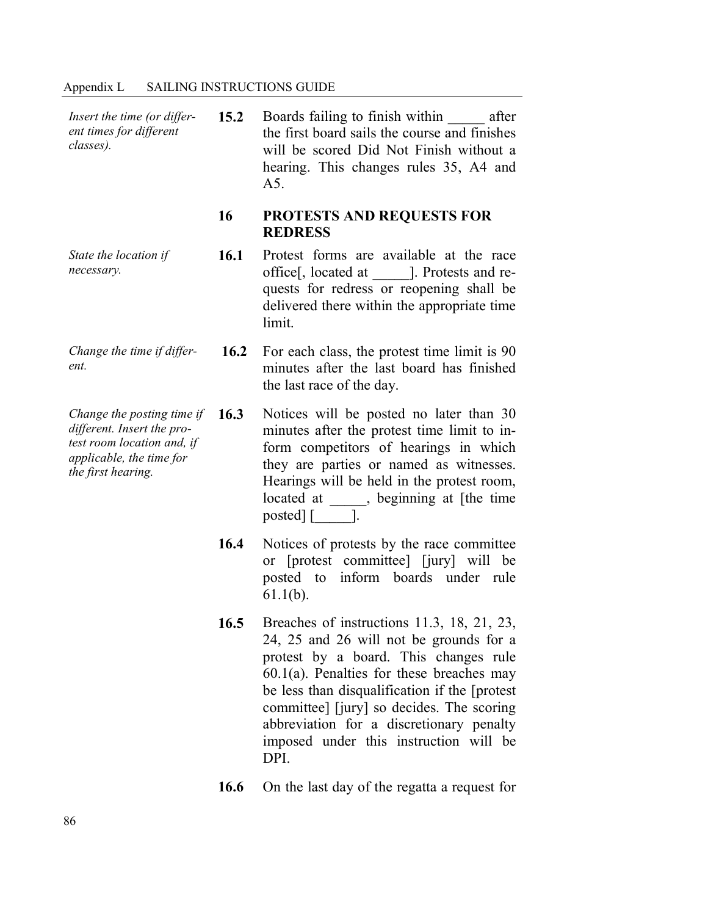| Insert the time (or differ-<br>ent times for different<br>classes).                                                                      | 15.2 | Boards failing to finish within<br>after<br>the first board sails the course and finishes<br>will be scored Did Not Finish without a<br>hearing. This changes rules 35, A4 and<br>A5.                                                                                                                                                                                                                                      |
|------------------------------------------------------------------------------------------------------------------------------------------|------|----------------------------------------------------------------------------------------------------------------------------------------------------------------------------------------------------------------------------------------------------------------------------------------------------------------------------------------------------------------------------------------------------------------------------|
|                                                                                                                                          | 16   | <b>PROTESTS AND REQUESTS FOR</b><br><b>REDRESS</b>                                                                                                                                                                                                                                                                                                                                                                         |
| State the location if<br>necessary.                                                                                                      | 16.1 | Protest forms are available at the race<br>office[, located at _______]. Protests and re-<br>quests for redress or reopening shall be<br>delivered there within the appropriate time<br>limit.                                                                                                                                                                                                                             |
| Change the time if differ-<br>ent.                                                                                                       | 16.2 | For each class, the protest time limit is 90<br>minutes after the last board has finished<br>the last race of the day.                                                                                                                                                                                                                                                                                                     |
| Change the posting time if<br>different. Insert the pro-<br>test room location and, if<br>applicable, the time for<br>the first hearing. | 16.3 | Notices will be posted no later than 30<br>minutes after the protest time limit to in-<br>form competitors of hearings in which<br>they are parties or named as witnesses.<br>Hearings will be held in the protest room,<br>located at ______, beginning at [the time<br>$\left[\begin{array}{c} \begin{array}{c} \begin{array}{c} \end{array}\\ \end{array} \right]$ [ $\begin{array}{c} \begin{array}{c} \end{array}$ ]. |
|                                                                                                                                          | 16.4 | Notices of protests by the race committee<br>or [protest committee] [jury] will be<br>posted to inform boards under rule<br>$61.1(b)$ .                                                                                                                                                                                                                                                                                    |
|                                                                                                                                          | 16.5 | Breaches of instructions 11.3, 18, 21, 23,<br>24, 25 and 26 will not be grounds for a<br>protest by a board. This changes rule<br>$60.1(a)$ . Penalties for these breaches may<br>be less than disqualification if the [protest]<br>committee] [jury] so decides. The scoring<br>abbreviation for a discretionary penalty<br>imposed under this instruction will be<br>DPI.                                                |

 **16.6** On the last day of the regatta a request for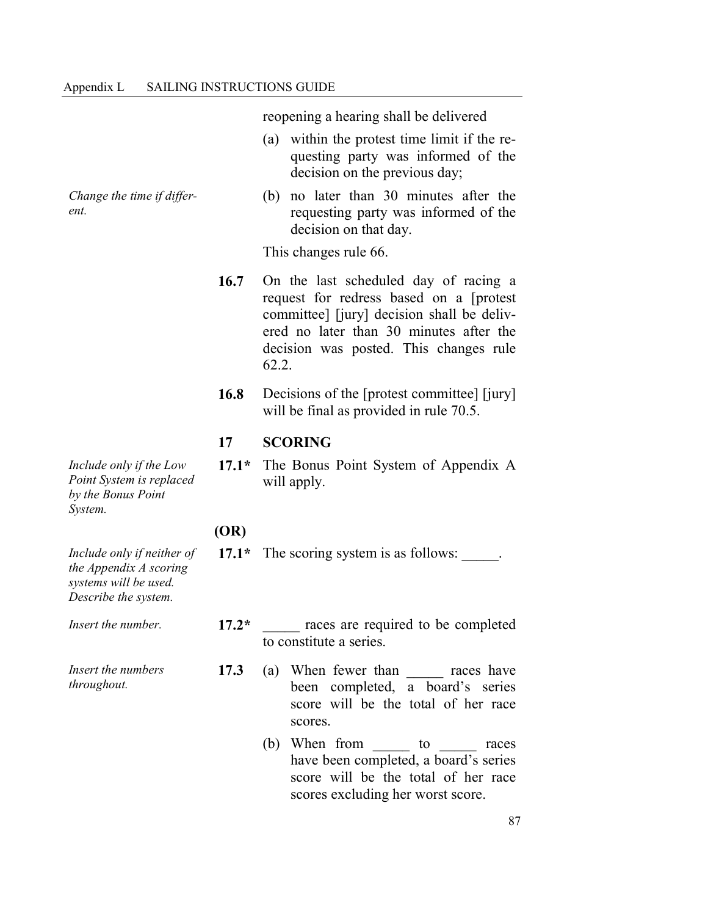*Change the time if different.* 

- reopening a hearing shall be delivered
- (a) within the protest time limit if the requesting party was informed of the decision on the previous day;
- (b) no later than 30 minutes after the requesting party was informed of the decision on that day.

This changes rule 66.

- **16.7** On the last scheduled day of racing a request for redress based on a [protest committee] [jury] decision shall be delivered no later than 30 minutes after the decision was posted. This changes rule 62.2.
- **16.8** Decisions of the [protest committee] [jury] will be final as provided in rule 70.5.

#### **17 SCORIG**

 **17.1\*** The Bonus Point System of Appendix A will apply.

# **(OR)**

- **17.1\*** The scoring system is as follows:
- *Insert the number.* **17.2\* races are required to be completed** to constitute a series.
	- **17.3** (a) When fewer than races have been completed, a board's series score will be the total of her race scores.
		- $(b)$  When from  $\qquad$  to  $\qquad$  races have been completed, a board's series score will be the total of her race scores excluding her worst score.

*Include only if the Low Point System is replaced by the Bonus Point System.* 

*Include only if neither of the Appendix A scoring systems will be used. Describe the system.* 

*Insert the numbers throughout.*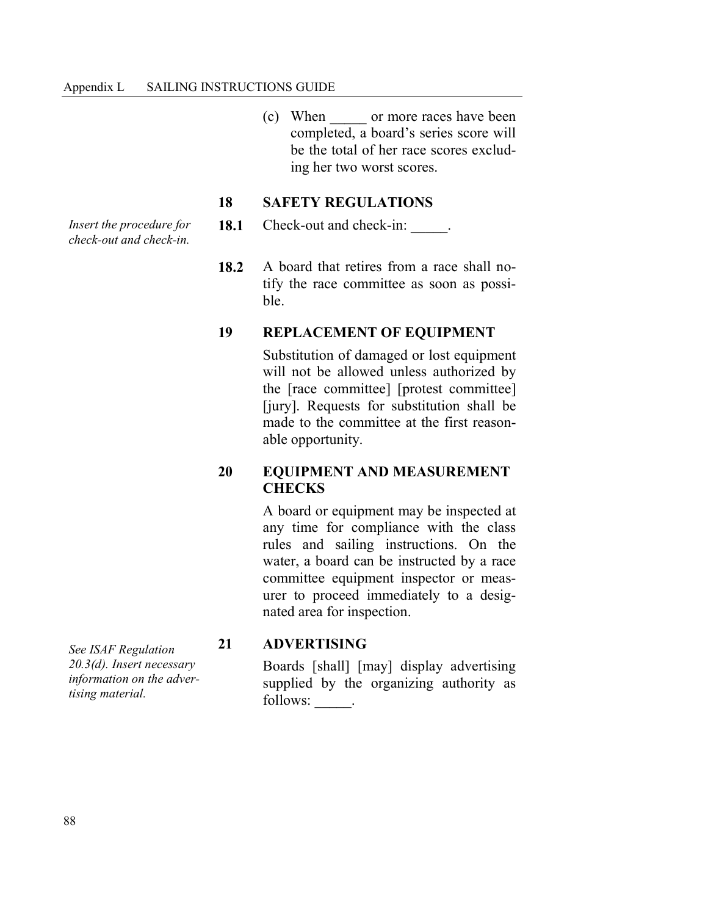(c) When or more races have been completed, a board's series score will be the total of her race scores excluding her two worst scores.

#### **18 SAFETY REGULATIOS**

**18.1** Check-out and check-in: \_\_\_\_\_\_.

 **18.2** A board that retires from a race shall notify the race committee as soon as possible.

# 19 REPLACEMENT OF EQUIPMENT

Substitution of damaged or lost equipment will not be allowed unless authorized by the [race committee] [protest committee] [jury]. Requests for substitution shall be made to the committee at the first reasonable opportunity.

# 20 EQUIPMENT AND MEASUREMENT **CHECKS**

A board or equipment may be inspected at any time for compliance with the class rules and sailing instructions. On the water, a board can be instructed by a race committee equipment inspector or measurer to proceed immediately to a designated area for inspection.

*See ISAF Regulation 20.3(d). Insert necessary information on the advertising material.* 

*Insert the procedure for check-out and check-in.* 

# **21 ADVERTISIG**

Boards [shall] [may] display advertising supplied by the organizing authority as follows: \_\_\_\_\_.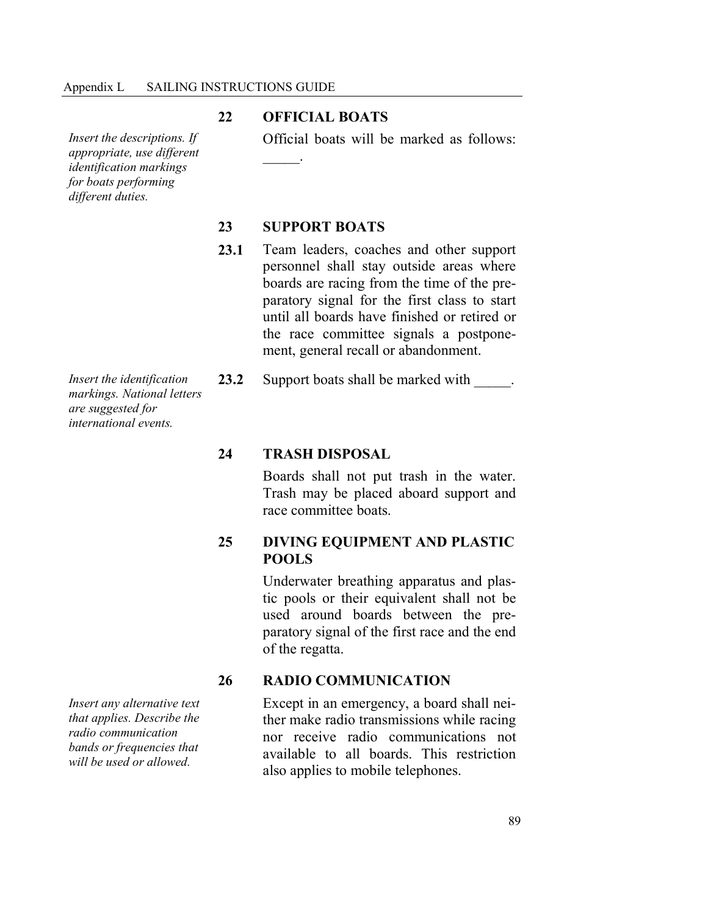*Insert the descriptions. If appropriate, use different identification markings for boats performing different duties.* 

# **22 OFFICIAL BOATS**

 $\overline{\phantom{a}}$ 

Official boats will be marked as follows:

#### **23 SUPPORT BOATS**

- **23.1** Team leaders, coaches and other support personnel shall stay outside areas where boards are racing from the time of the preparatory signal for the first class to start until all boards have finished or retired or the race committee signals a postponement, general recall or abandonment.
- **23.2** Support boats shall be marked with  $\qquad$ .

#### **24 TRASH DISPOSAL**

Boards shall not put trash in the water. Trash may be placed aboard support and race committee boats.

#### 25 DIVING EQUIPMENT AND PLASTIC **POOLS**

Underwater breathing apparatus and plastic pools or their equivalent shall not be used around boards between the preparatory signal of the first race and the end of the regatta.

#### 26 RADIO COMMUNICATION

Except in an emergency, a board shall neither make radio transmissions while racing nor receive radio communications not available to all boards. This restriction also applies to mobile telephones.

*Insert the identification*   $markings. National letters$ *are suggested for international events.* 

*that applies. Describe the radio communication bands or frequencies that will be used or allowed.* 

*Insert any alternative text*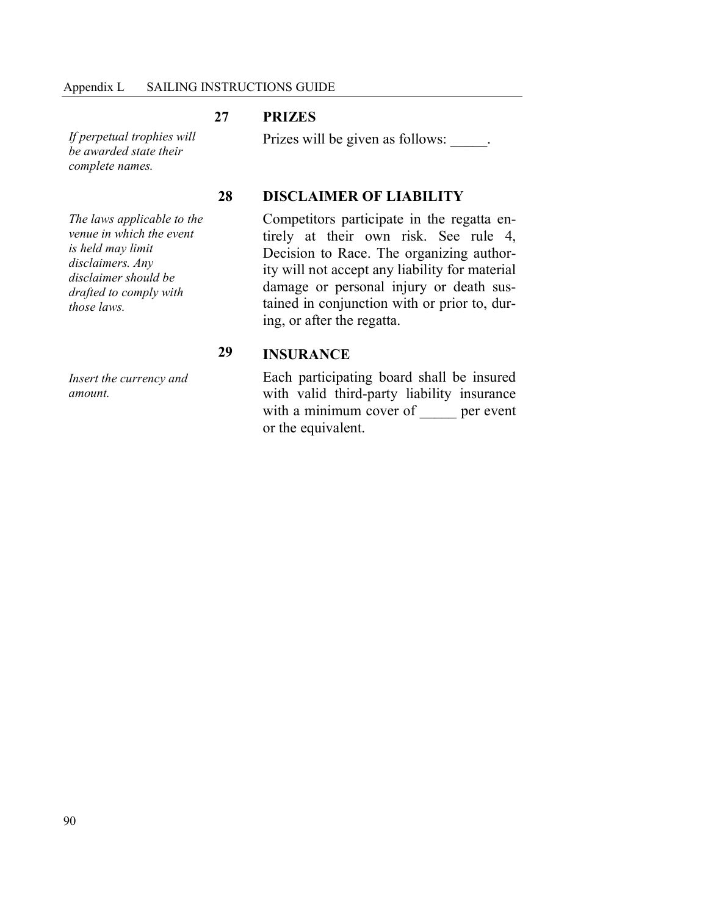### **27 PRIZES**

*If perpetual trophies will be awarded state their complete names.* 

Prizes will be given as follows:

#### **28 DISCLAIMER OF LIABILITY**

*The laws applicable to the venue in which the event is held may limit disclaimers. Any disclaimer should be drafted to comply with those laws.* 

*Insert the currency and amount.* 

Competitors participate in the regatta entirely at their own risk. See rule 4, Decision to Race. The organizing authority will not accept any liability for material damage or personal injury or death sustained in conjunction with or prior to, during, or after the regatta.

# 29 **INSURANCE**

Each participating board shall be insured with valid third-party liability insurance with a minimum cover of <u>equal</u> per event or the equivalent.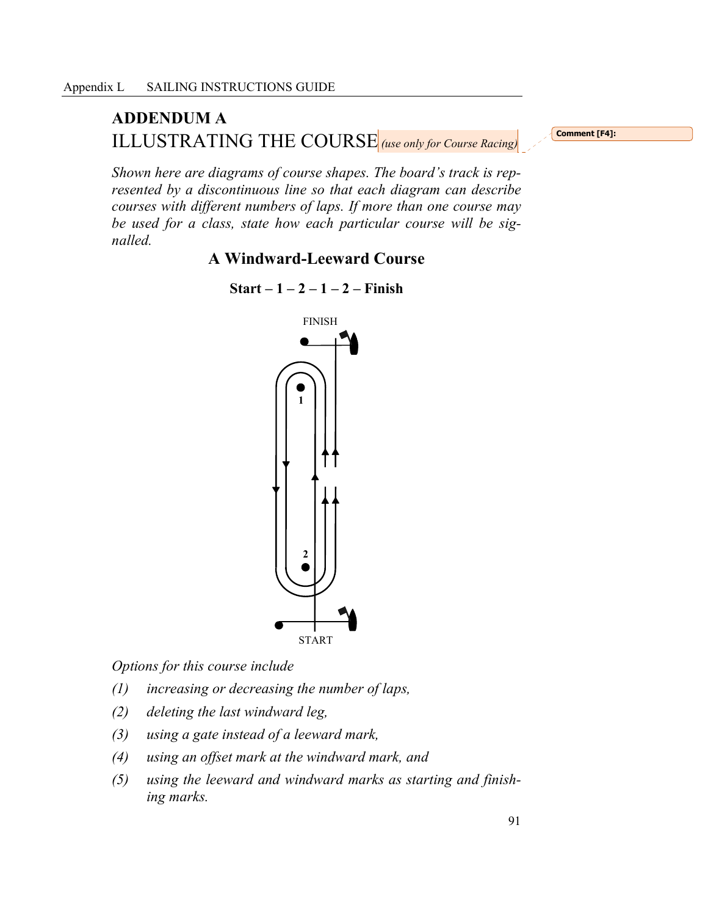# **ADDEDUM A**  ILLUSTRATING THE COURSE *(use only for Course Racing)*

**Comment [F4]:** 

*Shown here are diagrams of course shapes. The board's track is represented by a discontinuous line so that each diagram can describe courses with different numbers of laps. If more than one course may be used for a class, state how each particular course will be signalled.* 

# **A Windward-Leeward Course**

**Start – 1 – 2 – 1 – 2 – Finish** 



*Options for this course include* 

- *(1) increasing or decreasing the number of laps,*
- *(2) deleting the last windward leg,*
- *(3) using a gate instead of a leeward mark,*
- *(4) using an offset mark at the windward mark, and*
- *(5) using the leeward and windward marks as starting and finishing marks.*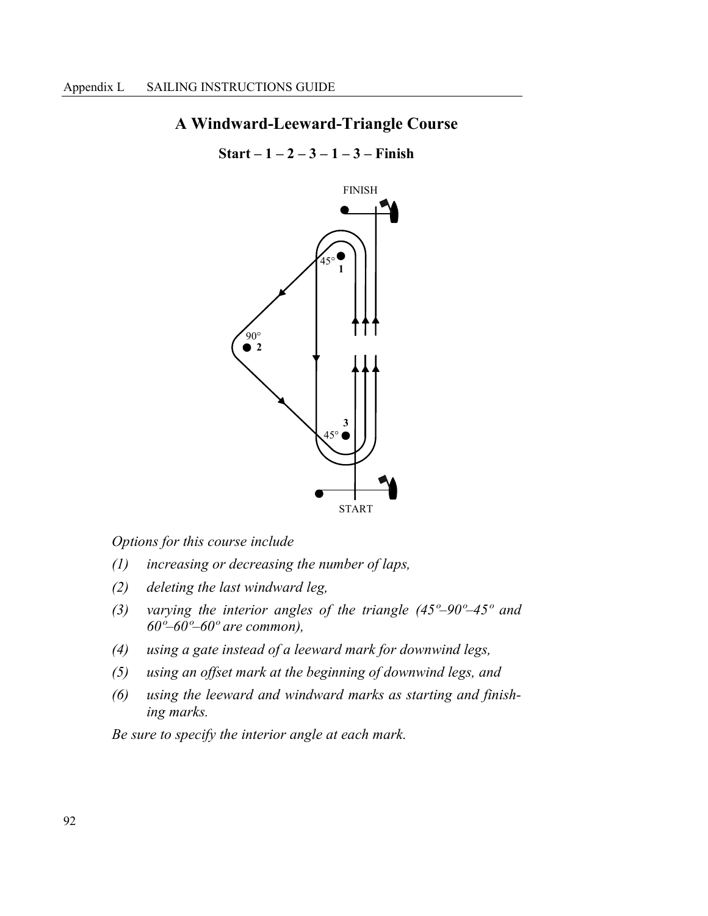# **A Windward-Leeward-Triangle Course**

**Start – 1 – 2 – 3 – 1 – 3 – Finish** 



*Options for this course include* 

- *(1) increasing or decreasing the number of laps,*
- *(2) deleting the last windward leg,*
- *(3) varying the interior angles of the triangle (45º–90º–45º and 60º–60º–60º are common),*
- *(4) using a gate instead of a leeward mark for downwind legs,*
- *(5) using an offset mark at the beginning of downwind legs, and*
- *(6) using the leeward and windward marks as starting and finishing marks.*

*Be sure to specify the interior angle at each mark.*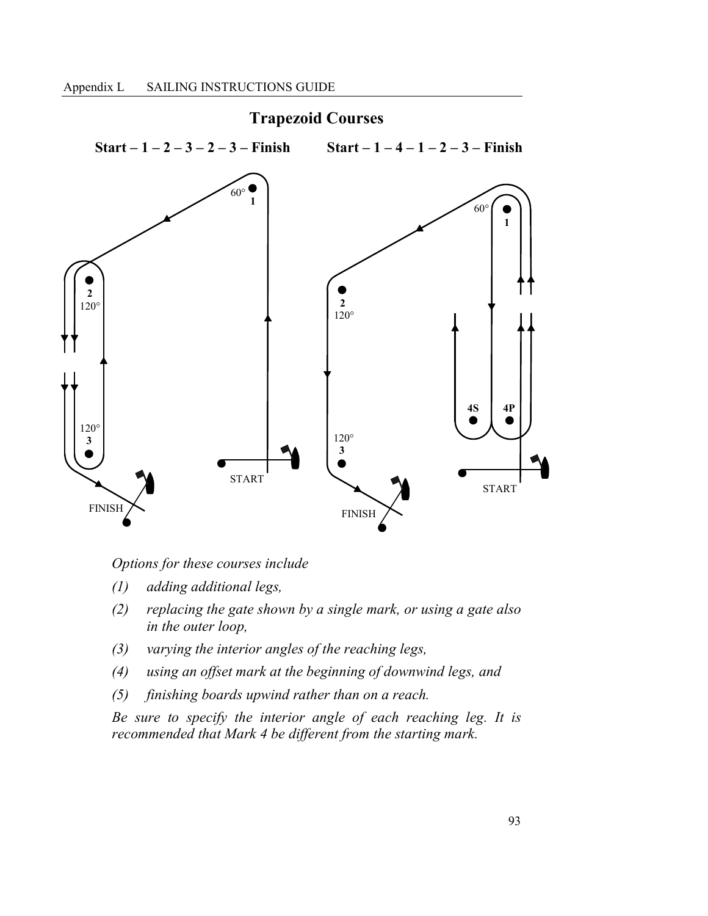

*Options for these courses include* 

- *(1) adding additional legs,*
- *(2) replacing the gate shown by a single mark, or using a gate also in the outer loop,*
- *(3) varying the interior angles of the reaching legs,*
- *(4) using an offset mark at the beginning of downwind legs, and*
- *(5) finishing boards upwind rather than on a reach.*

*Be sure to specify the interior angle of each reaching leg. It is recommended that Mark 4 be different from the starting mark.*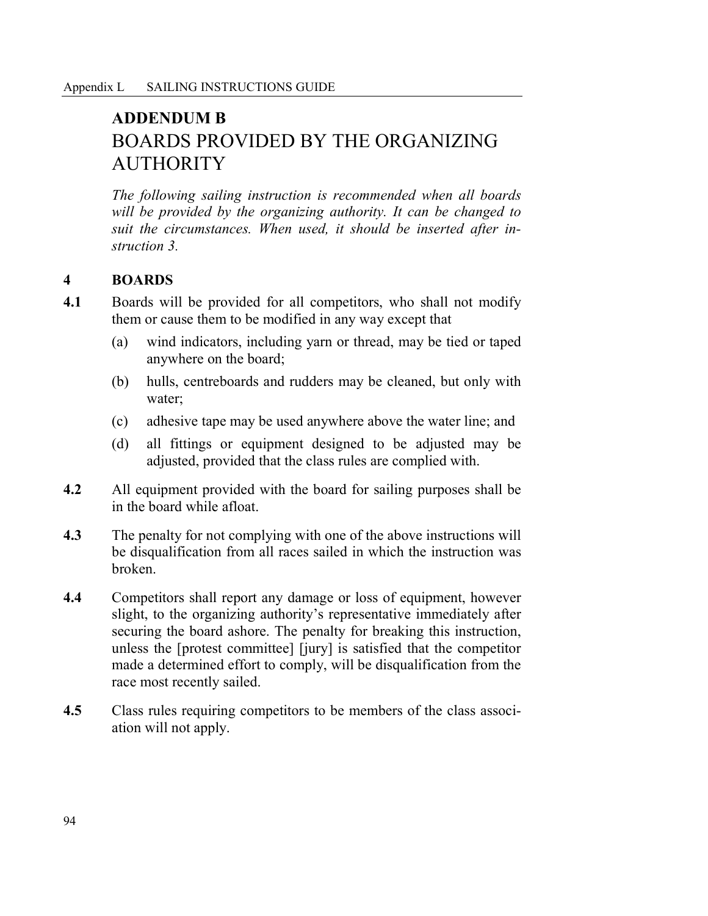# **ADDEDUM B**  BOARDS PROVIDED BY THE ORGANIZING AUTHORITY

*The following sailing instruction is recommended when all boards will be provided by the organizing authority. It can be changed to suit the circumstances. When used, it should be inserted after instruction 3.*

# **4 BOARDS**

**4.1** Boards will be provided for all competitors, who shall not modify them or cause them to be modified in any way except that

- (a) wind indicators, including yarn or thread, may be tied or taped anywhere on the board;
- (b) hulls, centreboards and rudders may be cleaned, but only with water;
- (c) adhesive tape may be used anywhere above the water line; and
- (d) all fittings or equipment designed to be adjusted may be adjusted, provided that the class rules are complied with.
- **4.2** All equipment provided with the board for sailing purposes shall be in the board while afloat.
- **4.3** The penalty for not complying with one of the above instructions will be disqualification from all races sailed in which the instruction was broken.
- **4.4** Competitors shall report any damage or loss of equipment, however slight, to the organizing authority's representative immediately after securing the board ashore. The penalty for breaking this instruction, unless the [protest committee] [jury] is satisfied that the competitor made a determined effort to comply, will be disqualification from the race most recently sailed.
- **4.5** Class rules requiring competitors to be members of the class association will not apply.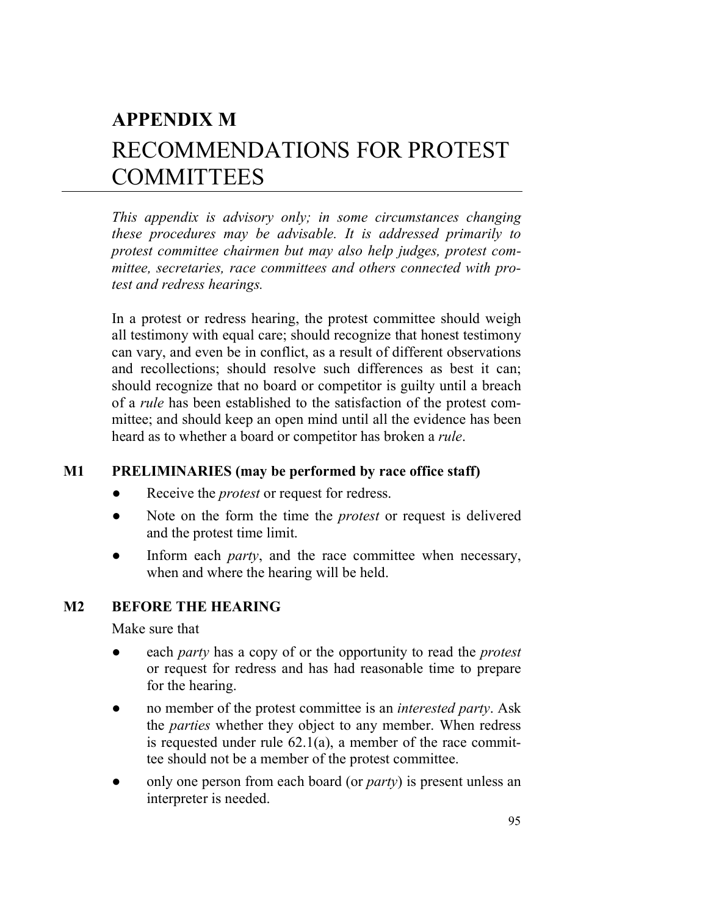# **APPEDIX M**  RECOMMENDATIONS FOR PROTEST **COMMITTEES**

*This appendix is advisory only; in some circumstances changing these procedures may be advisable. It is addressed primarily to protest committee chairmen but may also help judges, protest committee, secretaries, race committees and others connected with protest and redress hearings.* 

In a protest or redress hearing, the protest committee should weigh all testimony with equal care; should recognize that honest testimony can vary, and even be in conflict, as a result of different observations and recollections; should resolve such differences as best it can; should recognize that no board or competitor is guilty until a breach of a *rule* has been established to the satisfaction of the protest committee; and should keep an open mind until all the evidence has been heard as to whether a board or competitor has broken a *rule*.

# **M1 PRELIMIARIES (may be performed by race office staff)**

- Receive the *protest* or request for redress.
- Note on the form the time the *protest* or request is delivered and the protest time limit.
- Inform each *party*, and the race committee when necessary, when and where the hearing will be held.

# **M2 BEFORE THE HEARIG**

Make sure that

- each *party* has a copy of or the opportunity to read the *protest* or request for redress and has had reasonable time to prepare for the hearing.
- no member of the protest committee is an *interested party*. Ask the *parties* whether they object to any member. When redress is requested under rule 62.1(a), a member of the race committee should not be a member of the protest committee.
- only one person from each board (or *party*) is present unless an interpreter is needed.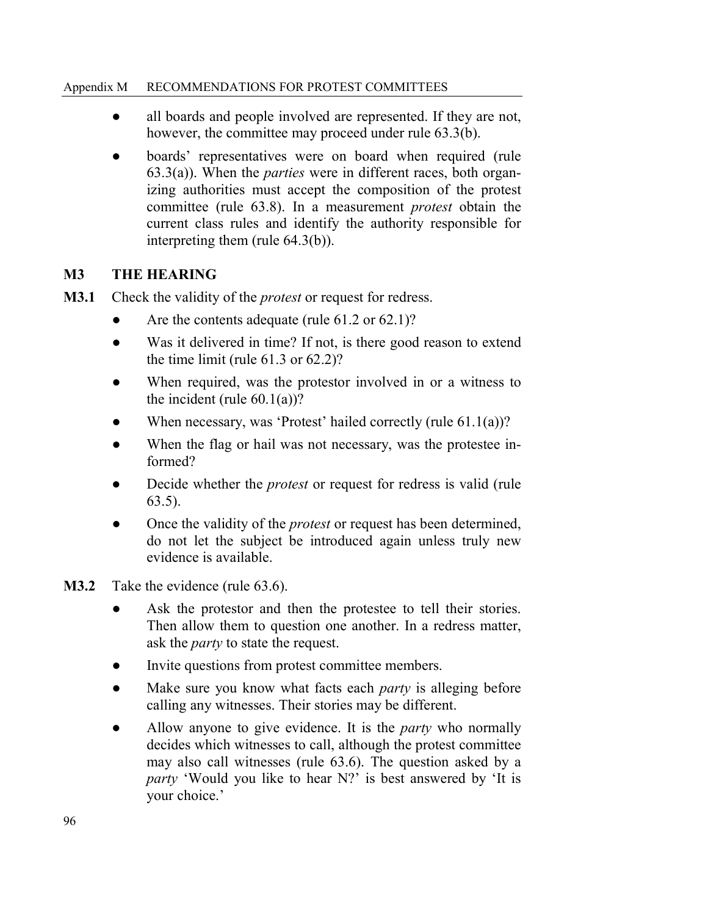#### Appendix M RECOMMENDATIONS FOR PROTEST COMMITTEES

- all boards and people involved are represented. If they are not, however, the committee may proceed under rule 63.3(b).
- boards' representatives were on board when required (rule 63.3(a)). When the *parties* were in different races, both organizing authorities must accept the composition of the protest committee (rule 63.8). In a measurement *protest* obtain the current class rules and identify the authority responsible for interpreting them (rule 64.3(b)).

# **M3 THE HEARIG**

- **M3.1** Check the validity of the *protest* or request for redress.
	- Are the contents adequate (rule 61.2 or 62.1)?
	- Was it delivered in time? If not, is there good reason to extend the time limit (rule 61.3 or 62.2)?
	- When required, was the protestor involved in or a witness to the incident (rule  $60.1(a)$ )?
	- When necessary, was 'Protest' hailed correctly (rule  $61.1(a)$ )?
	- When the flag or hail was not necessary, was the protestee informed?
	- Decide whether the *protest* or request for redress is valid (rule 63.5).
	- Once the validity of the *protest* or request has been determined, do not let the subject be introduced again unless truly new evidence is available.
- **M3.2** Take the evidence (rule 63.6).
	- Ask the protestor and then the protestee to tell their stories. Then allow them to question one another. In a redress matter, ask the *party* to state the request.
	- Invite questions from protest committee members.
	- Make sure you know what facts each *party* is alleging before calling any witnesses. Their stories may be different.
	- Allow anyone to give evidence. It is the *party* who normally decides which witnesses to call, although the protest committee may also call witnesses (rule 63.6). The question asked by a *party* 'Would you like to hear N?' is best answered by 'It is your choice.'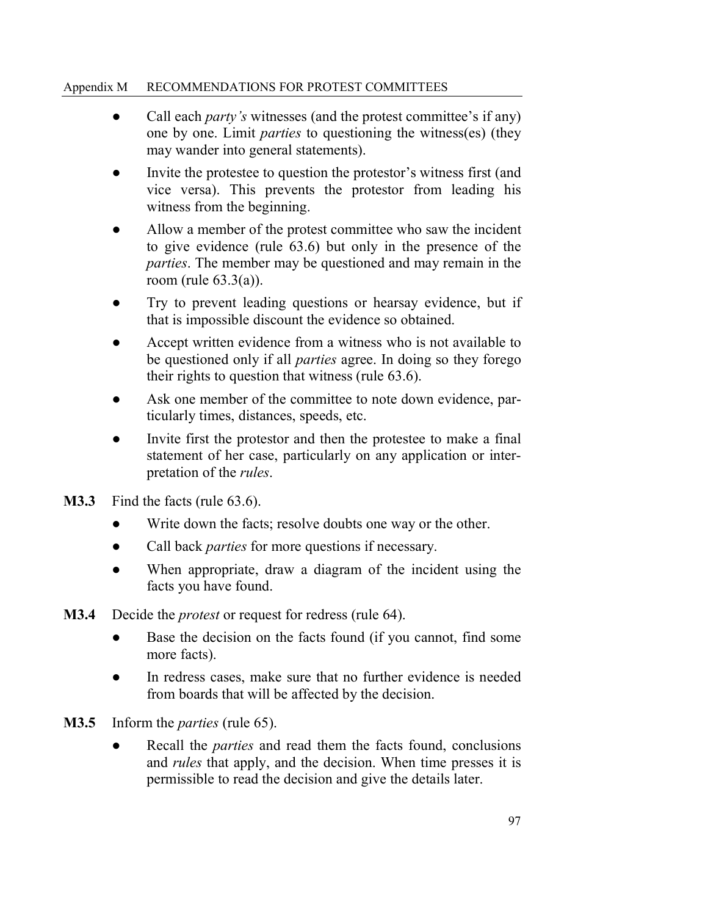#### Appendix M RECOMMENDATIONS FOR PROTEST COMMITTEES

- Call each *party's* witnesses (and the protest committee's if any) one by one. Limit *parties* to questioning the witness(es) (they may wander into general statements).
- Invite the protestee to question the protestor's witness first (and vice versa). This prevents the protestor from leading his witness from the beginning.
- Allow a member of the protest committee who saw the incident to give evidence (rule 63.6) but only in the presence of the *parties*. The member may be questioned and may remain in the room (rule 63.3(a)).
- Try to prevent leading questions or hearsay evidence, but if that is impossible discount the evidence so obtained.
- Accept written evidence from a witness who is not available to be questioned only if all *parties* agree. In doing so they forego their rights to question that witness (rule 63.6).
- Ask one member of the committee to note down evidence, particularly times, distances, speeds, etc.
- Invite first the protestor and then the protestee to make a final statement of her case, particularly on any application or interpretation of the *rules*.
- **M3.3** Find the facts (rule 63.6).
	- Write down the facts; resolve doubts one way or the other.
	- Call back *parties* for more questions if necessary.
	- When appropriate, draw a diagram of the incident using the facts you have found.
- **M3.4** Decide the *protest* or request for redress (rule 64).
	- Base the decision on the facts found (if you cannot, find some more facts).
	- In redress cases, make sure that no further evidence is needed from boards that will be affected by the decision.
- **M3.5** Inform the *parties* (rule 65).
	- Recall the *parties* and read them the facts found, conclusions and *rules* that apply, and the decision. When time presses it is permissible to read the decision and give the details later.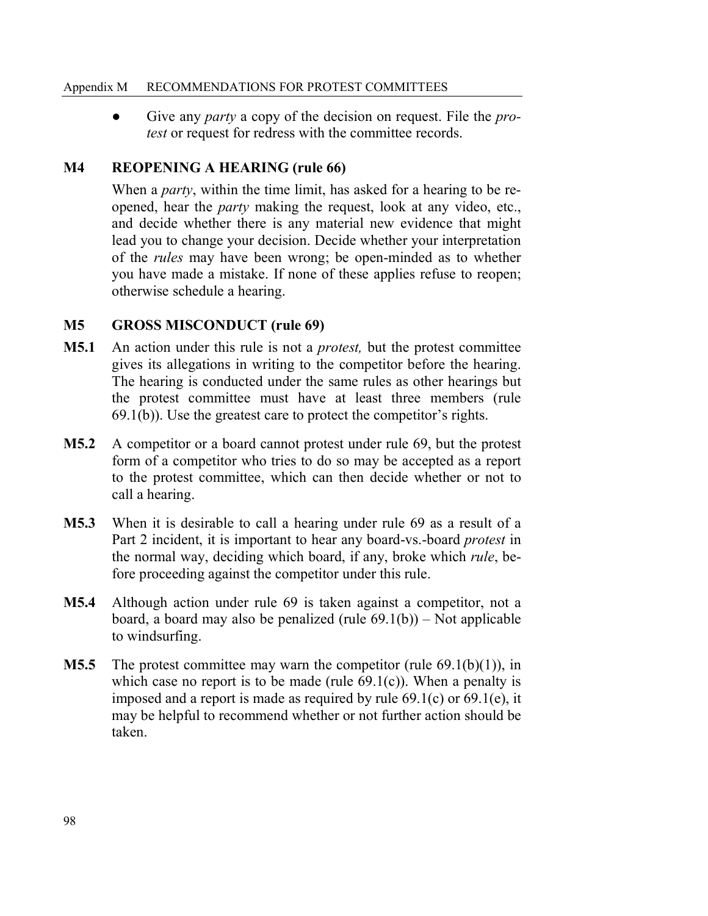#### Appendix M RECOMMENDATIONS FOR PROTEST COMMITTEES

● Give any *party* a copy of the decision on request. File the *protest* or request for redress with the committee records.

### **M4** REOPENING A HEARING (rule 66)

When a *party*, within the time limit, has asked for a hearing to be reopened, hear the *party* making the request, look at any video, etc., and decide whether there is any material new evidence that might lead you to change your decision. Decide whether your interpretation of the *rules* may have been wrong; be open-minded as to whether you have made a mistake. If none of these applies refuse to reopen; otherwise schedule a hearing.

#### M5 GROSS MISCONDUCT (rule 69)

- **M5.1** An action under this rule is not a *protest,* but the protest committee gives its allegations in writing to the competitor before the hearing. The hearing is conducted under the same rules as other hearings but the protest committee must have at least three members (rule 69.1(b)). Use the greatest care to protect the competitor's rights.
- **M5.2** A competitor or a board cannot protest under rule 69, but the protest form of a competitor who tries to do so may be accepted as a report to the protest committee, which can then decide whether or not to call a hearing.
- **M5.3** When it is desirable to call a hearing under rule 69 as a result of a Part 2 incident, it is important to hear any board-vs.-board *protest* in the normal way, deciding which board, if any, broke which *rule*, before proceeding against the competitor under this rule.
- **M5.4** Although action under rule 69 is taken against a competitor, not a board, a board may also be penalized (rule  $69.1(b)$ ) – Not applicable to windsurfing.
- **M5.5** The protest committee may warn the competitor (rule 69.1(b)(1)), in which case no report is to be made (rule  $69.1(c)$ ). When a penalty is imposed and a report is made as required by rule 69.1(c) or 69.1(e), it may be helpful to recommend whether or not further action should be taken.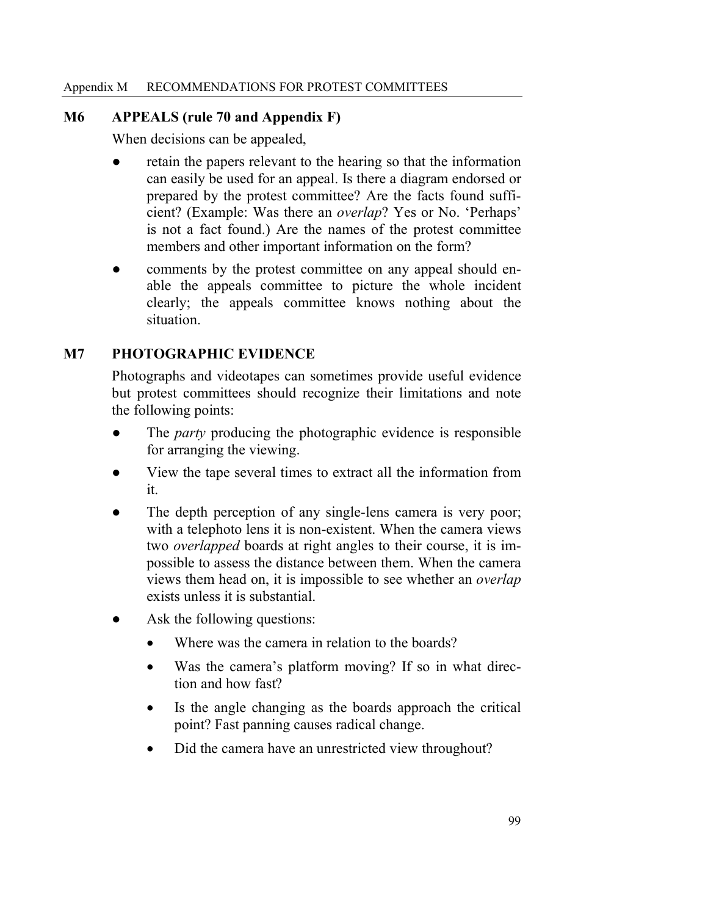# **M6 APPEALS (rule 70 and Appendix F)**

When decisions can be appealed,

- retain the papers relevant to the hearing so that the information can easily be used for an appeal. Is there a diagram endorsed or prepared by the protest committee? Are the facts found sufficient? (Example: Was there an *overlap*? Yes or No. 'Perhaps' is not a fact found.) Are the names of the protest committee members and other important information on the form?
- comments by the protest committee on any appeal should enable the appeals committee to picture the whole incident clearly; the appeals committee knows nothing about the situation.

# **M7 PHOTOGRAPHIC EVIDENCE**

Photographs and videotapes can sometimes provide useful evidence but protest committees should recognize their limitations and note the following points:

- The *party* producing the photographic evidence is responsible for arranging the viewing.
- View the tape several times to extract all the information from it.
- The depth perception of any single-lens camera is very poor; with a telephoto lens it is non-existent. When the camera views two *overlapped* boards at right angles to their course, it is impossible to assess the distance between them. When the camera views them head on, it is impossible to see whether an *overlap* exists unless it is substantial.
- Ask the following questions:
	- Where was the camera in relation to the boards?
	- Was the camera's platform moving? If so in what direction and how fast?
	- Is the angle changing as the boards approach the critical point? Fast panning causes radical change.
	- Did the camera have an unrestricted view throughout?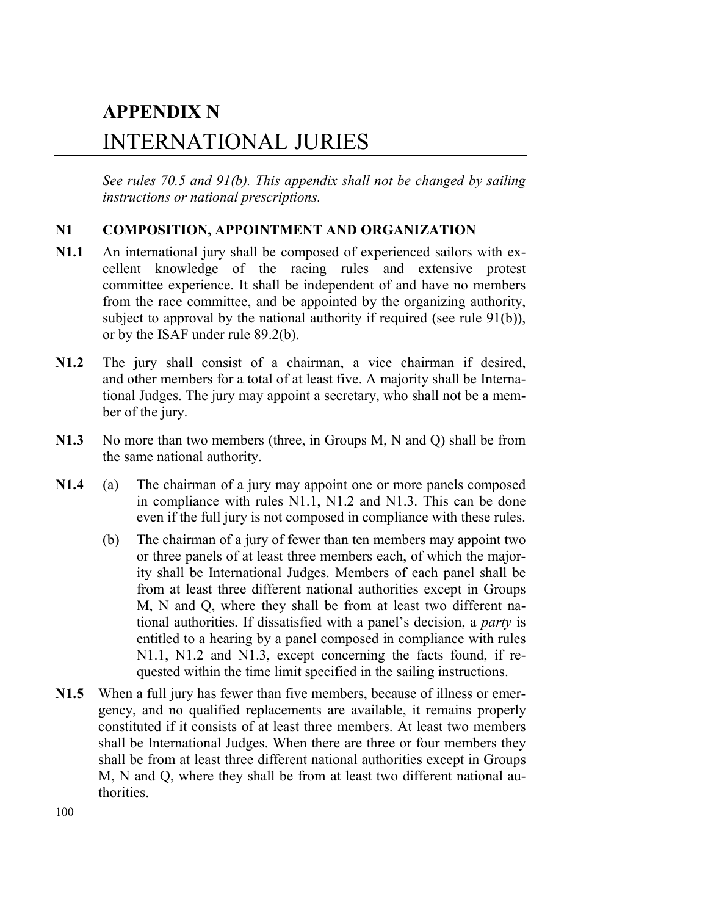# **APPEDIX**  INTERNATIONAL JURIES

*See rules 70.5 and 91(b). This appendix shall not be changed by sailing instructions or national prescriptions.*

# **1 COMPOSITION, APPOINTMENT AND ORGANIZATION**

- **1.1** An international jury shall be composed of experienced sailors with excellent knowledge of the racing rules and extensive protest committee experience. It shall be independent of and have no members from the race committee, and be appointed by the organizing authority, subject to approval by the national authority if required (see rule 91(b)), or by the ISAF under rule 89.2(b).
- **1.2** The jury shall consist of a chairman, a vice chairman if desired, and other members for a total of at least five. A majority shall be International Judges. The jury may appoint a secretary, who shall not be a member of the jury.
- **1.3** No more than two members (three, in Groups M, N and Q) shall be from the same national authority.
- **1.4** (a) The chairman of a jury may appoint one or more panels composed in compliance with rules N1.1, N1.2 and N1.3. This can be done even if the full jury is not composed in compliance with these rules.
	- (b) The chairman of a jury of fewer than ten members may appoint two or three panels of at least three members each, of which the majority shall be International Judges. Members of each panel shall be from at least three different national authorities except in Groups M, N and Q, where they shall be from at least two different national authorities. If dissatisfied with a panel's decision, a *party* is entitled to a hearing by a panel composed in compliance with rules N1.1, N1.2 and N1.3, except concerning the facts found, if requested within the time limit specified in the sailing instructions.
- **1.5** When a full jury has fewer than five members, because of illness or emergency, and no qualified replacements are available, it remains properly constituted if it consists of at least three members. At least two members shall be International Judges. When there are three or four members they shall be from at least three different national authorities except in Groups M, N and Q, where they shall be from at least two different national authorities.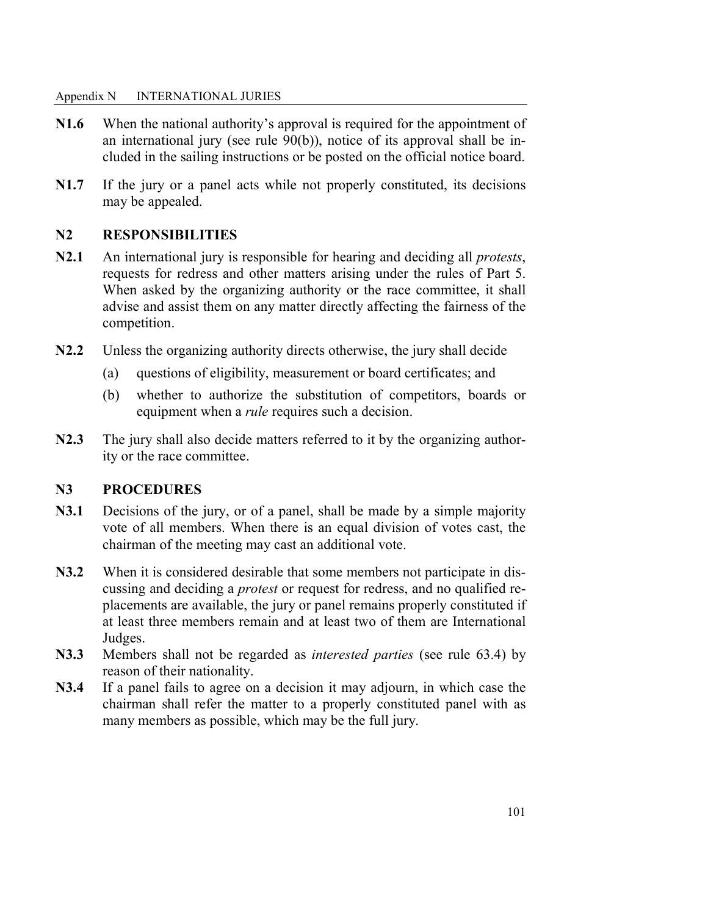#### Appendix N INTERNATIONAL JURIES

- **1.6** When the national authority's approval is required for the appointment of an international jury (see rule 90(b)), notice of its approval shall be included in the sailing instructions or be posted on the official notice board.
- **1.7** If the jury or a panel acts while not properly constituted, its decisions may be appealed.

### **2 RESPOSIBILITIES**

- **2.1** An international jury is responsible for hearing and deciding all *protests*, requests for redress and other matters arising under the rules of Part 5. When asked by the organizing authority or the race committee, it shall advise and assist them on any matter directly affecting the fairness of the competition.
- **2.2** Unless the organizing authority directs otherwise, the jury shall decide
	- (a) questions of eligibility, measurement or board certificates; and
	- (b) whether to authorize the substitution of competitors, boards or equipment when a *rule* requires such a decision.
- **2.3** The jury shall also decide matters referred to it by the organizing authority or the race committee.

#### **3 PROCEDURES**

- **N3.1** Decisions of the jury, or of a panel, shall be made by a simple majority vote of all members. When there is an equal division of votes cast, the chairman of the meeting may cast an additional vote.
- **3.2** When it is considered desirable that some members not participate in discussing and deciding a *protest* or request for redress, and no qualified replacements are available, the jury or panel remains properly constituted if at least three members remain and at least two of them are International Judges.
- **3.3** Members shall not be regarded as *interested parties* (see rule 63.4) by reason of their nationality.
- **3.4** If a panel fails to agree on a decision it may adjourn, in which case the chairman shall refer the matter to a properly constituted panel with as many members as possible, which may be the full jury.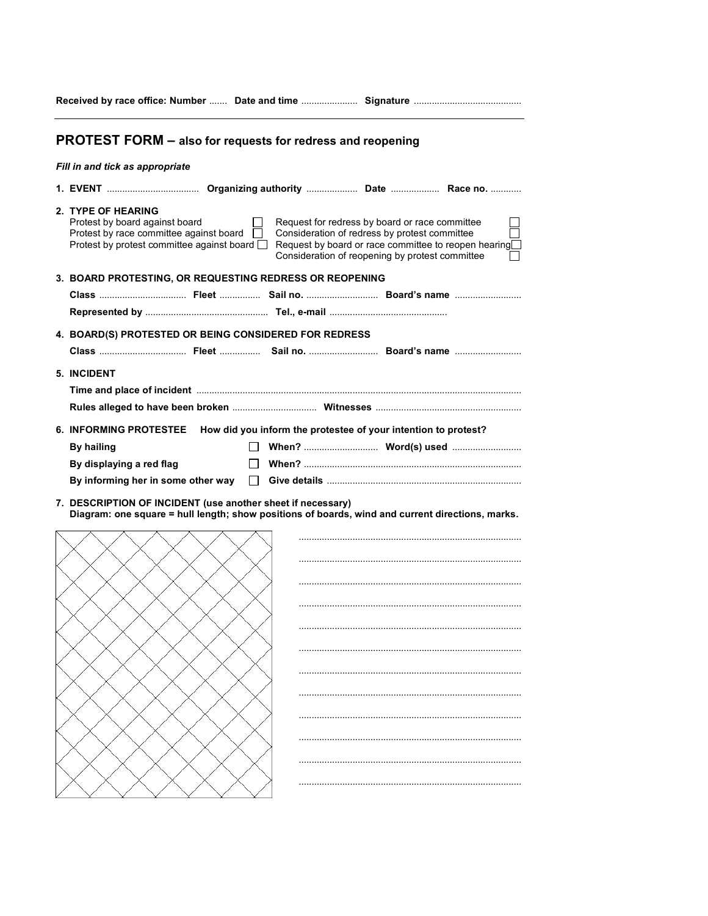|--|--|--|

# **PROTEST FORM – also for requests for redress and reopening**

#### *Fill in and tick as appropriate*

| 2. TYPE OF HEARING<br>Protest by board against board<br>Protest by race committee against board<br>Protest by protest committee against board $\Box$            | Request for redress by board or race committee<br>Consideration of redress by protest committee<br>Consideration of reopening by protest committee | Request by board or race committee to reopen hearing |
|-----------------------------------------------------------------------------------------------------------------------------------------------------------------|----------------------------------------------------------------------------------------------------------------------------------------------------|------------------------------------------------------|
| 3. BOARD PROTESTING, OR REQUESTING REDRESS OR REOPENING                                                                                                         |                                                                                                                                                    |                                                      |
|                                                                                                                                                                 |                                                                                                                                                    |                                                      |
|                                                                                                                                                                 |                                                                                                                                                    |                                                      |
| 4. BOARD(S) PROTESTED OR BEING CONSIDERED FOR REDRESS                                                                                                           |                                                                                                                                                    |                                                      |
|                                                                                                                                                                 |                                                                                                                                                    |                                                      |
| 5. INCIDENT                                                                                                                                                     |                                                                                                                                                    |                                                      |
| Time and place of incident manufactured and place of incident manufactured manufactured manufactured and place                                                  |                                                                                                                                                    |                                                      |
|                                                                                                                                                                 |                                                                                                                                                    |                                                      |
| 6. INFORMING PROTESTEE How did you inform the protestee of your intention to protest?                                                                           |                                                                                                                                                    |                                                      |
| <b>By hailing</b>                                                                                                                                               |                                                                                                                                                    |                                                      |
| By displaying a red flag                                                                                                                                        |                                                                                                                                                    |                                                      |
|                                                                                                                                                                 |                                                                                                                                                    |                                                      |
| By informing her in some other way                                                                                                                              |                                                                                                                                                    |                                                      |
| 7. DESCRIPTION OF INCIDENT (use another sheet if necessary)<br>Diagram: one square = hull length; show positions of boards, wind and current directions, marks. |                                                                                                                                                    |                                                      |
|                                                                                                                                                                 |                                                                                                                                                    |                                                      |
|                                                                                                                                                                 |                                                                                                                                                    |                                                      |
|                                                                                                                                                                 |                                                                                                                                                    |                                                      |
|                                                                                                                                                                 |                                                                                                                                                    |                                                      |
|                                                                                                                                                                 |                                                                                                                                                    |                                                      |
|                                                                                                                                                                 |                                                                                                                                                    |                                                      |
|                                                                                                                                                                 |                                                                                                                                                    |                                                      |
|                                                                                                                                                                 |                                                                                                                                                    |                                                      |
|                                                                                                                                                                 |                                                                                                                                                    |                                                      |
|                                                                                                                                                                 |                                                                                                                                                    |                                                      |
|                                                                                                                                                                 |                                                                                                                                                    |                                                      |
|                                                                                                                                                                 |                                                                                                                                                    |                                                      |
|                                                                                                                                                                 |                                                                                                                                                    |                                                      |